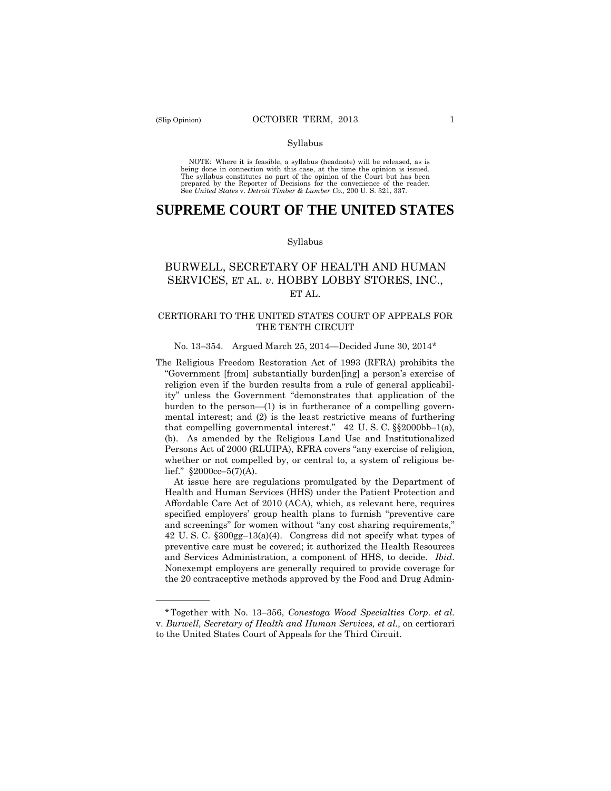——————

#### Syllabus

 NOTE: Where it is feasible, a syllabus (headnote) will be released, as is being done in connection with this case, at the time the opinion is issued. The syllabus constitutes no part of the opinion of the Court but has been<br>prepared by the Reporter of Decisions for the convenience of the reader.<br>See United States v. Detroit Timber & Lumber Co., 200 U.S. 321, 337.

# **SUPREME COURT OF THE UNITED STATES**

#### Syllabus

# BURWELL, SECRETARY OF HEALTH AND HUMAN SERVICES, ET AL. *v*. HOBBY LOBBY STORES, INC., ET AL.

# CERTIORARI TO THE UNITED STATES COURT OF APPEALS FOR THE TENTH CIRCUIT

#### No. 13–354. Argued March 25, 2014—Decided June 30, 2014\*

The Religious Freedom Restoration Act of 1993 (RFRA) prohibits the "Government [from] substantially burden[ing] a person's exercise of religion even if the burden results from a rule of general applicability" unless the Government "demonstrates that application of the burden to the person—(1) is in furtherance of a compelling governmental interest; and (2) is the least restrictive means of furthering that compelling governmental interest." 42 U. S. C. §§2000bb–1(a), (b). As amended by the Religious Land Use and Institutionalized Persons Act of 2000 (RLUIPA), RFRA covers "any exercise of religion, whether or not compelled by, or central to, a system of religious belief."  $§2000cc-5(7)(A)$ .

At issue here are regulations promulgated by the Department of Health and Human Services (HHS) under the Patient Protection and Affordable Care Act of 2010 (ACA), which, as relevant here, requires specified employers' group health plans to furnish "preventive care and screenings" for women without "any cost sharing requirements," 42 U. S. C. §300gg–13(a)(4). Congress did not specify what types of preventive care must be covered; it authorized the Health Resources and Services Administration, a component of HHS, to decide. *Ibid*. Nonexempt employers are generally required to provide coverage for the 20 contraceptive methods approved by the Food and Drug Admin-

<sup>\*</sup>Together with No. 13–356, *Conestoga Wood Specialties Corp. et al.*  v. *Burwell, Secretary of Health and Human Services, et al.,* on certiorari to the United States Court of Appeals for the Third Circuit.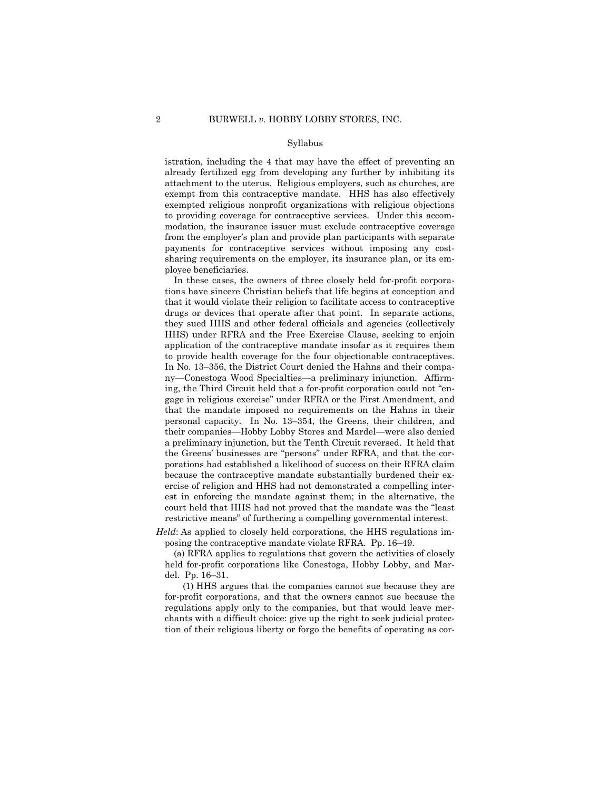istration, including the 4 that may have the effect of preventing an already fertilized egg from developing any further by inhibiting its attachment to the uterus. Religious employers, such as churches, are exempt from this contraceptive mandate. HHS has also effectively exempted religious nonprofit organizations with religious objections to providing coverage for contraceptive services. Under this accommodation, the insurance issuer must exclude contraceptive coverage from the employer's plan and provide plan participants with separate payments for contraceptive services without imposing any costsharing requirements on the employer, its insurance plan, or its employee beneficiaries.

 to provide health coverage for the four objectionable contraceptives. In these cases, the owners of three closely held for-profit corporations have sincere Christian beliefs that life begins at conception and that it would violate their religion to facilitate access to contraceptive drugs or devices that operate after that point. In separate actions, they sued HHS and other federal officials and agencies (collectively HHS) under RFRA and the Free Exercise Clause, seeking to enjoin application of the contraceptive mandate insofar as it requires them In No. 13–356, the District Court denied the Hahns and their company—Conestoga Wood Specialties—a preliminary injunction. Affirming, the Third Circuit held that a for-profit corporation could not "engage in religious exercise" under RFRA or the First Amendment, and that the mandate imposed no requirements on the Hahns in their personal capacity. In No. 13–354, the Greens, their children, and their companies—Hobby Lobby Stores and Mardel—were also denied a preliminary injunction, but the Tenth Circuit reversed. It held that the Greens' businesses are "persons" under RFRA, and that the corporations had established a likelihood of success on their RFRA claim because the contraceptive mandate substantially burdened their exercise of religion and HHS had not demonstrated a compelling interest in enforcing the mandate against them; in the alternative, the court held that HHS had not proved that the mandate was the "least restrictive means" of furthering a compelling governmental interest.

*Held*: As applied to closely held corporations, the HHS regulations imposing the contraceptive mandate violate RFRA. Pp. 16–49.

(a) RFRA applies to regulations that govern the activities of closely held for-profit corporations like Conestoga, Hobby Lobby, and Mardel. Pp. 16–31.

(1) HHS argues that the companies cannot sue because they are for-profit corporations, and that the owners cannot sue because the regulations apply only to the companies, but that would leave merchants with a difficult choice: give up the right to seek judicial protection of their religious liberty or forgo the benefits of operating as cor-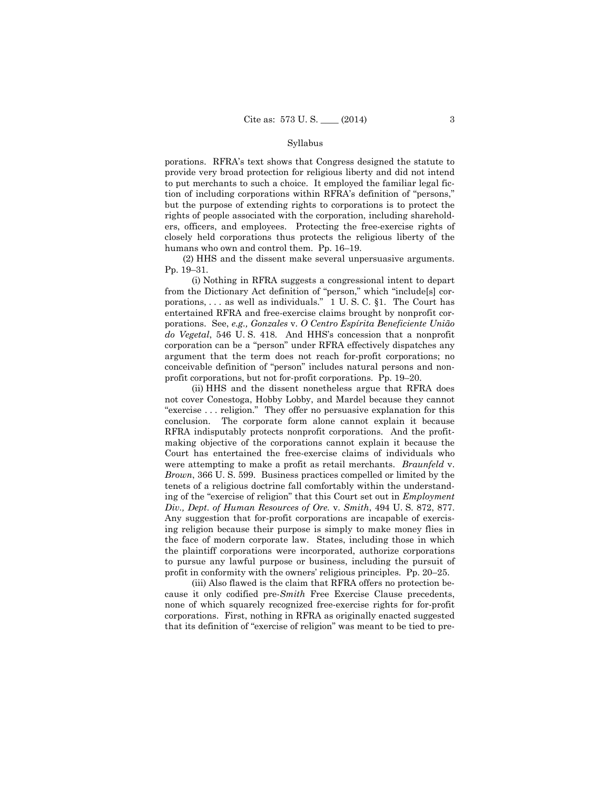porations. RFRA's text shows that Congress designed the statute to provide very broad protection for religious liberty and did not intend to put merchants to such a choice. It employed the familiar legal fiction of including corporations within RFRA's definition of "persons," but the purpose of extending rights to corporations is to protect the rights of people associated with the corporation, including shareholders, officers, and employees. Protecting the free-exercise rights of closely held corporations thus protects the religious liberty of the humans who own and control them. Pp. 16–19.

(2) HHS and the dissent make several unpersuasive arguments. Pp. 19–31.

(i) Nothing in RFRA suggests a congressional intent to depart from the Dictionary Act definition of "person," which "include[s] corporations, . . . as well as individuals." 1 U. S. C. §1. The Court has entertained RFRA and free-exercise claims brought by nonprofit corporations. See, *e.g., Gonzales* v. *O Centro Espírita Beneficiente União do Vegetal*, 546 U. S. 418. And HHS's concession that a nonprofit corporation can be a "person" under RFRA effectively dispatches any argument that the term does not reach for-profit corporations; no conceivable definition of "person" includes natural persons and nonprofit corporations, but not for-profit corporations. Pp. 19–20.

(ii) HHS and the dissent nonetheless argue that RFRA does not cover Conestoga, Hobby Lobby, and Mardel because they cannot "exercise . . . religion." They offer no persuasive explanation for this conclusion. The corporate form alone cannot explain it because RFRA indisputably protects nonprofit corporations. And the profitmaking objective of the corporations cannot explain it because the Court has entertained the free-exercise claims of individuals who were attempting to make a profit as retail merchants. *Braunfeld* v. *Brown*, 366 U. S. 599. Business practices compelled or limited by the tenets of a religious doctrine fall comfortably within the understanding of the "exercise of religion" that this Court set out in *Employment Div., Dept. of Human Resources of Ore.* v. *Smith*, 494 U. S. 872, 877. Any suggestion that for-profit corporations are incapable of exercising religion because their purpose is simply to make money flies in the face of modern corporate law. States, including those in which the plaintiff corporations were incorporated, authorize corporations to pursue any lawful purpose or business, including the pursuit of profit in conformity with the owners' religious principles. Pp. 20–25.

 (iii) Also flawed is the claim that RFRA offers no protection because it only codified pre-*Smith* Free Exercise Clause precedents, none of which squarely recognized free-exercise rights for for-profit corporations. First, nothing in RFRA as originally enacted suggested that its definition of "exercise of religion" was meant to be tied to pre-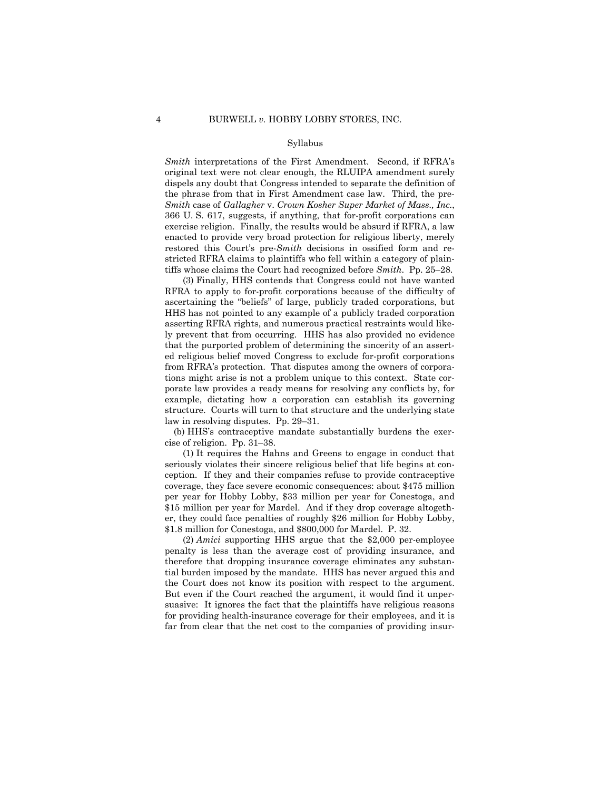*Smith* interpretations of the First Amendment. Second, if RFRA's original text were not clear enough, the RLUIPA amendment surely dispels any doubt that Congress intended to separate the definition of the phrase from that in First Amendment case law. Third, the pre-*Smith* case of *Gallagher* v. *Crown Kosher Super Market of Mass., Inc.*, 366 U. S. 617, suggests, if anything, that for-profit corporations can exercise religion. Finally, the results would be absurd if RFRA, a law enacted to provide very broad protection for religious liberty, merely restored this Court's pre-*Smith* decisions in ossified form and restricted RFRA claims to plaintiffs who fell within a category of plaintiffs whose claims the Court had recognized before *Smith*. Pp. 25–28.

(3) Finally, HHS contends that Congress could not have wanted RFRA to apply to for-profit corporations because of the difficulty of ascertaining the "beliefs" of large, publicly traded corporations, but HHS has not pointed to any example of a publicly traded corporation asserting RFRA rights, and numerous practical restraints would likely prevent that from occurring. HHS has also provided no evidence that the purported problem of determining the sincerity of an asserted religious belief moved Congress to exclude for-profit corporations from RFRA's protection. That disputes among the owners of corporations might arise is not a problem unique to this context. State corporate law provides a ready means for resolving any conflicts by, for example, dictating how a corporation can establish its governing structure. Courts will turn to that structure and the underlying state law in resolving disputes. Pp. 29–31.

(b) HHS's contraceptive mandate substantially burdens the exercise of religion. Pp. 31–38.

(1) It requires the Hahns and Greens to engage in conduct that seriously violates their sincere religious belief that life begins at conception. If they and their companies refuse to provide contraceptive coverage, they face severe economic consequences: about \$475 million per year for Hobby Lobby, \$33 million per year for Conestoga, and \$15 million per year for Mardel. And if they drop coverage altogether, they could face penalties of roughly \$26 million for Hobby Lobby, \$1.8 million for Conestoga, and \$800,000 for Mardel. P. 32.

(2) *Amici* supporting HHS argue that the \$2,000 per-employee penalty is less than the average cost of providing insurance, and therefore that dropping insurance coverage eliminates any substantial burden imposed by the mandate. HHS has never argued this and the Court does not know its position with respect to the argument. But even if the Court reached the argument, it would find it unpersuasive: It ignores the fact that the plaintiffs have religious reasons for providing health-insurance coverage for their employees, and it is far from clear that the net cost to the companies of providing insur-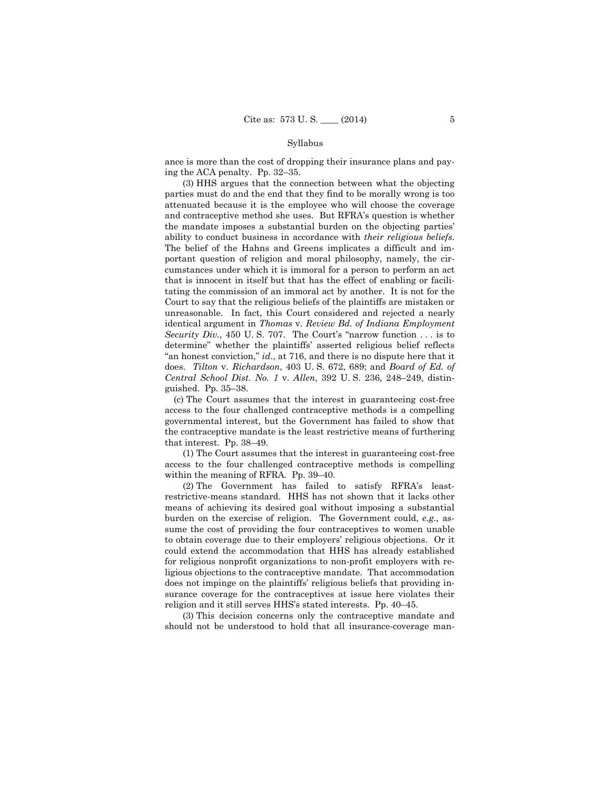ance is more than the cost of dropping their insurance plans and paying the ACA penalty. Pp. 32–35.

(3) HHS argues that the connection between what the objecting parties must do and the end that they find to be morally wrong is too attenuated because it is the employee who will choose the coverage and contraceptive method she uses. But RFRA's question is whether the mandate imposes a substantial burden on the objecting parties' ability to conduct business in accordance with *their religious beliefs.* The belief of the Hahns and Greens implicates a difficult and important question of religion and moral philosophy, namely, the circumstances under which it is immoral for a person to perform an act that is innocent in itself but that has the effect of enabling or facilitating the commission of an immoral act by another. It is not for the Court to say that the religious beliefs of the plaintiffs are mistaken or unreasonable. In fact, this Court considered and rejected a nearly identical argument in *Thomas* v. *Review Bd. of Indiana Employment Security Div.*, 450 U.S. 707. The Court's "narrow function ... is to determine" whether the plaintiffs' asserted religious belief reflects "an honest conviction," *id*., at 716, and there is no dispute here that it does. *Tilton* v. *Richardson*, 403 U. S. 672, 689; and *Board of Ed. of Central School Dist. No. 1* v. *Allen*, 392 U. S. 236, 248–249, distinguished. Pp. 35–38.

(c) The Court assumes that the interest in guaranteeing cost-free access to the four challenged contraceptive methods is a compelling governmental interest, but the Government has failed to show that the contraceptive mandate is the least restrictive means of furthering that interest. Pp. 38–49.

(1) The Court assumes that the interest in guaranteeing cost-free access to the four challenged contraceptive methods is compelling within the meaning of RFRA. Pp. 39–40.

(2) The Government has failed to satisfy RFRA's leastrestrictive-means standard. HHS has not shown that it lacks other means of achieving its desired goal without imposing a substantial burden on the exercise of religion. The Government could, *e.g.,* assume the cost of providing the four contraceptives to women unable to obtain coverage due to their employers' religious objections. Or it could extend the accommodation that HHS has already established for religious nonprofit organizations to non-profit employers with religious objections to the contraceptive mandate. That accommodation does not impinge on the plaintiffs' religious beliefs that providing insurance coverage for the contraceptives at issue here violates their religion and it still serves HHS's stated interests. Pp. 40–45.

(3) This decision concerns only the contraceptive mandate and should not be understood to hold that all insurance-coverage man-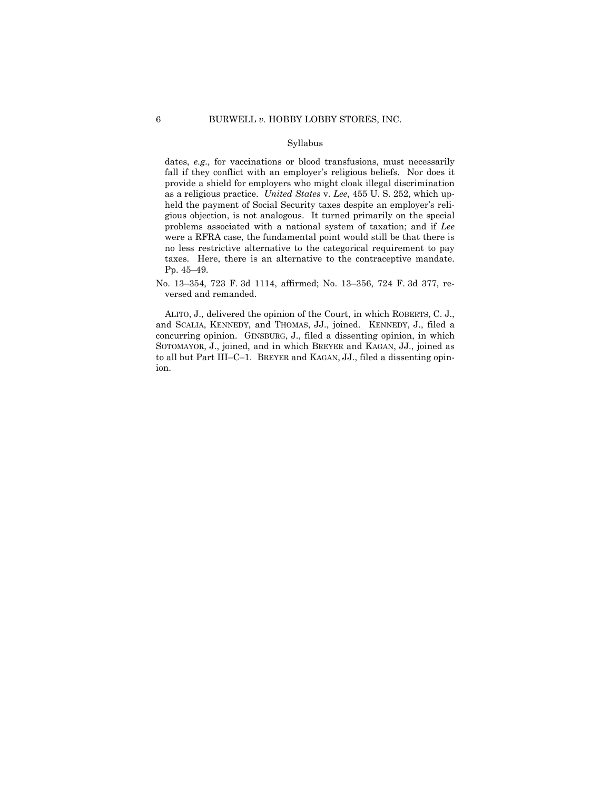# 6 BURWELL *v.* HOBBY LOBBY STORES, INC.

## Syllabus

dates, *e.g.,* for vaccinations or blood transfusions, must necessarily fall if they conflict with an employer's religious beliefs. Nor does it provide a shield for employers who might cloak illegal discrimination as a religious practice. *United States* v. *Lee*, 455 U. S. 252, which upheld the payment of Social Security taxes despite an employer's religious objection, is not analogous. It turned primarily on the special problems associated with a national system of taxation; and if *Lee*  were a RFRA case, the fundamental point would still be that there is no less restrictive alternative to the categorical requirement to pay taxes. Here, there is an alternative to the contraceptive mandate. Pp. 45–49.

No. 13–354, 723 F. 3d 1114, affirmed; No. 13–356, 724 F. 3d 377, reversed and remanded.

ALITO, J., delivered the opinion of the Court, in which ROBERTS, C. J., and SCALIA, KENNEDY, and THOMAS, JJ., joined. KENNEDY, J., filed a concurring opinion. GINSBURG, J., filed a dissenting opinion, in which SOTOMAYOR, J., joined, and in which BREYER and KAGAN, JJ., joined as to all but Part III–C–1. BREYER and KAGAN, JJ., filed a dissenting opinion.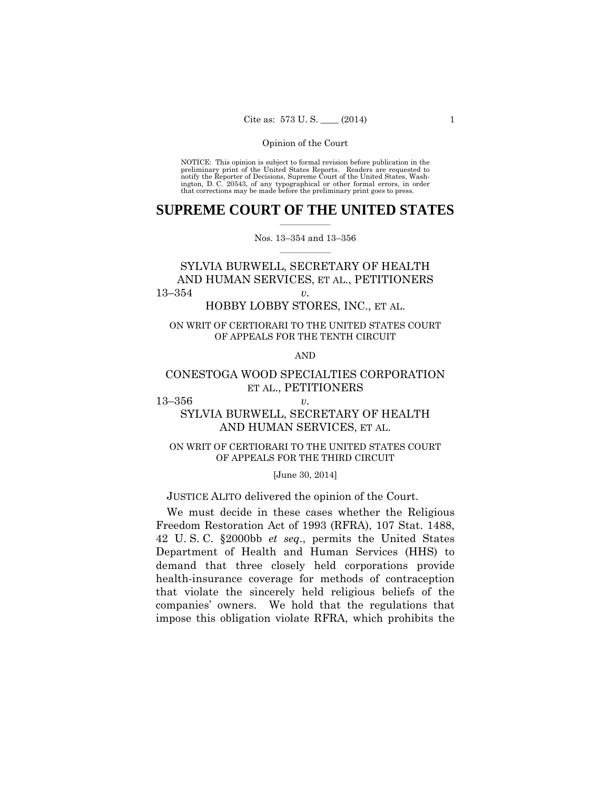preliminary print of the United States Reports. Readers are requested to notify the Reporter of Decisions, Supreme Court of the United States, Wash- ington, D. C. 20543, of any typographical or other formal errors, in order that corrections may be made before the preliminary print goes to press. NOTICE: This opinion is subject to formal revision before publication in the

## $\frac{1}{2}$  ,  $\frac{1}{2}$  ,  $\frac{1}{2}$  ,  $\frac{1}{2}$  ,  $\frac{1}{2}$  ,  $\frac{1}{2}$  ,  $\frac{1}{2}$ **SUPREME COURT OF THE UNITED STATES**

 $\frac{1}{2}$  ,  $\frac{1}{2}$  ,  $\frac{1}{2}$  ,  $\frac{1}{2}$  ,  $\frac{1}{2}$  ,  $\frac{1}{2}$ Nos. 13–354 and 13–356

# SYLVIA BURWELL, SECRETARY OF HEALTH AND HUMAN SERVICES, ET AL., PETITIONERS 13–354 *v.*

HOBBY LOBBY STORES, INC., ET AL.

# ON WRIT OF CERTIORARI TO THE UNITED STATES COURT OF APPEALS FOR THE TENTH CIRCUIT

AND

# CONESTOGA WOOD SPECIALTIES CORPORATION ET AL., PETITIONERS

13–356 *v.* 

# SYLVIA BURWELL, SECRETARY OF HEALTH AND HUMAN SERVICES, ET AL.

# ON WRIT OF CERTIORARI TO THE UNITED STATES COURT OF APPEALS FOR THE THIRD CIRCUIT

## [June 30, 2014]

JUSTICE ALITO delivered the opinion of the Court.

We must decide in these cases whether the Religious Freedom Restoration Act of 1993 (RFRA), 107 Stat. 1488, 42 U. S. C. §2000bb *et seq*., permits the United States Department of Health and Human Services (HHS) to demand that three closely held corporations provide health-insurance coverage for methods of contraception that violate the sincerely held religious beliefs of the companies' owners. We hold that the regulations that impose this obligation violate RFRA, which prohibits the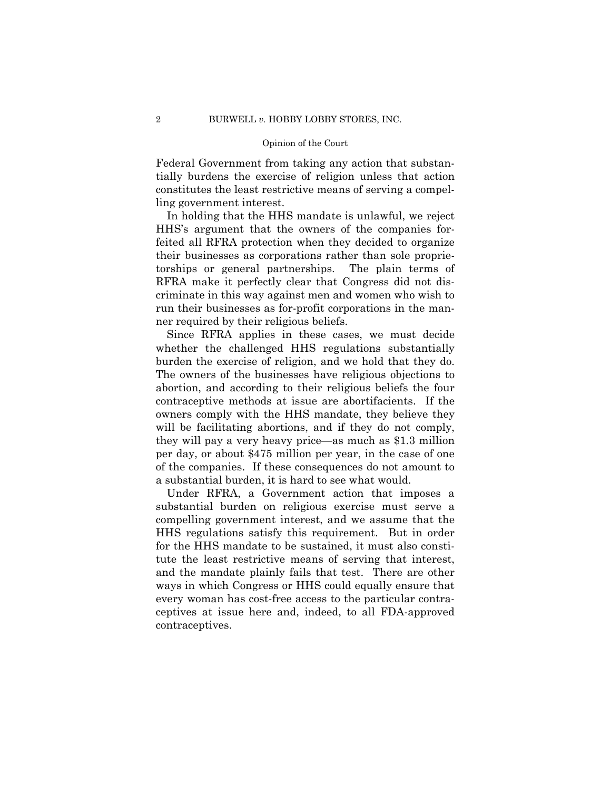Federal Government from taking any action that substantially burdens the exercise of religion unless that action constitutes the least restrictive means of serving a compelling government interest.

In holding that the HHS mandate is unlawful, we reject HHS's argument that the owners of the companies forfeited all RFRA protection when they decided to organize their businesses as corporations rather than sole proprietorships or general partnerships. The plain terms of RFRA make it perfectly clear that Congress did not discriminate in this way against men and women who wish to run their businesses as for-profit corporations in the manner required by their religious beliefs.

Since RFRA applies in these cases, we must decide whether the challenged HHS regulations substantially burden the exercise of religion, and we hold that they do. The owners of the businesses have religious objections to abortion, and according to their religious beliefs the four contraceptive methods at issue are abortifacients. If the owners comply with the HHS mandate, they believe they will be facilitating abortions, and if they do not comply, they will pay a very heavy price—as much as \$1.3 million per day, or about \$475 million per year, in the case of one of the companies. If these consequences do not amount to a substantial burden, it is hard to see what would.

Under RFRA, a Government action that imposes a substantial burden on religious exercise must serve a compelling government interest, and we assume that the HHS regulations satisfy this requirement. But in order for the HHS mandate to be sustained, it must also constitute the least restrictive means of serving that interest, and the mandate plainly fails that test. There are other ways in which Congress or HHS could equally ensure that every woman has cost-free access to the particular contraceptives at issue here and, indeed, to all FDA-approved contraceptives.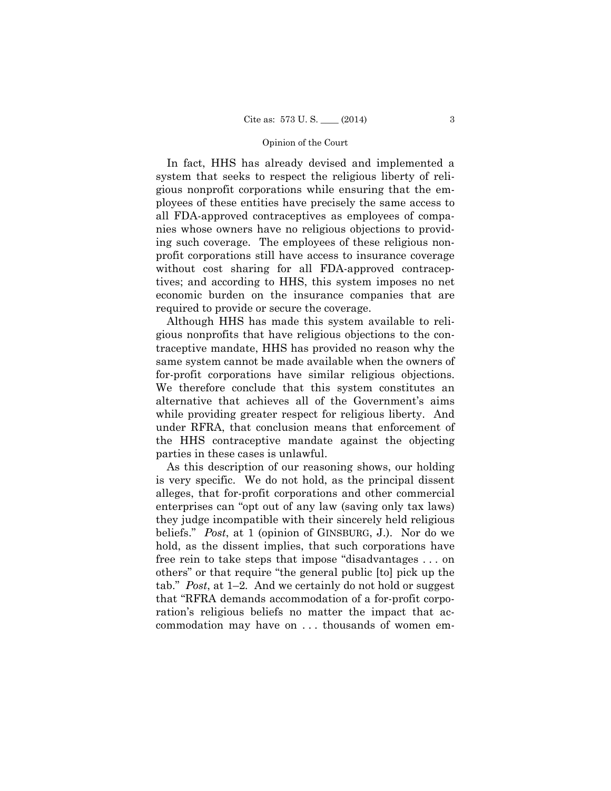In fact, HHS has already devised and implemented a system that seeks to respect the religious liberty of religious nonprofit corporations while ensuring that the employees of these entities have precisely the same access to all FDA-approved contraceptives as employees of companies whose owners have no religious objections to providing such coverage. The employees of these religious nonprofit corporations still have access to insurance coverage without cost sharing for all FDA-approved contraceptives; and according to HHS, this system imposes no net economic burden on the insurance companies that are required to provide or secure the coverage.

Although HHS has made this system available to religious nonprofits that have religious objections to the contraceptive mandate, HHS has provided no reason why the same system cannot be made available when the owners of for-profit corporations have similar religious objections. We therefore conclude that this system constitutes an alternative that achieves all of the Government's aims while providing greater respect for religious liberty. And under RFRA, that conclusion means that enforcement of the HHS contraceptive mandate against the objecting parties in these cases is unlawful.

As this description of our reasoning shows, our holding is very specific. We do not hold, as the principal dissent alleges, that for-profit corporations and other commercial enterprises can "opt out of any law (saving only tax laws) they judge incompatible with their sincerely held religious beliefs." *Post*, at 1 (opinion of GINSBURG, J.). Nor do we hold, as the dissent implies, that such corporations have free rein to take steps that impose "disadvantages . . . on others" or that require "the general public [to] pick up the tab." *Post*, at 1–2*.* And we certainly do not hold or suggest that "RFRA demands accommodation of a for-profit corporation's religious beliefs no matter the impact that accommodation may have on . . . thousands of women em-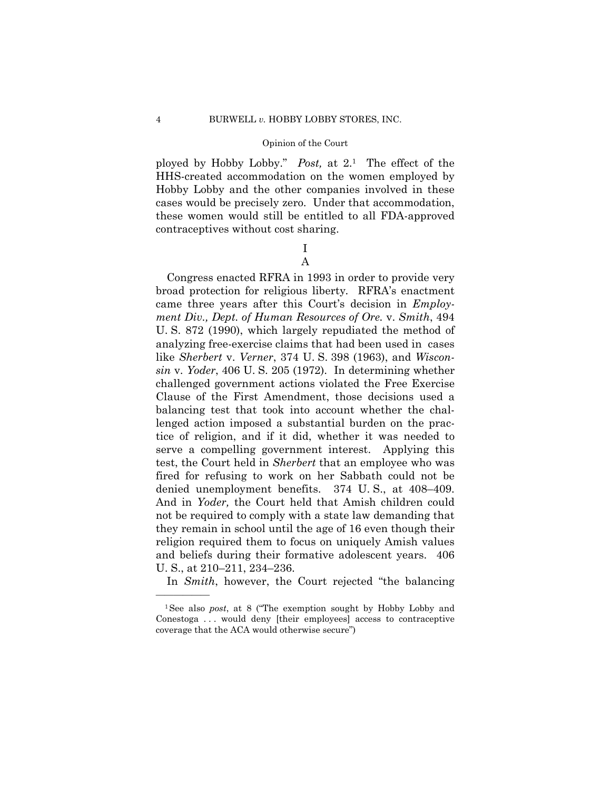ployed by Hobby Lobby." *Post,* at 2.1 The effect of the HHS-created accommodation on the women employed by Hobby Lobby and the other companies involved in these cases would be precisely zero. Under that accommodation, these women would still be entitled to all FDA-approved contraceptives without cost sharing.

# I A

Congress enacted RFRA in 1993 in order to provide very broad protection for religious liberty*.* RFRA's enactment came three years after this Court's decision in *Employment Div., Dept. of Human Resources of Ore.* v. *Smith*, 494 U. S. 872 (1990), which largely repudiated the method of analyzing free-exercise claims that had been used in cases like *Sherbert* v. *Verner*, 374 U. S. 398 (1963), and *Wisconsin* v. *Yoder*, 406 U. S. 205 (1972). In determining whether challenged government actions violated the Free Exercise Clause of the First Amendment, those decisions used a balancing test that took into account whether the challenged action imposed a substantial burden on the practice of religion, and if it did, whether it was needed to serve a compelling government interest. Applying this test, the Court held in *Sherbert* that an employee who was fired for refusing to work on her Sabbath could not be denied unemployment benefits. 374 U. S., at 408–409. And in *Yoder,* the Court held that Amish children could not be required to comply with a state law demanding that they remain in school until the age of 16 even though their religion required them to focus on uniquely Amish values and beliefs during their formative adolescent years. 406 U. S., at 210–211, 234–236.

In *Smith*, however, the Court rejected "the balancing

<sup>1</sup>See also *post*, at 8 ("The exemption sought by Hobby Lobby and Conestoga . . . would deny [their employees] access to contraceptive coverage that the ACA would otherwise secure")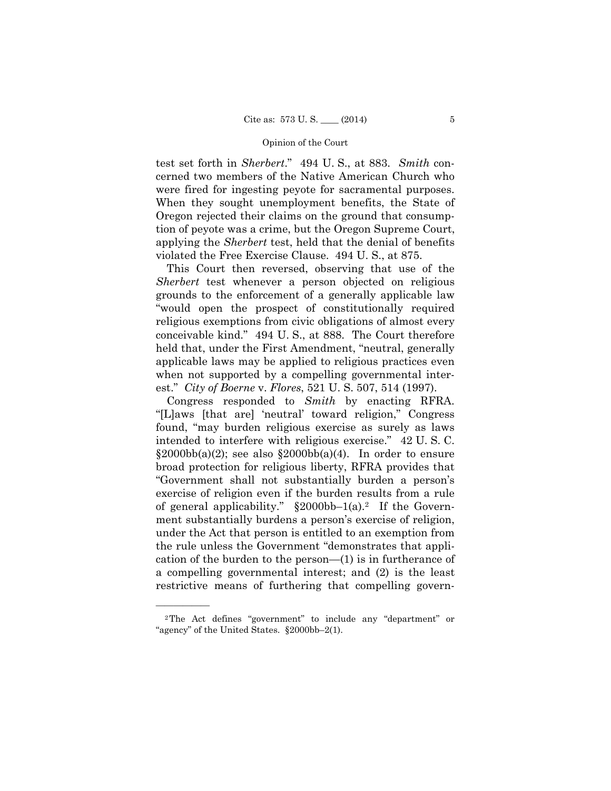test set forth in *Sherbert*." 494 U. S., at 883. *Smith* concerned two members of the Native American Church who were fired for ingesting peyote for sacramental purposes. When they sought unemployment benefits, the State of Oregon rejected their claims on the ground that consumption of peyote was a crime, but the Oregon Supreme Court, applying the *Sherbert* test, held that the denial of benefits violated the Free Exercise Clause. 494 U. S., at 875.

This Court then reversed, observing that use of the *Sherbert* test whenever a person objected on religious grounds to the enforcement of a generally applicable law "would open the prospect of constitutionally required religious exemptions from civic obligations of almost every conceivable kind." 494 U. S., at 888. The Court therefore held that, under the First Amendment, "neutral, generally applicable laws may be applied to religious practices even when not supported by a compelling governmental interest." *City of Boerne* v. *Flores*, 521 U. S. 507, 514 (1997).

Congress responded to Smith by enacting RFRA. "[L]aws [that are] 'neutral' toward religion," Congress found, "may burden religious exercise as surely as laws intended to interfere with religious exercise." 42 U. S. C.  $\S 2000bb(a)(2)$ ; see also  $\S 2000bb(a)(4)$ . In order to ensure broad protection for religious liberty, RFRA provides that "Government shall not substantially burden a person's exercise of religion even if the burden results from a rule of general applicability."  $\S 2000bb-1(a)$ . If the Government substantially burdens a person's exercise of religion, under the Act that person is entitled to an exemption from the rule unless the Government "demonstrates that application of the burden to the person—(1) is in furtherance of a compelling governmental interest; and (2) is the least restrictive means of furthering that compelling govern-

<sup>2</sup>The Act defines "government" to include any "department" or "agency" of the United States. §2000bb–2(1).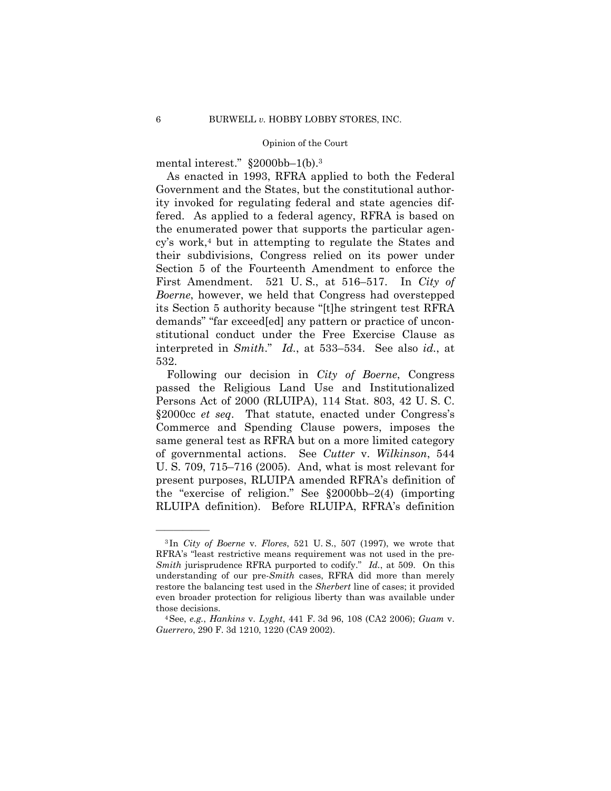mental interest." §2000bb–1(b).3

As enacted in 1993, RFRA applied to both the Federal Government and the States, but the constitutional authority invoked for regulating federal and state agencies differed. As applied to a federal agency, RFRA is based on the enumerated power that supports the particular agency's work,4 but in attempting to regulate the States and their subdivisions, Congress relied on its power under Section 5 of the Fourteenth Amendment to enforce the First Amendment. 521 U. S., at 516–517. In *City of Boerne*, however, we held that Congress had overstepped its Section 5 authority because "[t]he stringent test RFRA demands" "far exceed[ed] any pattern or practice of unconstitutional conduct under the Free Exercise Clause as interpreted in *Smith*." *Id.*, at 533–534. See also *id.*, at 532.

Following our decision in *City of Boerne*, Congress passed the Religious Land Use and Institutionalized Persons Act of 2000 (RLUIPA), 114 Stat. 803, 42 U. S. C. §2000cc *et seq*. That statute, enacted under Congress's Commerce and Spending Clause powers, imposes the same general test as RFRA but on a more limited category of governmental actions. See *Cutter* v. *Wilkinson*, 544 U. S. 709, 715–716 (2005). And, what is most relevant for present purposes, RLUIPA amended RFRA's definition of the "exercise of religion." See §2000bb–2(4) (importing RLUIPA definition). Before RLUIPA, RFRA's definition

 *Smith* jurisprudence RFRA purported to codify." *Id.*, at 509. On this <sup>3</sup> In *City of Boerne* v. *Flores*, 521 U. S., 507 (1997), we wrote that RFRA's "least restrictive means requirement was not used in the preunderstanding of our pre-*Smith* cases, RFRA did more than merely restore the balancing test used in the *Sherbert* line of cases; it provided even broader protection for religious liberty than was available under those decisions. 4See, *e.g.*, *Hankins* v. *Lyght*, 441 F. 3d 96, 108 (CA2 2006); *Guam* v.

*Guerrero*, 290 F. 3d 1210, 1220 (CA9 2002).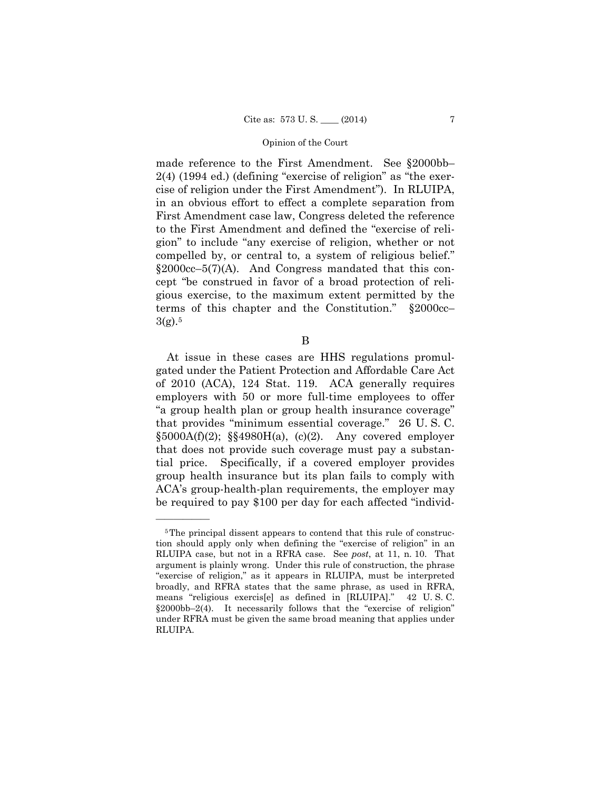made reference to the First Amendment. See §2000bb– 2(4) (1994 ed.) (defining "exercise of religion" as "the exercise of religion under the First Amendment"). In RLUIPA, in an obvious effort to effect a complete separation from First Amendment case law, Congress deleted the reference to the First Amendment and defined the "exercise of religion" to include "any exercise of religion, whether or not compelled by, or central to, a system of religious belief."  $§2000cc-5(7)(A)$ . And Congress mandated that this concept "be construed in favor of a broad protection of religious exercise, to the maximum extent permitted by the terms of this chapter and the Constitution." §2000cc–  $3(g).5$ 

B

At issue in these cases are HHS regulations promulgated under the Patient Protection and Affordable Care Act of 2010 (ACA), 124 Stat. 119. ACA generally requires employers with 50 or more full-time employees to offer "a group health plan or group health insurance coverage" that provides "minimum essential coverage." 26 U. S. C.  $§5000A(f)(2);$   $§§4980H(a), (c)(2).$  Any covered employer that does not provide such coverage must pay a substantial price. Specifically, if a covered employer provides group health insurance but its plan fails to comply with ACA's group-health-plan requirements, the employer may be required to pay \$100 per day for each affected "individ-

<sup>42</sup> U.S.C. <sup>5</sup>The principal dissent appears to contend that this rule of construction should apply only when defining the "exercise of religion" in an RLUIPA case, but not in a RFRA case. See *post*, at 11, n. 10. That argument is plainly wrong. Under this rule of construction, the phrase "exercise of religion," as it appears in RLUIPA, must be interpreted broadly, and RFRA states that the same phrase, as used in RFRA, means "religious exercis[e] as defined in [RLUIPA]." §2000bb–2(4). It necessarily follows that the "exercise of religion" under RFRA must be given the same broad meaning that applies under RLUIPA.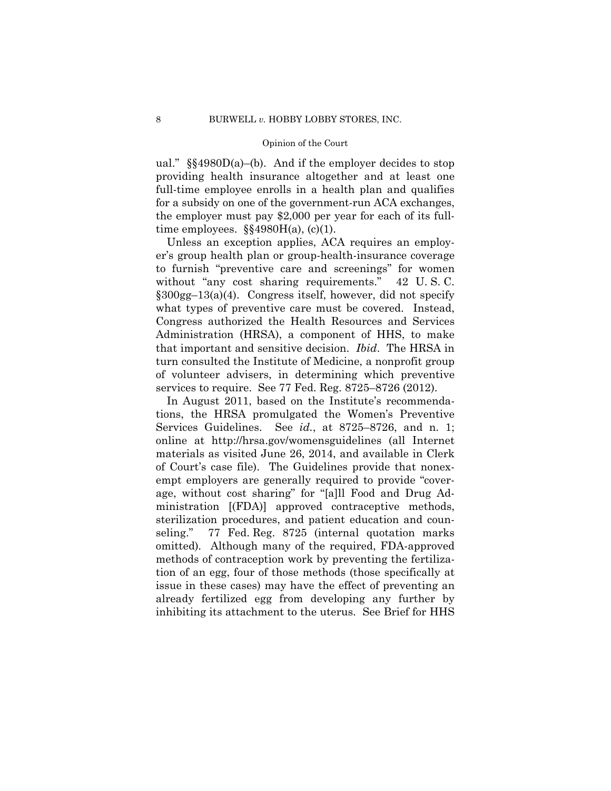ual."  $\S$ \$4980D(a)–(b). And if the employer decides to stop providing health insurance altogether and at least one full-time employee enrolls in a health plan and qualifies for a subsidy on one of the government-run ACA exchanges, the employer must pay \$2,000 per year for each of its fulltime employees.  $\S$ §4980H(a), (c)(1).

Unless an exception applies, ACA requires an employer's group health plan or group-health-insurance coverage to furnish "preventive care and screenings" for women without "any cost sharing requirements." 42 U.S.C. §300gg–13(a)(4). Congress itself, however, did not specify what types of preventive care must be covered. Instead, Congress authorized the Health Resources and Services Administration (HRSA), a component of HHS, to make that important and sensitive decision. *Ibid*. The HRSA in turn consulted the Institute of Medicine, a nonprofit group of volunteer advisers, in determining which preventive services to require. See 77 Fed. Reg. 8725–8726 (2012).

In August 2011, based on the Institute's recommendations, the HRSA promulgated the Women's Preventive Services Guidelines. See *id.*, at 8725–8726, and n. 1; online at http://hrsa.gov/womensguidelines (all Internet materials as visited June 26, 2014, and available in Clerk of Court's case file). The Guidelines provide that nonexempt employers are generally required to provide "coverage, without cost sharing" for "[a]ll Food and Drug Administration [(FDA)] approved contraceptive methods, sterilization procedures, and patient education and counseling." 77 Fed. Reg. 8725 (internal quotation marks omitted)*.* Although many of the required, FDA-approved methods of contraception work by preventing the fertilization of an egg, four of those methods (those specifically at issue in these cases) may have the effect of preventing an already fertilized egg from developing any further by inhibiting its attachment to the uterus. See Brief for HHS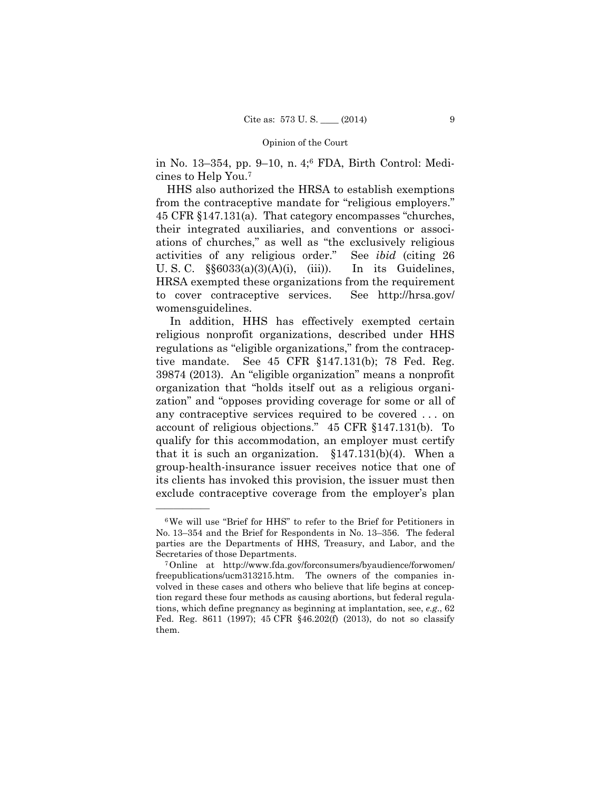in No. 13–354, pp. 9–10, n. 4;6 FDA, Birth Control: Medicines to Help You.7

HHS also authorized the HRSA to establish exemptions from the contraceptive mandate for "religious employers." 45 CFR §147.131(a). That category encompasses "churches, their integrated auxiliaries, and conventions or associations of churches," as well as "the exclusively religious activities of any religious order." See *ibid* (citing 26 U. S. C.  $\S6033(a)(3)(A)(i)$ , (iii)). In its Guidelines, HRSA exempted these organizations from the requirement to cover contraceptive services. See http://hrsa.gov/ womensguidelines.

In addition, HHS has effectively exempted certain religious nonprofit organizations, described under HHS regulations as "eligible organizations," from the contraceptive mandate. See 45 CFR §147.131(b); 78 Fed. Reg. 39874 (2013). An "eligible organization" means a nonprofit organization that "holds itself out as a religious organization" and "opposes providing coverage for some or all of any contraceptive services required to be covered . . . on account of religious objections." 45 CFR §147.131(b). To qualify for this accommodation, an employer must certify that it is such an organization.  $$147.131(b)(4)$ . When a group-health-insurance issuer receives notice that one of its clients has invoked this provision, the issuer must then exclude contraceptive coverage from the employer's plan

<sup>6</sup>We will use "Brief for HHS" to refer to the Brief for Petitioners in No. 13–354 and the Brief for Respondents in No. 13–356. The federal parties are the Departments of HHS, Treasury, and Labor, and the Secretaries of those Departments. 7Online at http://www.fda.gov/forconsumers/byaudience/forwomen/

freepublications/ucm313215.htm. The owners of the companies involved in these cases and others who believe that life begins at conception regard these four methods as causing abortions, but federal regulations, which define pregnancy as beginning at implantation, see, *e.g*., 62 Fed. Reg. 8611 (1997); 45 CFR §46.202(f) (2013), do not so classify them.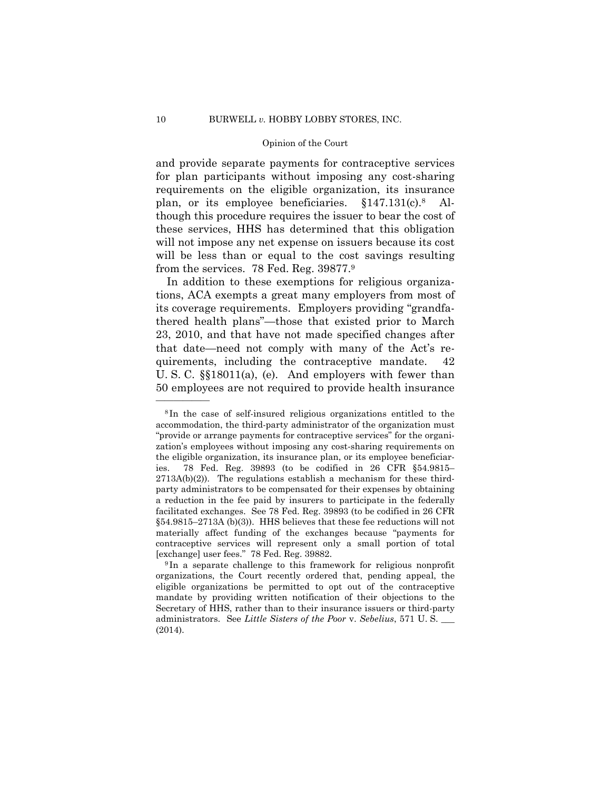though this procedure requires the issuer to bear the cost of and provide separate payments for contraceptive services for plan participants without imposing any cost-sharing requirements on the eligible organization, its insurance plan, or its employee beneficiaries. §147.131(c).8 Althese services, HHS has determined that this obligation will not impose any net expense on issuers because its cost will be less than or equal to the cost savings resulting from the services. 78 Fed. Reg. 39877.9

In addition to these exemptions for religious organizations, ACA exempts a great many employers from most of its coverage requirements. Employers providing "grandfathered health plans"—those that existed prior to March 23, 2010, and that have not made specified changes after that date—need not comply with many of the Act's requirements, including the contraceptive mandate. 42 U. S. C. §§18011(a), (e). And employers with fewer than 50 employees are not required to provide health insurance

<sup>8</sup> In the case of self-insured religious organizations entitled to the accommodation, the third-party administrator of the organization must "provide or arrange payments for contraceptive services" for the organization's employees without imposing any cost-sharing requirements on the eligible organization, its insurance plan, or its employee beneficiaries. 78 Fed. Reg. 39893 (to be codified in 26 CFR §54.9815–  $2713A(b)(2)$ ). The regulations establish a mechanism for these thirdparty administrators to be compensated for their expenses by obtaining a reduction in the fee paid by insurers to participate in the federally facilitated exchanges. See 78 Fed. Reg. 39893 (to be codified in 26 CFR §54.9815–2713A (b)(3)). HHS believes that these fee reductions will not materially affect funding of the exchanges because "payments for contraceptive services will represent only a small portion of total [exchange] user fees." 78 Fed. Reg. 39882. 9 In a separate challenge to this framework for religious nonprofit

organizations, the Court recently ordered that, pending appeal, the eligible organizations be permitted to opt out of the contraceptive mandate by providing written notification of their objections to the Secretary of HHS, rather than to their insurance issuers or third-party administrators. See *Little Sisters of the Poor* v. *Sebelius*, 571 U. S. \_\_\_ (2014).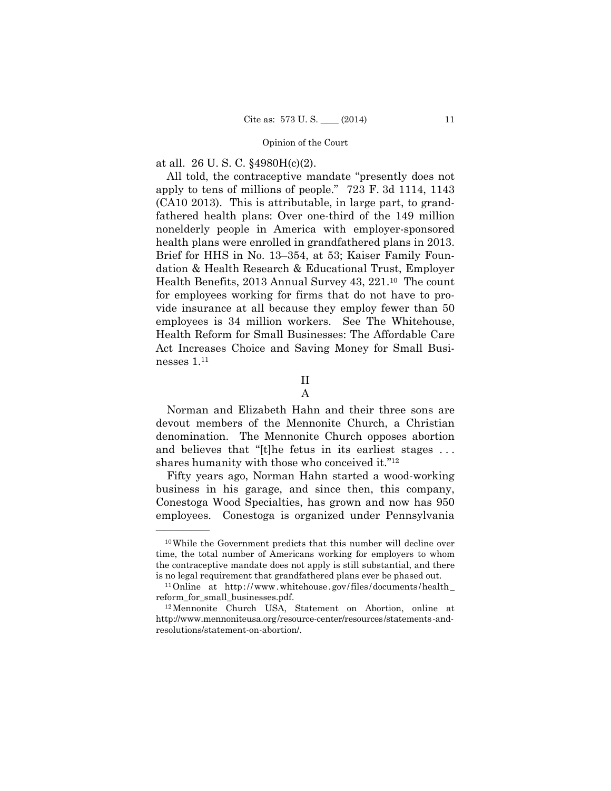at all. 26 U. S. C. §4980H(c)(2).

——————

 Health Benefits, 2013 Annual Survey 43, 221.10 The count All told, the contraceptive mandate "presently does not apply to tens of millions of people." 723 F. 3d 1114, 1143 (CA10 2013). This is attributable, in large part, to grandfathered health plans: Over one-third of the 149 million nonelderly people in America with employer-sponsored health plans were enrolled in grandfathered plans in 2013. Brief for HHS in No. 13–354, at 53; Kaiser Family Foundation & Health Research & Educational Trust, Employer for employees working for firms that do not have to provide insurance at all because they employ fewer than 50 employees is 34 million workers. See The Whitehouse, Health Reform for Small Businesses: The Affordable Care Act Increases Choice and Saving Money for Small Businesses 1.11

II

A

Norman and Elizabeth Hahn and their three sons are devout members of the Mennonite Church, a Christian denomination. The Mennonite Church opposes abortion and believes that "[t]he fetus in its earliest stages . . . shares humanity with those who conceived it."12

Fifty years ago, Norman Hahn started a wood-working business in his garage, and since then, this company, Conestoga Wood Specialties, has grown and now has 950 employees. Conestoga is organized under Pennsylvania

is no legal requirement that grandfathered plans ever be phased out.<br><sup>11</sup>Online at http://www.whitehouse.gov/files/documents/health\_ 10While the Government predicts that this number will decline over time, the total number of Americans working for employers to whom the contraceptive mandate does not apply is still substantial, and there

reform\_for\_small\_businesses.pdf. 12Mennonite Church USA, Statement on Abortion, online at

http://www.mennoniteusa.org/resource-center/resources/statements-andresolutions/statement-on-abortion/.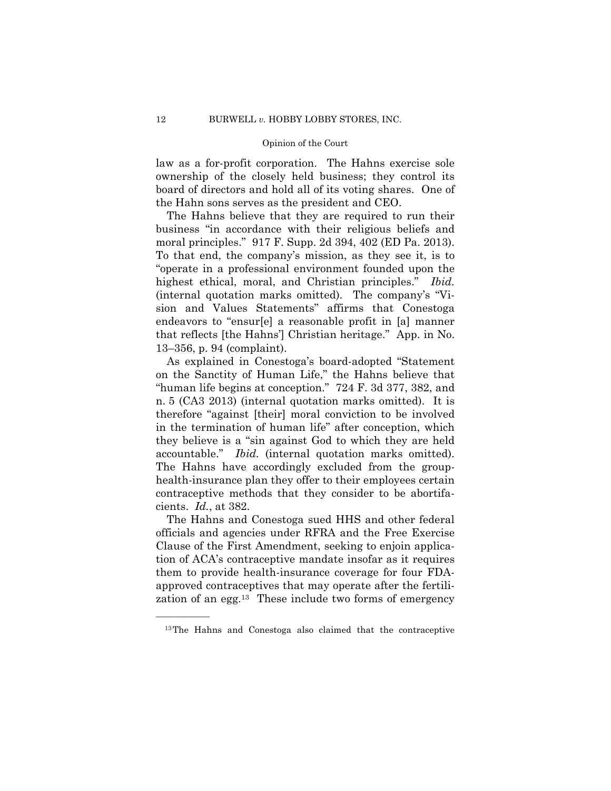law as a for-profit corporation. The Hahns exercise sole ownership of the closely held business; they control its board of directors and hold all of its voting shares. One of the Hahn sons serves as the president and CEO.

The Hahns believe that they are required to run their business "in accordance with their religious beliefs and moral principles." 917 F. Supp. 2d 394, 402 (ED Pa. 2013). To that end, the company's mission, as they see it, is to "operate in a professional environment founded upon the highest ethical, moral, and Christian principles." *Ibid.*  (internal quotation marks omitted). The company's "Vision and Values Statements" affirms that Conestoga endeavors to "ensur[e] a reasonable profit in [a] manner that reflects [the Hahns'] Christian heritage." App. in No. 13–356, p. 94 (complaint).

As explained in Conestoga's board-adopted "Statement on the Sanctity of Human Life," the Hahns believe that "human life begins at conception." 724 F. 3d 377, 382, and n. 5 (CA3 2013) (internal quotation marks omitted). It is therefore "against [their] moral conviction to be involved in the termination of human life" after conception, which they believe is a "sin against God to which they are held accountable." *Ibid.* (internal quotation marks omitted). The Hahns have accordingly excluded from the grouphealth-insurance plan they offer to their employees certain contraceptive methods that they consider to be abortifacients. *Id.*, at 382.

The Hahns and Conestoga sued HHS and other federal officials and agencies under RFRA and the Free Exercise Clause of the First Amendment, seeking to enjoin application of ACA's contraceptive mandate insofar as it requires them to provide health-insurance coverage for four FDAapproved contraceptives that may operate after the fertilization of an egg.13 These include two forms of emergency

<sup>13</sup>The Hahns and Conestoga also claimed that the contraceptive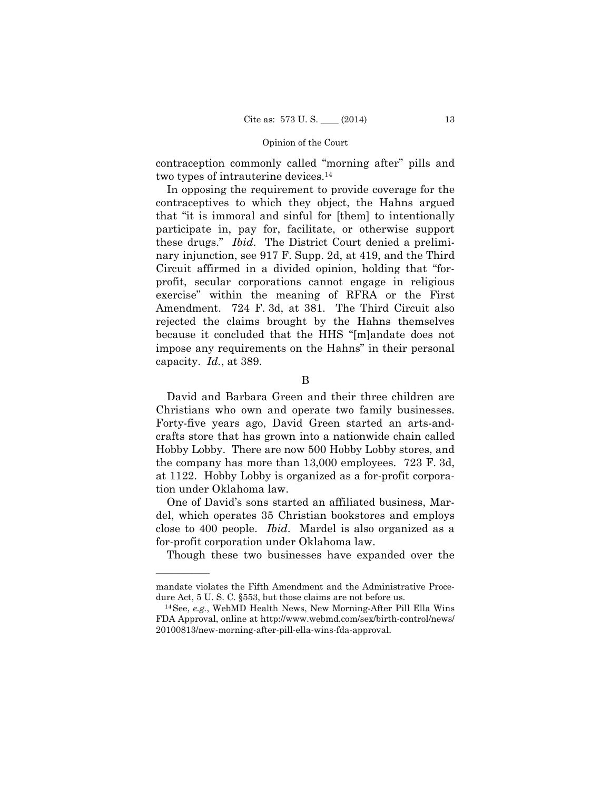contraception commonly called "morning after" pills and two types of intrauterine devices.14

In opposing the requirement to provide coverage for the contraceptives to which they object, the Hahns argued that "it is immoral and sinful for [them] to intentionally participate in, pay for, facilitate, or otherwise support these drugs." *Ibid*. The District Court denied a preliminary injunction, see 917 F. Supp. 2d, at 419, and the Third Circuit affirmed in a divided opinion, holding that "forprofit, secular corporations cannot engage in religious exercise" within the meaning of RFRA or the First Amendment. 724 F. 3d, at 381. The Third Circuit also rejected the claims brought by the Hahns themselves because it concluded that the HHS "[m]andate does not impose any requirements on the Hahns" in their personal capacity. *Id.*, at 389.

David and Barbara Green and their three children are Christians who own and operate two family businesses. Forty-five years ago, David Green started an arts-andcrafts store that has grown into a nationwide chain called Hobby Lobby. There are now 500 Hobby Lobby stores, and the company has more than 13,000 employees. 723 F. 3d, at 1122. Hobby Lobby is organized as a for-profit corporation under Oklahoma law.

One of David's sons started an affiliated business, Mardel, which operates 35 Christian bookstores and employs close to 400 people. *Ibid*. Mardel is also organized as a for-profit corporation under Oklahoma law.

Though these two businesses have expanded over the

B

mandate violates the Fifth Amendment and the Administrative Procedure Act, 5 U. S. C. §553, but those claims are not before us. 14See, *e.g.*, WebMD Health News, New Morning-After Pill Ella Wins

FDA Approval, online at http://www.webmd.com/sex/birth-control/news/ 20100813/new-morning-after-pill-ella-wins-fda-approval.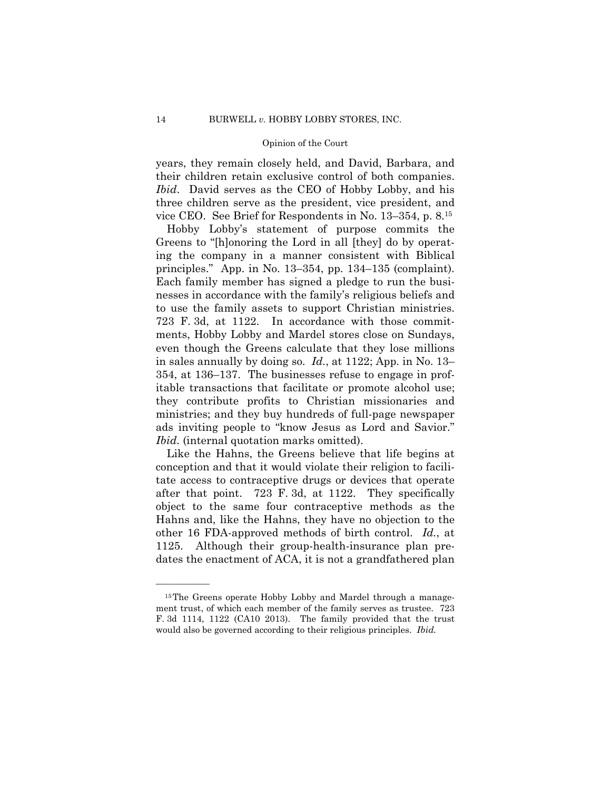years, they remain closely held, and David, Barbara, and their children retain exclusive control of both companies. *Ibid*. David serves as the CEO of Hobby Lobby, and his three children serve as the president, vice president, and vice CEO. See Brief for Respondents in No. 13–354, p. 8.15

Hobby Lobby's statement of purpose commits the Greens to "[h]onoring the Lord in all [they] do by operating the company in a manner consistent with Biblical principles." App. in No. 13–354, pp. 134–135 (complaint). Each family member has signed a pledge to run the businesses in accordance with the family's religious beliefs and to use the family assets to support Christian ministries. 723 F. 3d, at 1122. In accordance with those commitments, Hobby Lobby and Mardel stores close on Sundays, even though the Greens calculate that they lose millions in sales annually by doing so. *Id.*, at 1122; App. in No. 13– 354, at 136–137. The businesses refuse to engage in profitable transactions that facilitate or promote alcohol use; they contribute profits to Christian missionaries and ministries; and they buy hundreds of full-page newspaper ads inviting people to "know Jesus as Lord and Savior." *Ibid.* (internal quotation marks omitted).

Like the Hahns, the Greens believe that life begins at conception and that it would violate their religion to facilitate access to contraceptive drugs or devices that operate after that point. 723 F. 3d, at 1122. They specifically object to the same four contraceptive methods as the Hahns and, like the Hahns, they have no objection to the other 16 FDA-approved methods of birth control. *Id.*, at 1125. Although their group-health-insurance plan predates the enactment of ACA, it is not a grandfathered plan

<sup>&</sup>lt;sup>15</sup>The Greens operate Hobby Lobby and Mardel through a management trust, of which each member of the family serves as trustee. 723 F. 3d 1114, 1122 (CA10 2013). The family provided that the trust would also be governed according to their religious principles. *Ibid.*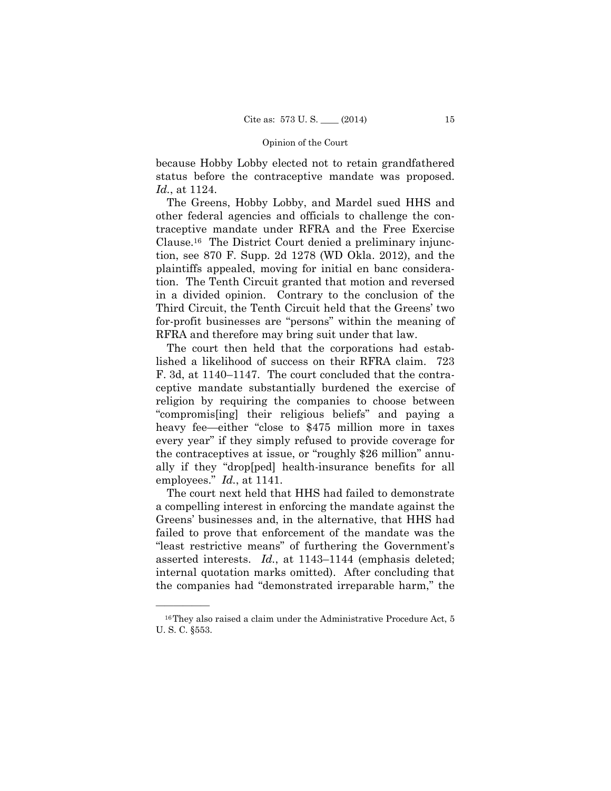because Hobby Lobby elected not to retain grandfathered status before the contraceptive mandate was proposed. *Id.*, at 1124.

The Greens, Hobby Lobby, and Mardel sued HHS and other federal agencies and officials to challenge the contraceptive mandate under RFRA and the Free Exercise Clause.16 The District Court denied a preliminary injunction, see 870 F. Supp. 2d 1278 (WD Okla. 2012), and the plaintiffs appealed, moving for initial en banc consideration. The Tenth Circuit granted that motion and reversed in a divided opinion. Contrary to the conclusion of the Third Circuit, the Tenth Circuit held that the Greens' two for-profit businesses are "persons" within the meaning of RFRA and therefore may bring suit under that law.

 employees." *Id.*, at 1141. The court then held that the corporations had established a likelihood of success on their RFRA claim. 723 F. 3d, at 1140–1147. The court concluded that the contraceptive mandate substantially burdened the exercise of religion by requiring the companies to choose between "compromis[ing] their religious beliefs" and paying a heavy fee—either "close to \$475 million more in taxes every year" if they simply refused to provide coverage for the contraceptives at issue, or "roughly \$26 million" annually if they "drop[ped] health-insurance benefits for all

The court next held that HHS had failed to demonstrate a compelling interest in enforcing the mandate against the Greens' businesses and, in the alternative, that HHS had failed to prove that enforcement of the mandate was the "least restrictive means" of furthering the Government's asserted interests. *Id.*, at 1143–1144 (emphasis deleted; internal quotation marks omitted). After concluding that the companies had "demonstrated irreparable harm," the

<sup>&</sup>lt;sup>16</sup>They also raised a claim under the Administrative Procedure Act, 5 U. S. C. §553.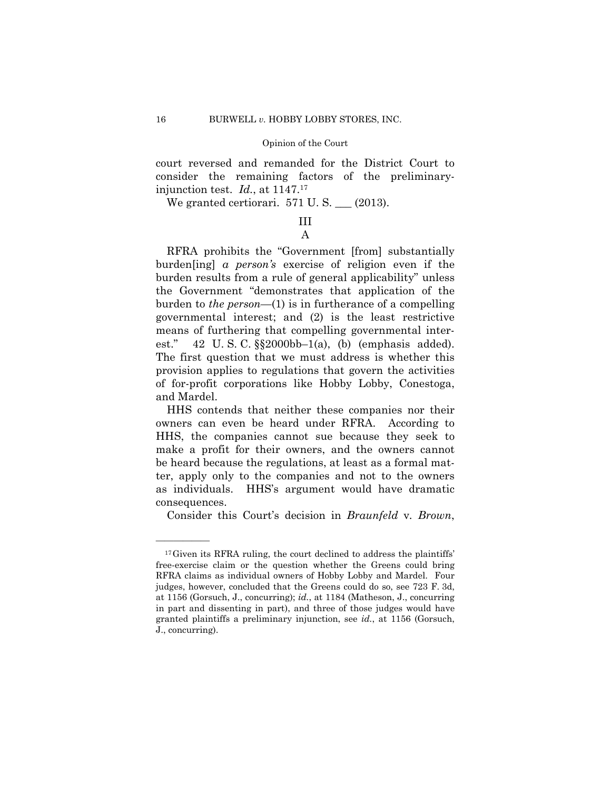court reversed and remanded for the District Court to consider the remaining factors of the preliminaryinjunction test. *Id.*, at 1147.17

We granted certiorari.  $571$  U. S.  $\_\_$  (2013).

# III A

RFRA prohibits the "Government [from] substantially burden[ing] *a person's* exercise of religion even if the burden results from a rule of general applicability" unless the Government "demonstrates that application of the burden to *the person*—(1) is in furtherance of a compelling governmental interest; and (2) is the least restrictive means of furthering that compelling governmental interest." 42 U.S.C.  $\S$ 2000bb-1(a), (b) (emphasis added). The first question that we must address is whether this provision applies to regulations that govern the activities of for-profit corporations like Hobby Lobby, Conestoga, and Mardel.

HHS contends that neither these companies nor their owners can even be heard under RFRA. According to HHS, the companies cannot sue because they seek to make a profit for their owners, and the owners cannot be heard because the regulations, at least as a formal matter, apply only to the companies and not to the owners as individuals. HHS's argument would have dramatic consequences.

Consider this Court's decision in *Braunfeld* v*. Brown*,

<sup>&</sup>lt;sup>17</sup>Given its RFRA ruling, the court declined to address the plaintiffs' free-exercise claim or the question whether the Greens could bring RFRA claims as individual owners of Hobby Lobby and Mardel. Four judges, however, concluded that the Greens could do so, see 723 F. 3d, at 1156 (Gorsuch, J., concurring); *id.*, at 1184 (Matheson, J., concurring in part and dissenting in part), and three of those judges would have granted plaintiffs a preliminary injunction, see *id.*, at 1156 (Gorsuch, J., concurring).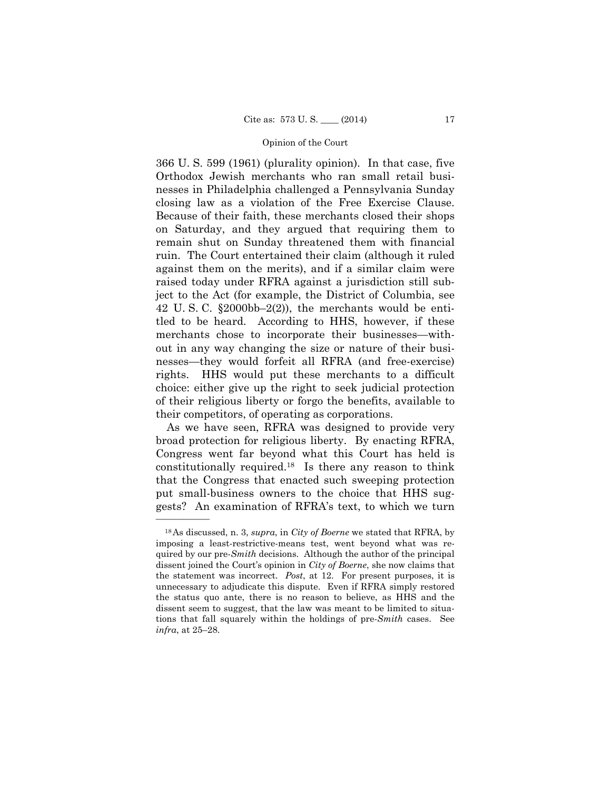366 U. S. 599 (1961) (plurality opinion). In that case, five Orthodox Jewish merchants who ran small retail businesses in Philadelphia challenged a Pennsylvania Sunday closing law as a violation of the Free Exercise Clause. Because of their faith, these merchants closed their shops on Saturday, and they argued that requiring them to remain shut on Sunday threatened them with financial ruin. The Court entertained their claim (although it ruled against them on the merits), and if a similar claim were raised today under RFRA against a jurisdiction still subject to the Act (for example, the District of Columbia, see 42 U.S.C.  $\S 2000bb - 2(2)$ , the merchants would be entitled to be heard. According to HHS, however, if these merchants chose to incorporate their businesses—without in any way changing the size or nature of their businesses—they would forfeit all RFRA (and free-exercise) rights. HHS would put these merchants to a difficult choice: either give up the right to seek judicial protection of their religious liberty or forgo the benefits, available to their competitors, of operating as corporations.

As we have seen, RFRA was designed to provide very broad protection for religious liberty. By enacting RFRA, Congress went far beyond what this Court has held is constitutionally required.18 Is there any reason to think that the Congress that enacted such sweeping protection put small-business owners to the choice that HHS suggests? An examination of RFRA's text, to which we turn

 18As discussed, n. 3, *supra*, in *City of Boerne* we stated that RFRA, by tions that fall squarely within the holdings of pre-*Smith* cases. See imposing a least-restrictive-means test, went beyond what was required by our pre-*Smith* decisions. Although the author of the principal dissent joined the Court's opinion in *City of Boerne*, she now claims that the statement was incorrect. *Post*, at 12. For present purposes, it is unnecessary to adjudicate this dispute. Even if RFRA simply restored the status quo ante, there is no reason to believe, as HHS and the dissent seem to suggest, that the law was meant to be limited to situa*infra*, at 25–28.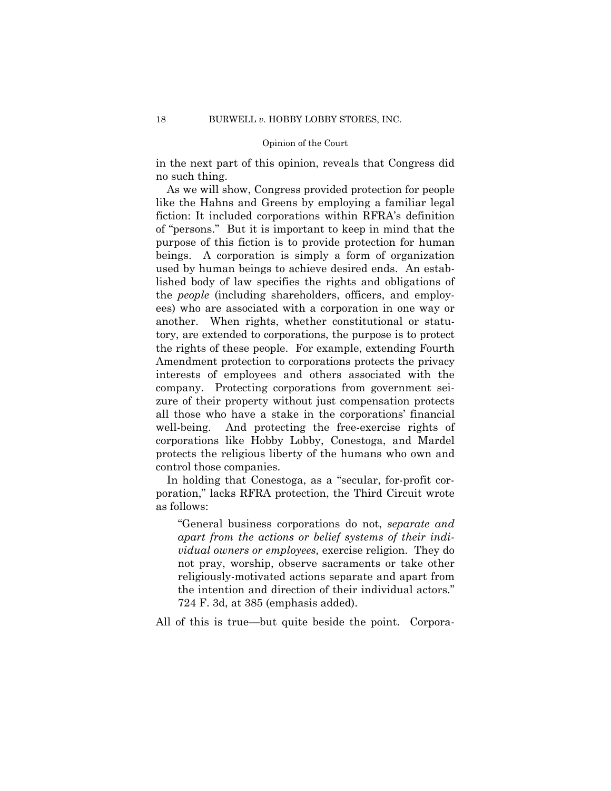in the next part of this opinion, reveals that Congress did no such thing.

As we will show, Congress provided protection for people like the Hahns and Greens by employing a familiar legal fiction: It included corporations within RFRA's definition of "persons." But it is important to keep in mind that the purpose of this fiction is to provide protection for human beings. A corporation is simply a form of organization used by human beings to achieve desired ends. An established body of law specifies the rights and obligations of the *people* (including shareholders, officers, and employees) who are associated with a corporation in one way or another. When rights, whether constitutional or statutory, are extended to corporations, the purpose is to protect the rights of these people. For example, extending Fourth Amendment protection to corporations protects the privacy interests of employees and others associated with the company. Protecting corporations from government seizure of their property without just compensation protects all those who have a stake in the corporations' financial well-being. And protecting the free-exercise rights of corporations like Hobby Lobby, Conestoga, and Mardel protects the religious liberty of the humans who own and control those companies.

In holding that Conestoga, as a "secular, for-profit corporation," lacks RFRA protection, the Third Circuit wrote as follows:

"General business corporations do not, *separate and apart from the actions or belief systems of their individual owners or employees,* exercise religion. They do not pray, worship, observe sacraments or take other religiously-motivated actions separate and apart from the intention and direction of their individual actors." 724 F. 3d, at 385 (emphasis added).

All of this is true—but quite beside the point. Corpora-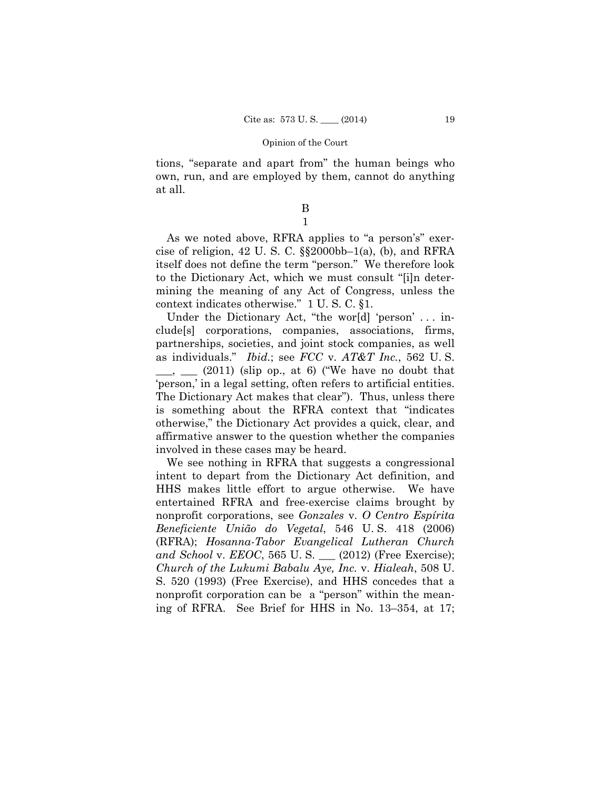tions, "separate and apart from" the human beings who own, run, and are employed by them, cannot do anything at all.

> B 1

As we noted above, RFRA applies to "a person's" exercise of religion, 42 U.S. C.  $\S$ 2000bb–1(a), (b), and RFRA itself does not define the term "person." We therefore look to the Dictionary Act, which we must consult "[i]n determining the meaning of any Act of Congress, unless the context indicates otherwise." 1 U. S. C. §1.

Under the Dictionary Act, "the world 'person' ... include[s] corporations, companies, associations, firms, partnerships, societies, and joint stock companies, as well as individuals." *Ibid.*; see *FCC* v. *AT&T Inc.*, 562 U. S.  $\frac{1}{\sqrt{2}}$  (2011) (slip op., at 6) ("We have no doubt that 'person,' in a legal setting, often refers to artificial entities. The Dictionary Act makes that clear"). Thus, unless there is something about the RFRA context that "indicates otherwise," the Dictionary Act provides a quick, clear, and affirmative answer to the question whether the companies involved in these cases may be heard.

We see nothing in RFRA that suggests a congressional intent to depart from the Dictionary Act definition, and HHS makes little effort to argue otherwise. We have entertained RFRA and free-exercise claims brought by nonprofit corporations, see *Gonzales* v. *O Centro Espírita Beneficiente União do Vegetal*, 546 U. S. 418 (2006) (RFRA); *Hosanna-Tabor Evangelical Lutheran Church and School* v. *EEOC*, 565 U. S. \_\_\_ (2012) (Free Exercise); *Church of the Lukumi Babalu Aye, Inc.* v. *Hialeah*, 508 U. S. 520 (1993) (Free Exercise), and HHS concedes that a nonprofit corporation can be a "person" within the meaning of RFRA. See Brief for HHS in No. 13–354, at 17;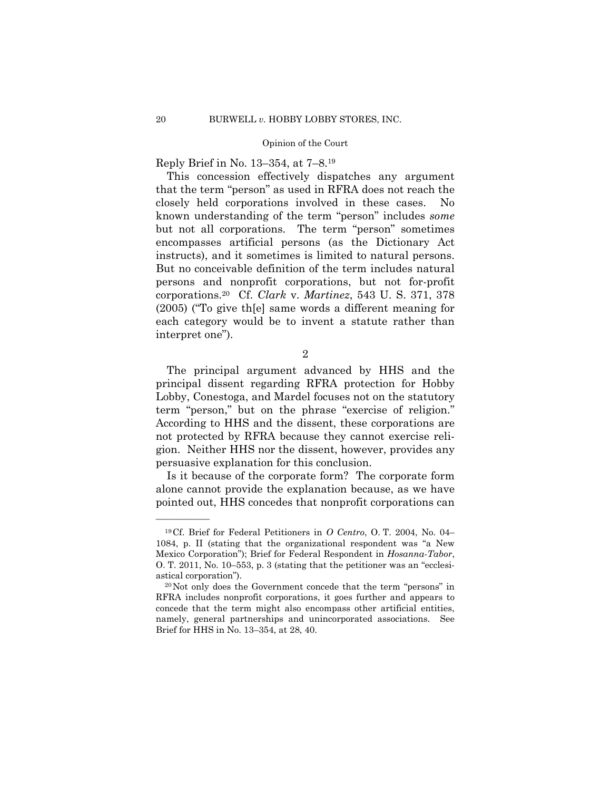Reply Brief in No. 13–354, at 7–8.19

 instructs), and it sometimes is limited to natural persons. This concession effectively dispatches any argument that the term "person" as used in RFRA does not reach the closely held corporations involved in these cases. known understanding of the term "person" includes *some*  but not all corporations. The term "person" sometimes encompasses artificial persons (as the Dictionary Act But no conceivable definition of the term includes natural persons and nonprofit corporations, but not for-profit corporations.20 Cf. *Clark* v. *Martinez*, 543 U. S. 371, 378 (2005) ("To give th[e] same words a different meaning for each category would be to invent a statute rather than interpret one").

2

The principal argument advanced by HHS and the principal dissent regarding RFRA protection for Hobby Lobby, Conestoga, and Mardel focuses not on the statutory term "person," but on the phrase "exercise of religion." According to HHS and the dissent, these corporations are not protected by RFRA because they cannot exercise religion. Neither HHS nor the dissent, however, provides any persuasive explanation for this conclusion.

Is it because of the corporate form? The corporate form alone cannot provide the explanation because, as we have pointed out, HHS concedes that nonprofit corporations can

<sup>19</sup>Cf. Brief for Federal Petitioners in *O Centro*, O. T. 2004, No. 04– 1084, p. II (stating that the organizational respondent was "a New Mexico Corporation"); Brief for Federal Respondent in *Hosanna-Tabor*, O. T. 2011, No. 10–553, p. 3 (stating that the petitioner was an "ecclesiastical corporation").<br><sup>20</sup>Not only does the Government concede that the term "persons" in

RFRA includes nonprofit corporations, it goes further and appears to concede that the term might also encompass other artificial entities, namely, general partnerships and unincorporated associations. See Brief for HHS in No. 13–354, at 28, 40.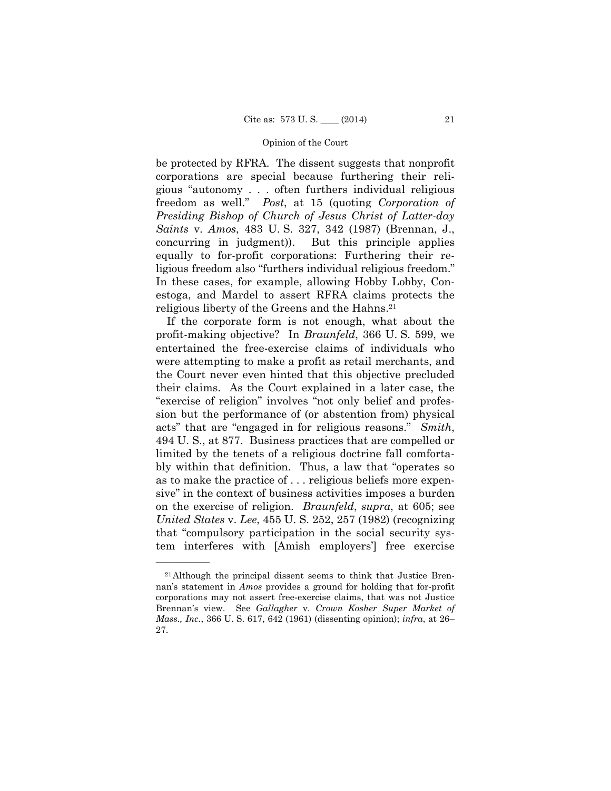be protected by RFRA. The dissent suggests that nonprofit corporations are special because furthering their religious "autonomy . . . often furthers individual religious freedom as well." *Post*, at 15 (quoting *Corporation of Presiding Bishop of Church of Jesus Christ of Latter-day Saints* v. *Amos*, 483 U. S. 327, 342 (1987) (Brennan, J., concurring in judgment)). But this principle applies equally to for-profit corporations: Furthering their religious freedom also "furthers individual religious freedom." In these cases, for example, allowing Hobby Lobby, Conestoga, and Mardel to assert RFRA claims protects the religious liberty of the Greens and the Hahns.21

If the corporate form is not enough, what about the profit-making objective? In *Braunfeld*, 366 U. S. 599, we entertained the free-exercise claims of individuals who were attempting to make a profit as retail merchants, and the Court never even hinted that this objective precluded their claims. As the Court explained in a later case, the "exercise of religion" involves "not only belief and profession but the performance of (or abstention from) physical acts" that are "engaged in for religious reasons." *Smith*, 494 U. S., at 877. Business practices that are compelled or limited by the tenets of a religious doctrine fall comfortably within that definition. Thus, a law that "operates so as to make the practice of . . . religious beliefs more expensive" in the context of business activities imposes a burden on the exercise of religion. *Braunfeld*, *supra*, at 605; see *United States* v. *Lee*, 455 U. S. 252, 257 (1982) (recognizing that "compulsory participation in the social security system interferes with [Amish employers'] free exercise

<sup>21</sup>Although the principal dissent seems to think that Justice Brennan's statement in *Amos* provides a ground for holding that for-profit corporations may not assert free-exercise claims, that was not Justice Brennan's view. See *Gallagher* v. *Crown Kosher Super Market of Mass., Inc.*, 366 U. S. 617, 642 (1961) (dissenting opinion); *infra*, at 26– 27.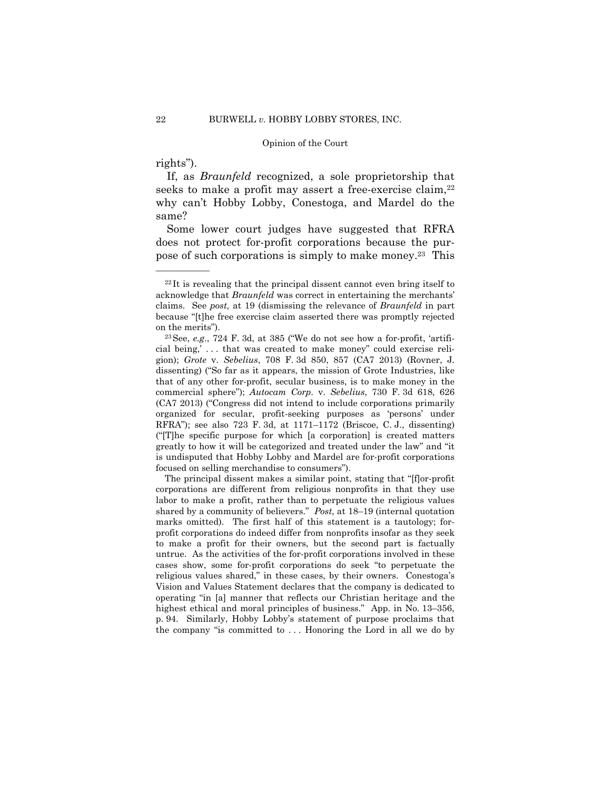# rights").

——————

 If, as *Braunfeld* recognized, a sole proprietorship that seeks to make a profit may assert a free-exercise claim,  $22$ why can't Hobby Lobby, Conestoga, and Mardel do the same?

Some lower court judges have suggested that RFRA does not protect for-profit corporations because the purpose of such corporations is simply to make money.23 This

The principal dissent makes a similar point, stating that "[f]or-profit corporations are different from religious nonprofits in that they use labor to make a profit, rather than to perpetuate the religious values shared by a community of believers." *Post*, at 18–19 (internal quotation marks omitted). The first half of this statement is a tautology; forprofit corporations do indeed differ from nonprofits insofar as they seek to make a profit for their owners, but the second part is factually untrue. As the activities of the for-profit corporations involved in these cases show, some for-profit corporations do seek "to perpetuate the religious values shared," in these cases, by their owners. Conestoga's Vision and Values Statement declares that the company is dedicated to operating "in [a] manner that reflects our Christian heritage and the highest ethical and moral principles of business." App. in No. 13–356, p. 94. Similarly, Hobby Lobby's statement of purpose proclaims that the company "is committed to . . . Honoring the Lord in all we do by

 $22$ It is revealing that the principal dissent cannot even bring itself to acknowledge that *Braunfeld* was correct in entertaining the merchants' claims. See *post,* at 19 (dismissing the relevance of *Braunfeld* in part because "[t]he free exercise claim asserted there was promptly rejected on the merits"). 23See, *e.g*., 724 F. 3d, at 385 ("We do not see how a for-profit, 'artifi-

cial being,' . . . that was created to make money" could exercise religion); *Grote* v. *Sebelius*, 708 F. 3d 850, 857 (CA7 2013) (Rovner, J. dissenting) ("So far as it appears, the mission of Grote Industries, like that of any other for-profit, secular business, is to make money in the commercial sphere"); *Autocam Corp.* v. *Sebelius*, 730 F. 3d 618, 626 (CA7 2013) ("Congress did not intend to include corporations primarily organized for secular, profit-seeking purposes as 'persons' under RFRA"); see also 723 F. 3d, at 1171–1172 (Briscoe, C. J., dissenting) ("[T]he specific purpose for which [a corporation] is created matters greatly to how it will be categorized and treated under the law" and "it is undisputed that Hobby Lobby and Mardel are for-profit corporations focused on selling merchandise to consumers").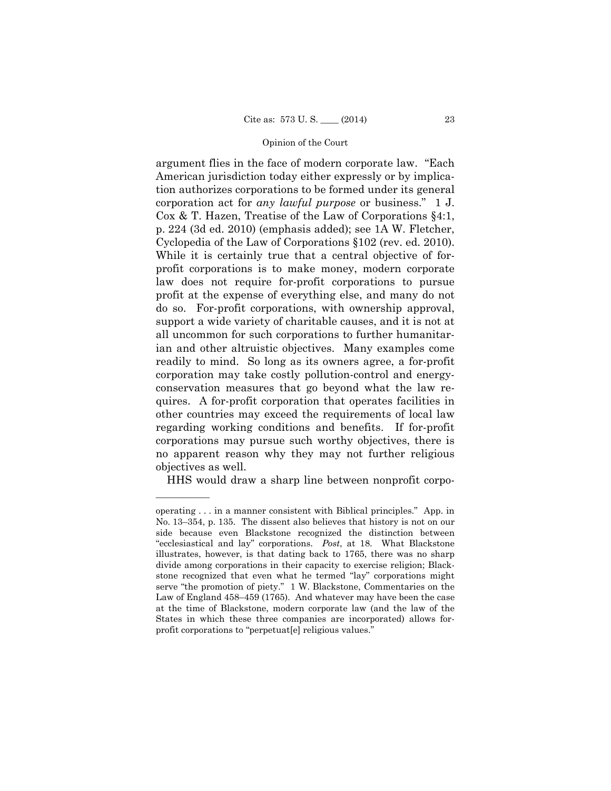Cyclopedia of the Law of Corporations §102 (rev. ed. 2010). argument flies in the face of modern corporate law. "Each American jurisdiction today either expressly or by implication authorizes corporations to be formed under its general corporation act for *any lawful purpose* or business." 1 J. Cox & T. Hazen, Treatise of the Law of Corporations §4:1, p. 224 (3d ed. 2010) (emphasis added); see 1A W. Fletcher, While it is certainly true that a central objective of forprofit corporations is to make money, modern corporate law does not require for-profit corporations to pursue profit at the expense of everything else, and many do not do so. For-profit corporations, with ownership approval, support a wide variety of charitable causes, and it is not at all uncommon for such corporations to further humanitarian and other altruistic objectives. Many examples come readily to mind. So long as its owners agree, a for-profit corporation may take costly pollution-control and energyconservation measures that go beyond what the law requires. A for-profit corporation that operates facilities in other countries may exceed the requirements of local law regarding working conditions and benefits. If for-profit corporations may pursue such worthy objectives, there is no apparent reason why they may not further religious objectives as well.

HHS would draw a sharp line between nonprofit corpo-

operating . . . in a manner consistent with Biblical principles." App. in No. 13–354, p. 135. The dissent also believes that history is not on our side because even Blackstone recognized the distinction between "ecclesiastical and lay" corporations. *Post*, at 18. What Blackstone illustrates, however, is that dating back to 1765, there was no sharp divide among corporations in their capacity to exercise religion; Blackstone recognized that even what he termed "lay" corporations might serve "the promotion of piety." 1 W. Blackstone, Commentaries on the Law of England 458–459 (1765). And whatever may have been the case at the time of Blackstone, modern corporate law (and the law of the States in which these three companies are incorporated) allows forprofit corporations to "perpetuat[e] religious values."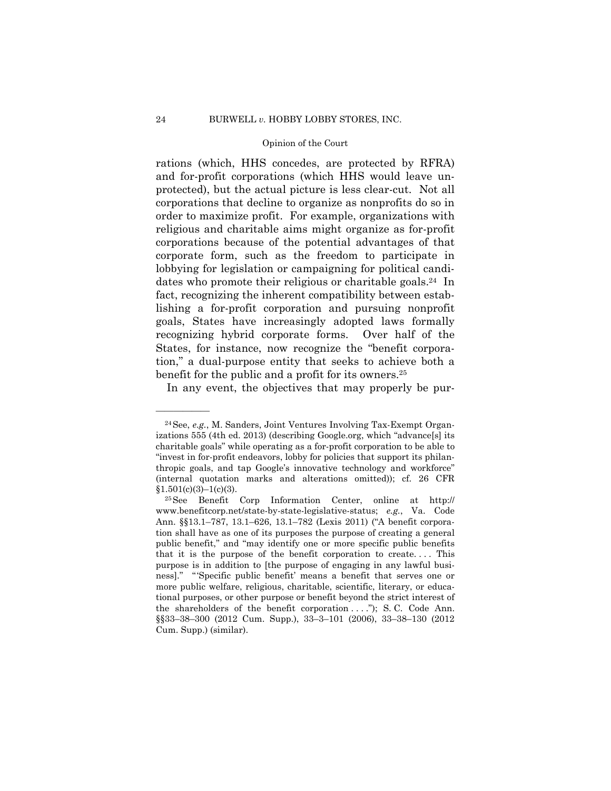rations (which, HHS concedes, are protected by RFRA) and for-profit corporations (which HHS would leave unprotected), but the actual picture is less clear-cut. Not all corporations that decline to organize as nonprofits do so in order to maximize profit. For example, organizations with religious and charitable aims might organize as for-profit corporations because of the potential advantages of that corporate form, such as the freedom to participate in lobbying for legislation or campaigning for political candidates who promote their religious or charitable goals.24 In fact, recognizing the inherent compatibility between establishing a for-profit corporation and pursuing nonprofit goals, States have increasingly adopted laws formally recognizing hybrid corporate forms. Over half of the States, for instance, now recognize the "benefit corporation," a dual-purpose entity that seeks to achieve both a benefit for the public and a profit for its owners.25

In any event, the objectives that may properly be pur-

<sup>24</sup>See, *e.g.*, M. Sanders, Joint Ventures Involving Tax-Exempt Organizations 555 (4th ed. 2013) (describing Google.org, which "advance[s] its charitable goals" while operating as a for-profit corporation to be able to "invest in for-profit endeavors, lobby for policies that support its philanthropic goals, and tap Google's innovative technology and workforce" (internal quotation marks and alterations omitted)); cf. 26 CFR  $$1.501(c)(3)-1(c)(3).$ <sup>25</sup>See Benefit Corp Information Center, online at http://

 ness]." " 'Specific public benefit' means a benefit that serves one or www.benefitcorp.net/state-by-state-legislative-status; *e.g.*, Va. Code Ann. §§13.1–787, 13.1–626, 13.1–782 (Lexis 2011) ("A benefit corporation shall have as one of its purposes the purpose of creating a general public benefit," and "may identify one or more specific public benefits that it is the purpose of the benefit corporation to create. . . . This purpose is in addition to [the purpose of engaging in any lawful busimore public welfare, religious, charitable, scientific, literary, or educational purposes, or other purpose or benefit beyond the strict interest of the shareholders of the benefit corporation . . . ."); S. C. Code Ann. §§33–38–300 (2012 Cum. Supp.), 33–3–101 (2006), 33–38–130 (2012 Cum. Supp.) (similar).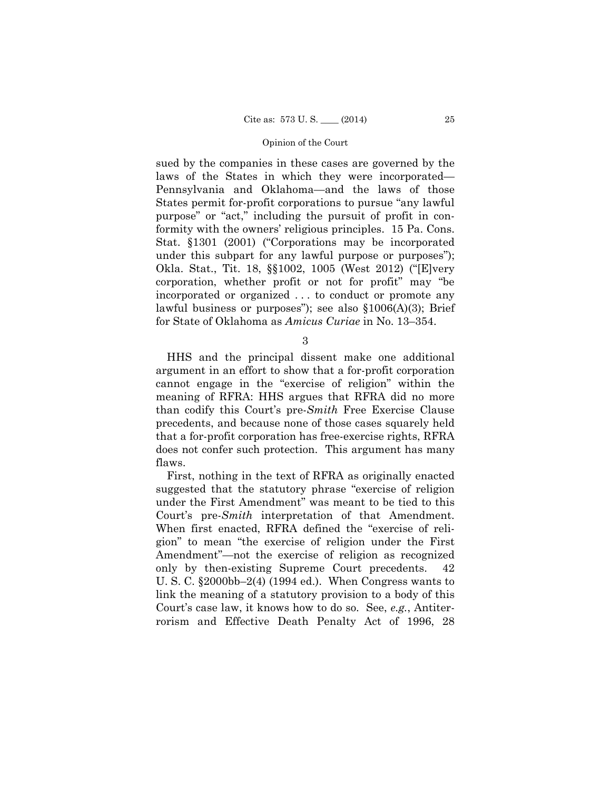sued by the companies in these cases are governed by the laws of the States in which they were incorporated— Pennsylvania and Oklahoma—and the laws of those States permit for-profit corporations to pursue "any lawful purpose" or "act," including the pursuit of profit in conformity with the owners' religious principles. 15 Pa. Cons. Stat. §1301 (2001) ("Corporations may be incorporated under this subpart for any lawful purpose or purposes"); Okla. Stat., Tit. 18, §§1002, 1005 (West 2012) ("[E]very corporation, whether profit or not for profit" may "be incorporated or organized . . . to conduct or promote any lawful business or purposes"); see also §1006(A)(3); Brief for State of Oklahoma as *Amicus Curiae* in No. 13–354.

3

HHS and the principal dissent make one additional argument in an effort to show that a for-profit corporation cannot engage in the "exercise of religion" within the meaning of RFRA: HHS argues that RFRA did no more than codify this Court's pre-*Smith* Free Exercise Clause precedents, and because none of those cases squarely held that a for-profit corporation has free-exercise rights, RFRA does not confer such protection. This argument has many flaws.

First, nothing in the text of RFRA as originally enacted suggested that the statutory phrase "exercise of religion under the First Amendment" was meant to be tied to this Court's pre-*Smith* interpretation of that Amendment. When first enacted, RFRA defined the "exercise of religion" to mean "the exercise of religion under the First Amendment"—not the exercise of religion as recognized only by then-existing Supreme Court precedents. 42 U. S. C. §2000bb–2(4) (1994 ed.). When Congress wants to link the meaning of a statutory provision to a body of this Court's case law, it knows how to do so. See, *e.g.*, Antiterrorism and Effective Death Penalty Act of 1996, 28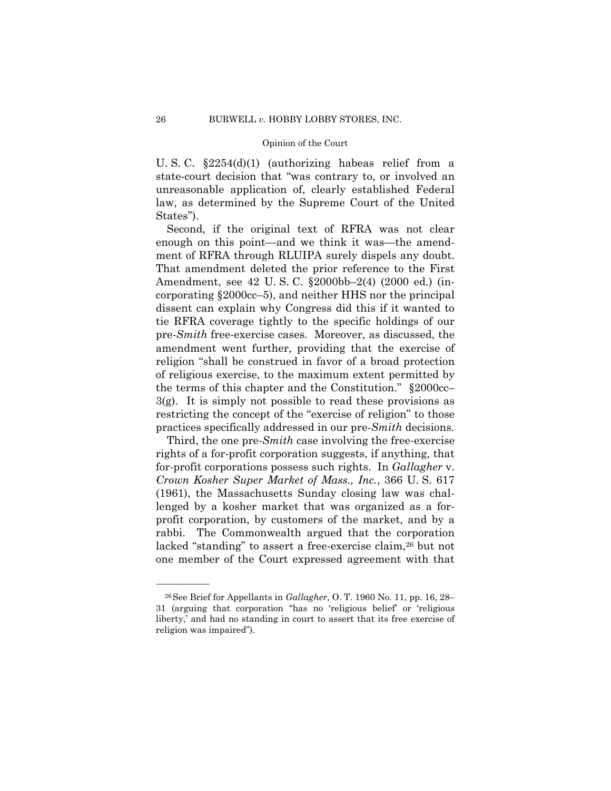U. S. C. §2254(d)(1) (authorizing habeas relief from a state-court decision that "was contrary to, or involved an unreasonable application of, clearly established Federal law, as determined by the Supreme Court of the United States").

Second, if the original text of RFRA was not clear enough on this point—and we think it was—the amendment of RFRA through RLUIPA surely dispels any doubt. That amendment deleted the prior reference to the First Amendment, see 42 U. S. C. §2000bb–2(4) (2000 ed.) (incorporating §2000cc–5), and neither HHS nor the principal dissent can explain why Congress did this if it wanted to tie RFRA coverage tightly to the specific holdings of our pre-*Smith* free-exercise cases. Moreover, as discussed, the amendment went further, providing that the exercise of religion "shall be construed in favor of a broad protection of religious exercise, to the maximum extent permitted by the terms of this chapter and the Constitution." §2000cc– 3(g). It is simply not possible to read these provisions as restricting the concept of the "exercise of religion" to those practices specifically addressed in our pre-*Smith* decisions.

Third, the one pre-*Smith* case involving the free-exercise rights of a for-profit corporation suggests, if anything, that for-profit corporations possess such rights. In *Gallagher* v. *Crown Kosher Super Market of Mass., Inc.*, 366 U. S. 617 (1961), the Massachusetts Sunday closing law was challenged by a kosher market that was organized as a forprofit corporation, by customers of the market, and by a rabbi. The Commonwealth argued that the corporation lacked "standing" to assert a free-exercise claim,<sup>26</sup> but not one member of the Court expressed agreement with that

<sup>26</sup>See Brief for Appellants in *Gallagher*, O. T. 1960 No. 11, pp. 16, 28– 31 (arguing that corporation "has no 'religious belief' or 'religious liberty,' and had no standing in court to assert that its free exercise of religion was impaired").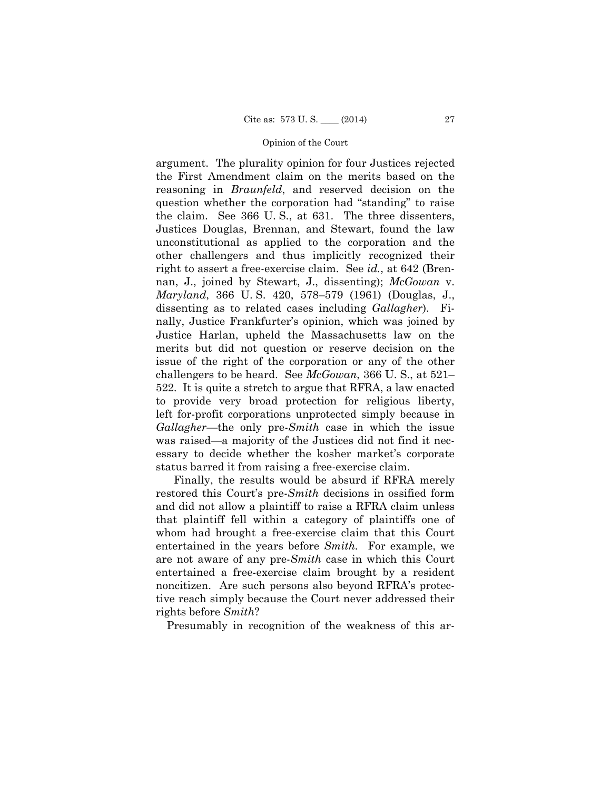argument. The plurality opinion for four Justices rejected the First Amendment claim on the merits based on the reasoning in *Braunfeld*, and reserved decision on the question whether the corporation had "standing" to raise the claim. See 366 U. S., at 631. The three dissenters, Justices Douglas, Brennan, and Stewart, found the law unconstitutional as applied to the corporation and the other challengers and thus implicitly recognized their right to assert a free-exercise claim. See *id.*, at 642 (Brennan, J., joined by Stewart, J., dissenting); *McGowan* v. *Maryland*, 366 U. S. 420, 578–579 (1961) (Douglas, J., dissenting as to related cases including *Gallagher*). Finally, Justice Frankfurter's opinion, which was joined by Justice Harlan, upheld the Massachusetts law on the merits but did not question or reserve decision on the issue of the right of the corporation or any of the other challengers to be heard. See *McGowan*, 366 U. S., at 521– 522. It is quite a stretch to argue that RFRA, a law enacted to provide very broad protection for religious liberty, left for-profit corporations unprotected simply because in *Gallagher*—the only pre-*Smith* case in which the issue was raised—a majority of the Justices did not find it necessary to decide whether the kosher market's corporate status barred it from raising a free-exercise claim.

Finally, the results would be absurd if RFRA merely restored this Court's pre-*Smith* decisions in ossified form and did not allow a plaintiff to raise a RFRA claim unless that plaintiff fell within a category of plaintiffs one of whom had brought a free-exercise claim that this Court entertained in the years before *Smith.* For example, we are not aware of any pre-*Smith* case in which this Court entertained a free-exercise claim brought by a resident noncitizen. Are such persons also beyond RFRA's protective reach simply because the Court never addressed their rights before *Smith*?

Presumably in recognition of the weakness of this ar-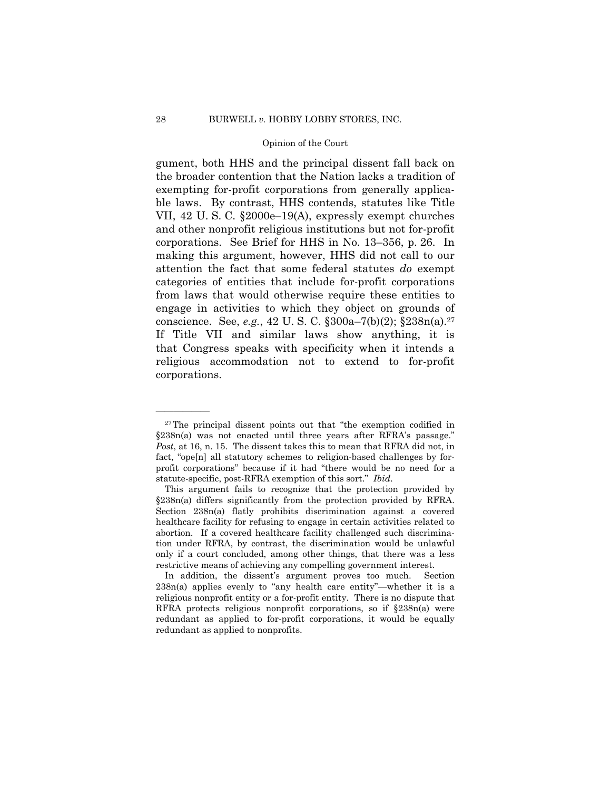conscience. See, *e.g.*, 42 U. S. C. §300a–7(b)(2); §238n(a).27 gument, both HHS and the principal dissent fall back on the broader contention that the Nation lacks a tradition of exempting for-profit corporations from generally applicable laws. By contrast, HHS contends, statutes like Title VII, 42 U. S. C. §2000e–19(A), expressly exempt churches and other nonprofit religious institutions but not for-profit corporations. See Brief for HHS in No. 13–356, p. 26. In making this argument, however, HHS did not call to our attention the fact that some federal statutes *do* exempt categories of entities that include for-profit corporations from laws that would otherwise require these entities to engage in activities to which they object on grounds of If Title VII and similar laws show anything, it is that Congress speaks with specificity when it intends a religious accommodation not to extend to for-profit corporations.

<sup>27</sup>The principal dissent points out that "the exemption codified in §238n(a) was not enacted until three years after RFRA's passage." *Post*, at 16, n. 15. The dissent takes this to mean that RFRA did not, in fact, "ope[n] all statutory schemes to religion-based challenges by forprofit corporations" because if it had "there would be no need for a statute-specific, post-RFRA exemption of this sort." *Ibid*.

This argument fails to recognize that the protection provided by §238n(a) differs significantly from the protection provided by RFRA. Section 238n(a) flatly prohibits discrimination against a covered healthcare facility for refusing to engage in certain activities related to abortion. If a covered healthcare facility challenged such discrimination under RFRA, by contrast, the discrimination would be unlawful only if a court concluded, among other things, that there was a less restrictive means of achieving any compelling government interest.

In addition, the dissent's argument proves too much. Section 238n(a) applies evenly to "any health care entity"—whether it is a religious nonprofit entity or a for-profit entity. There is no dispute that RFRA protects religious nonprofit corporations, so if §238n(a) were redundant as applied to for-profit corporations, it would be equally redundant as applied to nonprofits.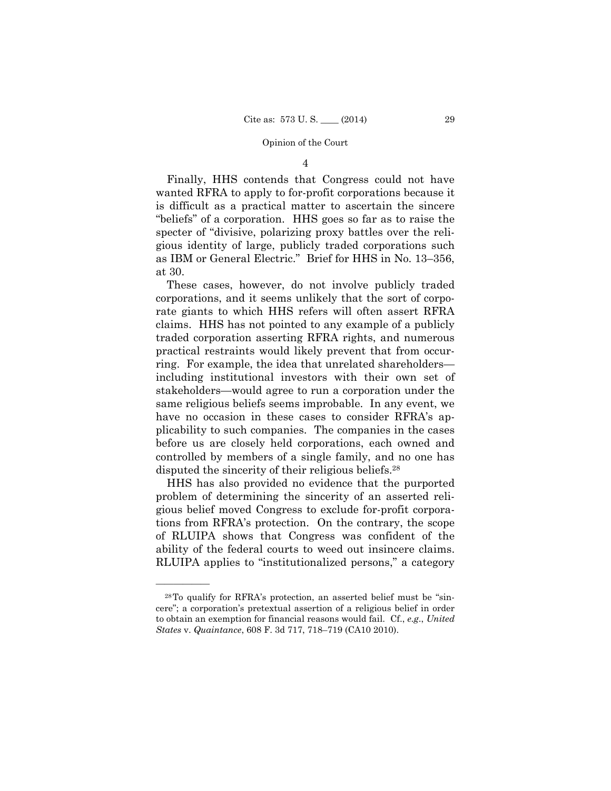## 4

Finally, HHS contends that Congress could not have wanted RFRA to apply to for-profit corporations because it is difficult as a practical matter to ascertain the sincere "beliefs" of a corporation. HHS goes so far as to raise the specter of "divisive, polarizing proxy battles over the religious identity of large, publicly traded corporations such as IBM or General Electric." Brief for HHS in No. 13–356, at 30.

These cases, however, do not involve publicly traded corporations, and it seems unlikely that the sort of corporate giants to which HHS refers will often assert RFRA claims. HHS has not pointed to any example of a publicly traded corporation asserting RFRA rights, and numerous practical restraints would likely prevent that from occurring. For example, the idea that unrelated shareholders including institutional investors with their own set of stakeholders—would agree to run a corporation under the same religious beliefs seems improbable. In any event, we have no occasion in these cases to consider RFRA's applicability to such companies. The companies in the cases before us are closely held corporations, each owned and controlled by members of a single family, and no one has disputed the sincerity of their religious beliefs.28

HHS has also provided no evidence that the purported problem of determining the sincerity of an asserted religious belief moved Congress to exclude for-profit corporations from RFRA's protection. On the contrary, the scope of RLUIPA shows that Congress was confident of the ability of the federal courts to weed out insincere claims. RLUIPA applies to "institutionalized persons," a category

<sup>28</sup>To qualify for RFRA's protection, an asserted belief must be "sincere"; a corporation's pretextual assertion of a religious belief in order to obtain an exemption for financial reasons would fail. Cf., *e.g*., *United States* v. *Quaintance*, 608 F. 3d 717, 718–719 (CA10 2010).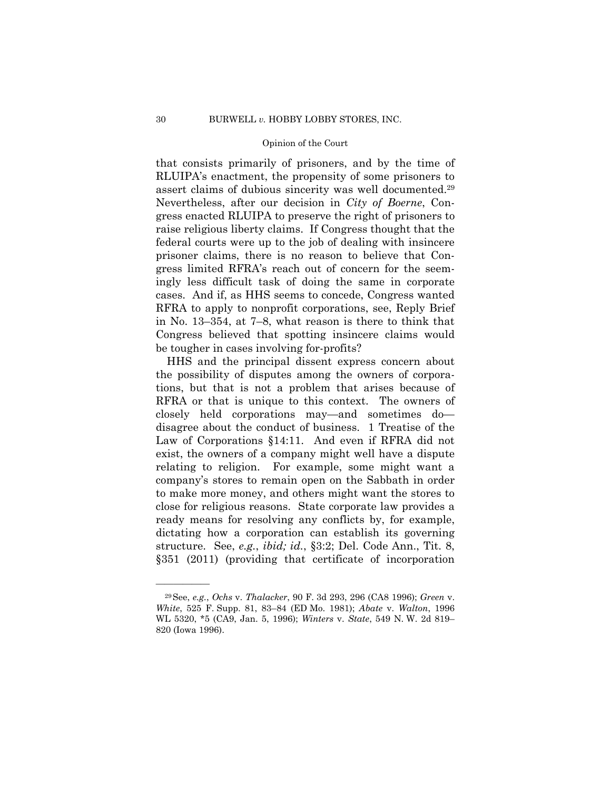assert claims of dubious sincerity was well documented.29 that consists primarily of prisoners, and by the time of RLUIPA's enactment, the propensity of some prisoners to Nevertheless, after our decision in *City of Boerne*, Congress enacted RLUIPA to preserve the right of prisoners to raise religious liberty claims. If Congress thought that the federal courts were up to the job of dealing with insincere prisoner claims, there is no reason to believe that Congress limited RFRA's reach out of concern for the seemingly less difficult task of doing the same in corporate cases. And if, as HHS seems to concede, Congress wanted RFRA to apply to nonprofit corporations, see, Reply Brief in No. 13–354, at 7–8, what reason is there to think that Congress believed that spotting insincere claims would be tougher in cases involving for-profits?

HHS and the principal dissent express concern about the possibility of disputes among the owners of corporations, but that is not a problem that arises because of RFRA or that is unique to this context. The owners of closely held corporations may—and sometimes do disagree about the conduct of business. 1 Treatise of the Law of Corporations §14:11. And even if RFRA did not exist, the owners of a company might well have a dispute relating to religion. For example, some might want a company's stores to remain open on the Sabbath in order to make more money, and others might want the stores to close for religious reasons. State corporate law provides a ready means for resolving any conflicts by, for example, dictating how a corporation can establish its governing structure. See, *e.g.*, *ibid; id.*, §3:2; Del. Code Ann., Tit. 8, §351 (2011) (providing that certificate of incorporation

<sup>29</sup>See, *e.g.*, *Ochs* v. *Thalacker*, 90 F. 3d 293, 296 (CA8 1996); *Green* v. *White*, 525 F. Supp. 81, 83–84 (ED Mo. 1981); *Abate* v. *Walton*, 1996 WL 5320, \*5 (CA9, Jan. 5, 1996); *Winters* v. *State*, 549 N. W. 2d 819– 820 (Iowa 1996).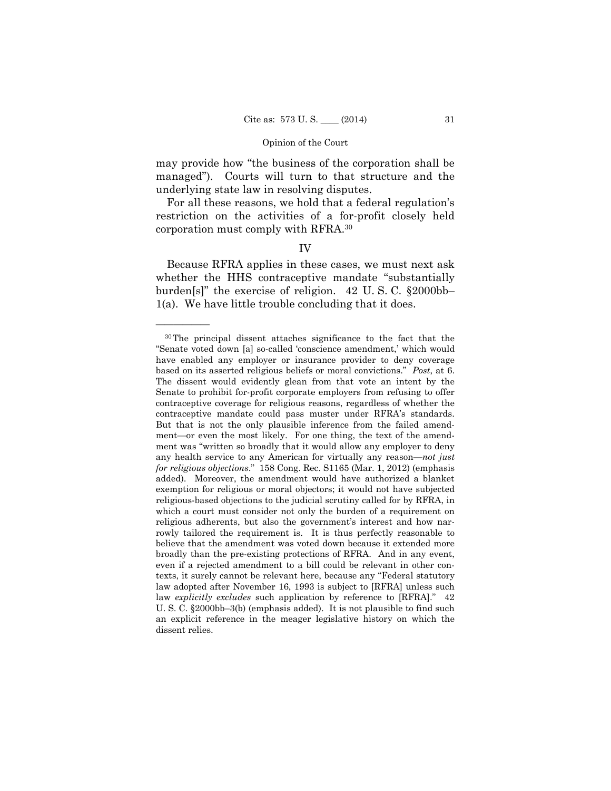may provide how "the business of the corporation shall be managed"). Courts will turn to that structure and the underlying state law in resolving disputes.

For all these reasons, we hold that a federal regulation's restriction on the activities of a for-profit closely held corporation must comply with RFRA.30

# IV

Because RFRA applies in these cases, we must next ask whether the HHS contraceptive mandate "substantially burden[s]" the exercise of religion. 42 U. S. C. §2000bb– 1(a). We have little trouble concluding that it does.

 texts, it surely cannot be relevant here, because any "Federal statutory 30The principal dissent attaches significance to the fact that the "Senate voted down [a] so-called 'conscience amendment,' which would have enabled any employer or insurance provider to deny coverage based on its asserted religious beliefs or moral convictions." *Post*, at 6. The dissent would evidently glean from that vote an intent by the Senate to prohibit for-profit corporate employers from refusing to offer contraceptive coverage for religious reasons, regardless of whether the contraceptive mandate could pass muster under RFRA's standards. But that is not the only plausible inference from the failed amendment—or even the most likely. For one thing, the text of the amendment was "written so broadly that it would allow any employer to deny any health service to any American for virtually any reason—*not just for religious objections*." 158 Cong. Rec. S1165 (Mar. 1, 2012) (emphasis added). Moreover, the amendment would have authorized a blanket exemption for religious or moral objectors; it would not have subjected religious-based objections to the judicial scrutiny called for by RFRA, in which a court must consider not only the burden of a requirement on religious adherents, but also the government's interest and how narrowly tailored the requirement is. It is thus perfectly reasonable to believe that the amendment was voted down because it extended more broadly than the pre-existing protections of RFRA. And in any event, even if a rejected amendment to a bill could be relevant in other conlaw adopted after November 16, 1993 is subject to [RFRA] unless such law *explicitly excludes* such application by reference to [RFRA]." 42 U. S. C. §2000bb–3(b) (emphasis added). It is not plausible to find such an explicit reference in the meager legislative history on which the dissent relies.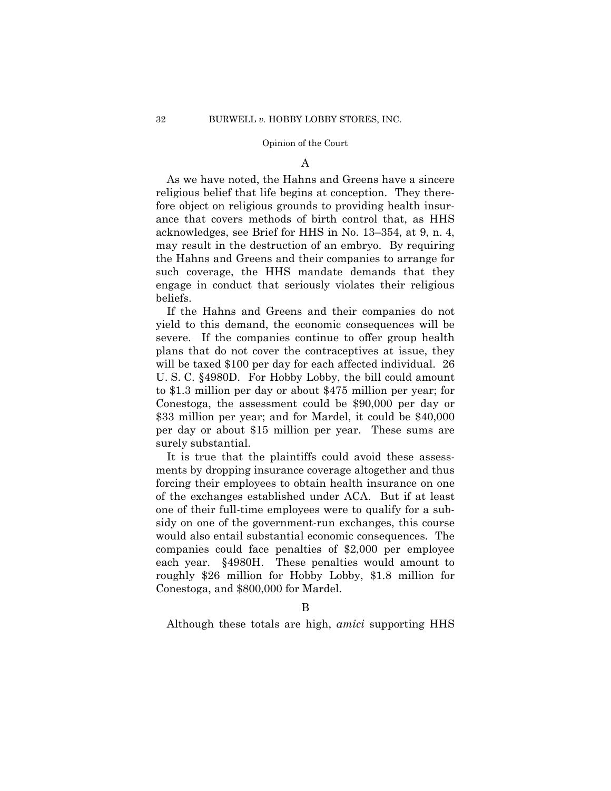### A

As we have noted, the Hahns and Greens have a sincere religious belief that life begins at conception. They therefore object on religious grounds to providing health insurance that covers methods of birth control that, as HHS acknowledges, see Brief for HHS in No. 13–354, at 9, n. 4, may result in the destruction of an embryo. By requiring the Hahns and Greens and their companies to arrange for such coverage, the HHS mandate demands that they engage in conduct that seriously violates their religious beliefs.

If the Hahns and Greens and their companies do not yield to this demand, the economic consequences will be severe. If the companies continue to offer group health plans that do not cover the contraceptives at issue, they will be taxed \$100 per day for each affected individual. 26 U. S. C. §4980D. For Hobby Lobby, the bill could amount to \$1.3 million per day or about \$475 million per year; for Conestoga, the assessment could be \$90,000 per day or \$33 million per year; and for Mardel, it could be \$40,000 per day or about \$15 million per year. These sums are surely substantial.

It is true that the plaintiffs could avoid these assessments by dropping insurance coverage altogether and thus forcing their employees to obtain health insurance on one of the exchanges established under ACA. But if at least one of their full-time employees were to qualify for a subsidy on one of the government-run exchanges, this course would also entail substantial economic consequences. The companies could face penalties of \$2,000 per employee each year. §4980H. These penalties would amount to roughly \$26 million for Hobby Lobby, \$1.8 million for Conestoga, and \$800,000 for Mardel.

Although these totals are high, *amici* supporting HHS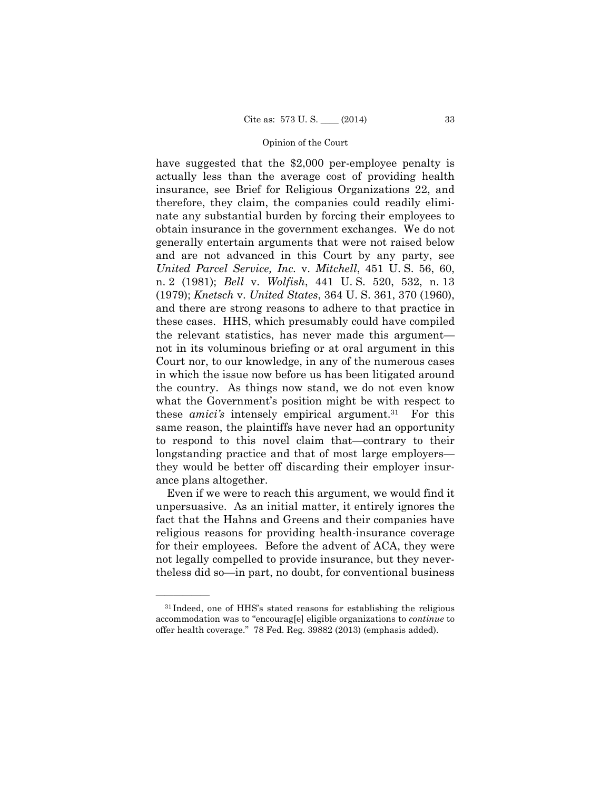have suggested that the \$2,000 per-employee penalty is actually less than the average cost of providing health insurance, see Brief for Religious Organizations 22, and therefore, they claim, the companies could readily eliminate any substantial burden by forcing their employees to obtain insurance in the government exchanges. We do not generally entertain arguments that were not raised below and are not advanced in this Court by any party, see *United Parcel Service, Inc.* v. *Mitchell*, 451 U. S. 56, 60, n. 2 (1981); *Bell* v. *Wolfish*, 441 U. S. 520, 532, n. 13 (1979); *Knetsch* v. *United States*, 364 U. S. 361, 370 (1960), and there are strong reasons to adhere to that practice in these cases. HHS, which presumably could have compiled the relevant statistics, has never made this argument not in its voluminous briefing or at oral argument in this Court nor, to our knowledge, in any of the numerous cases in which the issue now before us has been litigated around the country. As things now stand, we do not even know what the Government's position might be with respect to these *amici's* intensely empirical argument.31 For this same reason, the plaintiffs have never had an opportunity to respond to this novel claim that—contrary to their longstanding practice and that of most large employers they would be better off discarding their employer insurance plans altogether.

Even if we were to reach this argument, we would find it unpersuasive. As an initial matter, it entirely ignores the fact that the Hahns and Greens and their companies have religious reasons for providing health-insurance coverage for their employees. Before the advent of ACA, they were not legally compelled to provide insurance, but they nevertheless did so—in part, no doubt, for conventional business

<sup>31</sup> Indeed, one of HHS's stated reasons for establishing the religious accommodation was to "encourag[e] eligible organizations to *continue* to offer health coverage." 78 Fed. Reg. 39882 (2013) (emphasis added).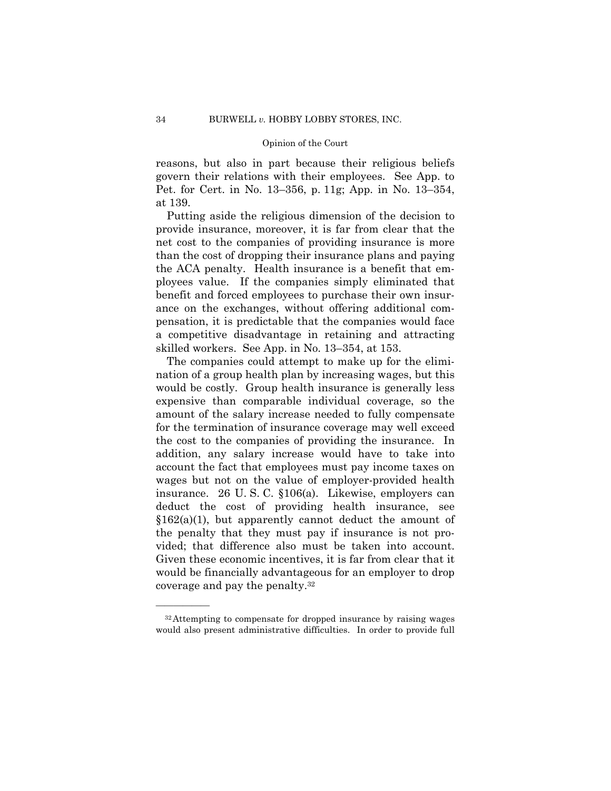reasons, but also in part because their religious beliefs govern their relations with their employees. See App. to Pet. for Cert. in No. 13–356, p. 11g; App. in No. 13–354, at 139.

Putting aside the religious dimension of the decision to provide insurance, moreover, it is far from clear that the net cost to the companies of providing insurance is more than the cost of dropping their insurance plans and paying the ACA penalty. Health insurance is a benefit that employees value. If the companies simply eliminated that benefit and forced employees to purchase their own insurance on the exchanges, without offering additional compensation, it is predictable that the companies would face a competitive disadvantage in retaining and attracting skilled workers. See App. in No. 13–354, at 153.

The companies could attempt to make up for the elimination of a group health plan by increasing wages, but this would be costly. Group health insurance is generally less expensive than comparable individual coverage, so the amount of the salary increase needed to fully compensate for the termination of insurance coverage may well exceed the cost to the companies of providing the insurance. In addition, any salary increase would have to take into account the fact that employees must pay income taxes on wages but not on the value of employer-provided health insurance. 26 U. S. C. §106(a). Likewise, employers can deduct the cost of providing health insurance, see  $$162(a)(1)$ , but apparently cannot deduct the amount of the penalty that they must pay if insurance is not provided; that difference also must be taken into account. Given these economic incentives, it is far from clear that it would be financially advantageous for an employer to drop coverage and pay the penalty.32

<sup>32</sup>Attempting to compensate for dropped insurance by raising wages would also present administrative difficulties. In order to provide full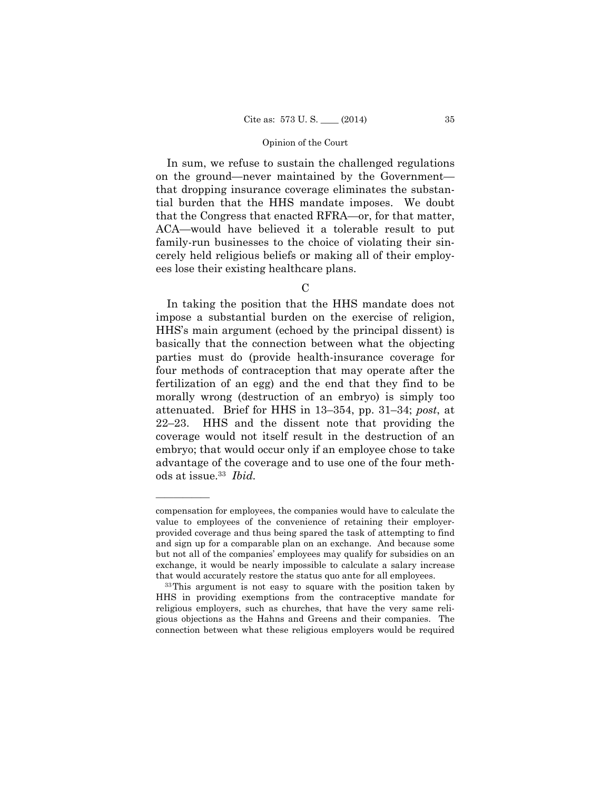In sum, we refuse to sustain the challenged regulations on the ground—never maintained by the Government that dropping insurance coverage eliminates the substantial burden that the HHS mandate imposes. We doubt that the Congress that enacted RFRA—or, for that matter, ACA—would have believed it a tolerable result to put family-run businesses to the choice of violating their sincerely held religious beliefs or making all of their employees lose their existing healthcare plans.

 $\mathcal{C}$ 

 ods at issue.33 *Ibid.*  In taking the position that the HHS mandate does not impose a substantial burden on the exercise of religion, HHS's main argument (echoed by the principal dissent) is basically that the connection between what the objecting parties must do (provide health-insurance coverage for four methods of contraception that may operate after the fertilization of an egg) and the end that they find to be morally wrong (destruction of an embryo) is simply too attenuated. Brief for HHS in 13–354, pp. 31–34; *post*, at 22–23. HHS and the dissent note that providing the coverage would not itself result in the destruction of an embryo; that would occur only if an employee chose to take advantage of the coverage and to use one of the four meth-

compensation for employees, the companies would have to calculate the value to employees of the convenience of retaining their employerprovided coverage and thus being spared the task of attempting to find and sign up for a comparable plan on an exchange. And because some but not all of the companies' employees may qualify for subsidies on an exchange, it would be nearly impossible to calculate a salary increase that would accurately restore the status quo ante for all employees. 33This argument is not easy to square with the position taken by

HHS in providing exemptions from the contraceptive mandate for religious employers, such as churches, that have the very same religious objections as the Hahns and Greens and their companies. The connection between what these religious employers would be required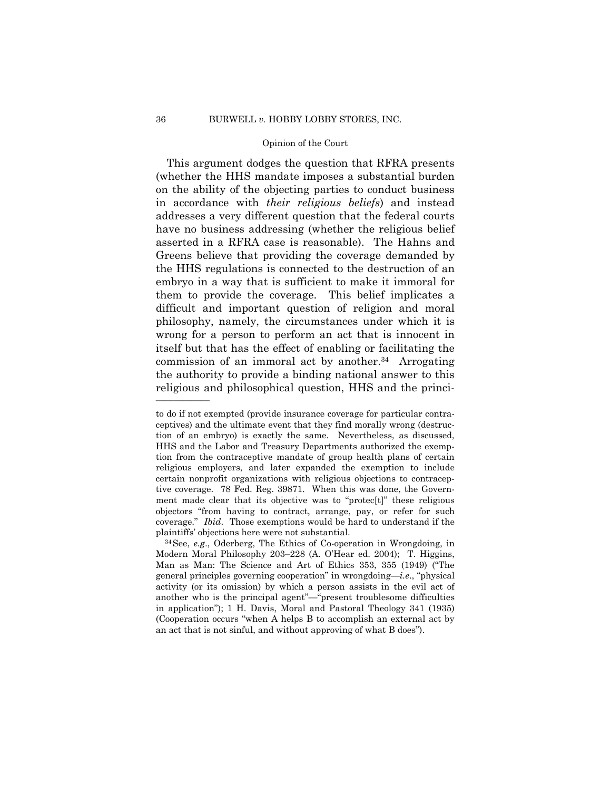This argument dodges the question that RFRA presents (whether the HHS mandate imposes a substantial burden on the ability of the objecting parties to conduct business in accordance with *their religious beliefs*) and instead addresses a very different question that the federal courts have no business addressing (whether the religious belief asserted in a RFRA case is reasonable). The Hahns and Greens believe that providing the coverage demanded by the HHS regulations is connected to the destruction of an embryo in a way that is sufficient to make it immoral for them to provide the coverage. This belief implicates a difficult and important question of religion and moral philosophy, namely, the circumstances under which it is wrong for a person to perform an act that is innocent in itself but that has the effect of enabling or facilitating the commission of an immoral act by another.34 Arrogating the authority to provide a binding national answer to this religious and philosophical question, HHS and the princi-

 coverage." *Ibid*. Those exemptions would be hard to understand if the to do if not exempted (provide insurance coverage for particular contraceptives) and the ultimate event that they find morally wrong (destruction of an embryo) is exactly the same. Nevertheless, as discussed, HHS and the Labor and Treasury Departments authorized the exemption from the contraceptive mandate of group health plans of certain religious employers, and later expanded the exemption to include certain nonprofit organizations with religious objections to contraceptive coverage. 78 Fed. Reg. 39871. When this was done, the Government made clear that its objective was to "protec[t]" these religious objectors "from having to contract, arrange, pay, or refer for such plaintiffs' objections here were not substantial. 34See, *e.g*., Oderberg, The Ethics of Co-operation in Wrongdoing, in

Modern Moral Philosophy 203–228 (A. O'Hear ed. 2004); T. Higgins, Man as Man: The Science and Art of Ethics 353, 355 (1949) ("The general principles governing cooperation" in wrongdoing—*i.e*., "physical activity (or its omission) by which a person assists in the evil act of another who is the principal agent"—"present troublesome difficulties in application"); 1 H. Davis, Moral and Pastoral Theology 341 (1935) (Cooperation occurs "when A helps B to accomplish an external act by an act that is not sinful, and without approving of what B does").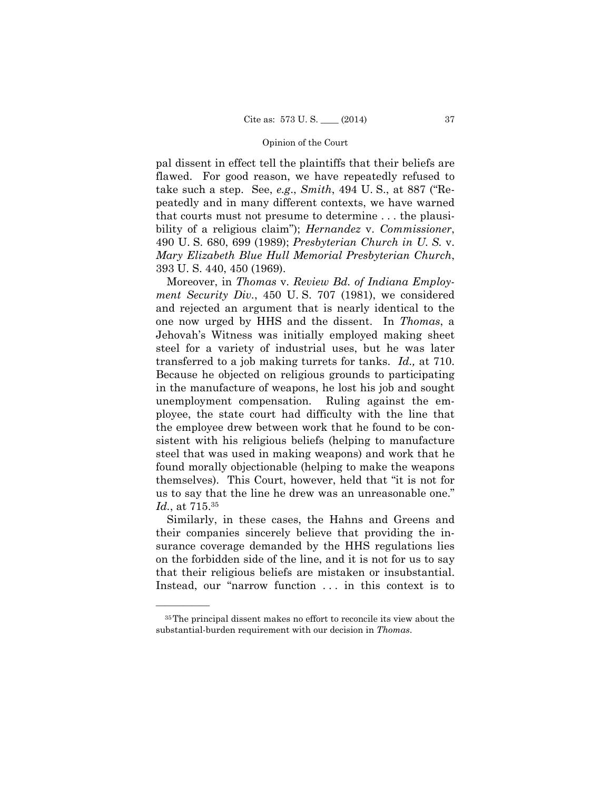pal dissent in effect tell the plaintiffs that their beliefs are flawed. For good reason, we have repeatedly refused to take such a step. See, *e.g*., *Smith*, 494 U. S., at 887 ("Repeatedly and in many different contexts, we have warned that courts must not presume to determine . . . the plausibility of a religious claim"); *Hernandez* v. *Commissioner*, 490 U. S. 680, 699 (1989); *Presbyterian Church in U. S.* v. *Mary Elizabeth Blue Hull Memorial Presbyterian Church*, 393 U. S. 440, 450 (1969).

 transferred to a job making turrets for tanks. *Id.,* at 710. Moreover, in *Thomas* v. *Review Bd. of Indiana Employment Security Div.*, 450 U. S. 707 (1981), we considered and rejected an argument that is nearly identical to the one now urged by HHS and the dissent. In *Thomas*, a Jehovah's Witness was initially employed making sheet steel for a variety of industrial uses, but he was later Because he objected on religious grounds to participating in the manufacture of weapons, he lost his job and sought unemployment compensation. Ruling against the employee, the state court had difficulty with the line that the employee drew between work that he found to be consistent with his religious beliefs (helping to manufacture steel that was used in making weapons) and work that he found morally objectionable (helping to make the weapons themselves). This Court, however, held that "it is not for us to say that the line he drew was an unreasonable one." *Id.*, at 715.35

Similarly, in these cases, the Hahns and Greens and their companies sincerely believe that providing the insurance coverage demanded by the HHS regulations lies on the forbidden side of the line, and it is not for us to say that their religious beliefs are mistaken or insubstantial. Instead, our "narrow function ... in this context is to

<sup>35</sup>The principal dissent makes no effort to reconcile its view about the substantial-burden requirement with our decision in *Thomas*.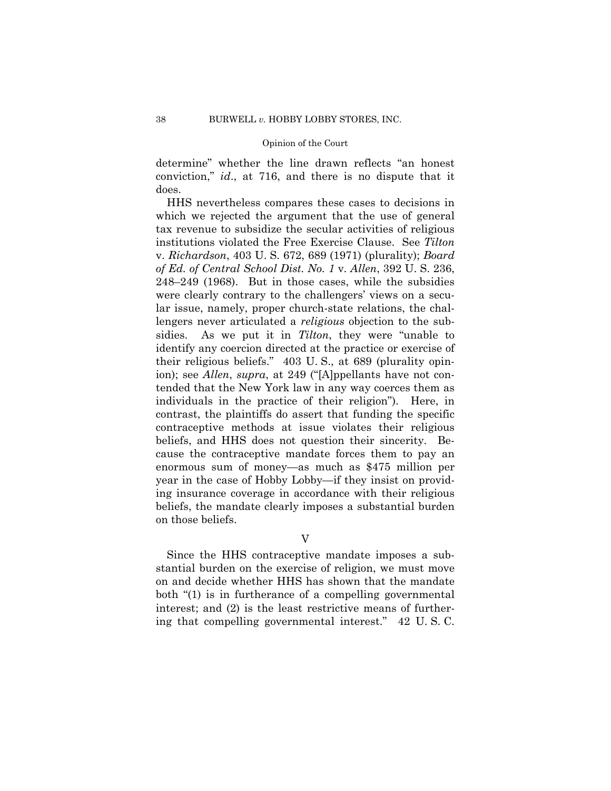determine" whether the line drawn reflects "an honest conviction," *id*., at 716, and there is no dispute that it does.

HHS nevertheless compares these cases to decisions in which we rejected the argument that the use of general tax revenue to subsidize the secular activities of religious institutions violated the Free Exercise Clause. See *Tilton*  v. *Richardson*, 403 U. S. 672, 689 (1971) (plurality); *Board of Ed. of Central School Dist. No. 1* v. *Allen*, 392 U. S. 236, 248–249 (1968). But in those cases, while the subsidies were clearly contrary to the challengers' views on a secular issue, namely, proper church-state relations, the challengers never articulated a *religious* objection to the subsidies. As we put it in *Tilton*, they were "unable to identify any coercion directed at the practice or exercise of their religious beliefs." 403 U. S., at 689 (plurality opinion); see *Allen*, *supra*, at 249 ("[A]ppellants have not contended that the New York law in any way coerces them as individuals in the practice of their religion"). Here, in contrast, the plaintiffs do assert that funding the specific contraceptive methods at issue violates their religious beliefs, and HHS does not question their sincerity. Because the contraceptive mandate forces them to pay an enormous sum of money—as much as \$475 million per year in the case of Hobby Lobby—if they insist on providing insurance coverage in accordance with their religious beliefs, the mandate clearly imposes a substantial burden on those beliefs.

V

Since the HHS contraceptive mandate imposes a substantial burden on the exercise of religion, we must move on and decide whether HHS has shown that the mandate both "(1) is in furtherance of a compelling governmental interest; and (2) is the least restrictive means of furthering that compelling governmental interest." 42 U. S. C.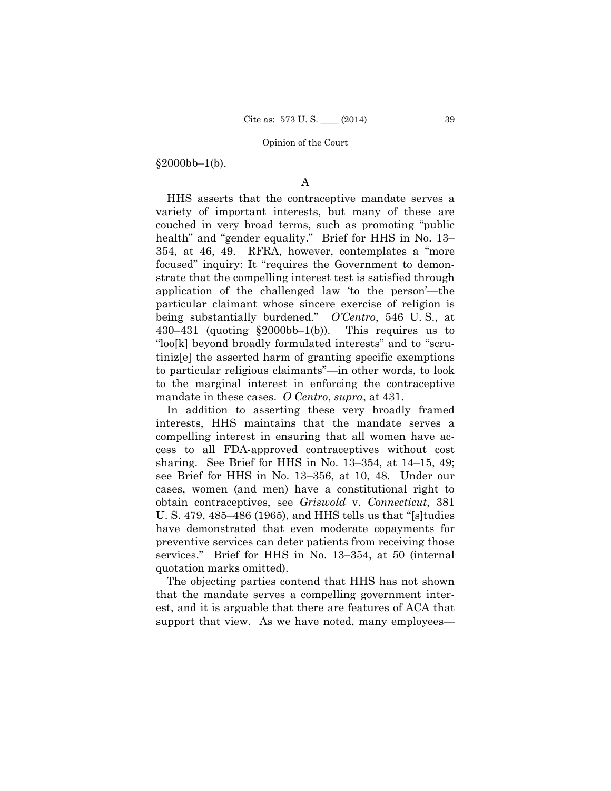$§2000bb-1(b).$ 

# A

 mandate in these cases. *O Centro*, *supra*, at 431. HHS asserts that the contraceptive mandate serves a variety of important interests, but many of these are couched in very broad terms, such as promoting "public health" and "gender equality." Brief for HHS in No. 13– 354, at 46, 49. RFRA, however, contemplates a "more focused" inquiry: It "requires the Government to demonstrate that the compelling interest test is satisfied through application of the challenged law 'to the person'—the particular claimant whose sincere exercise of religion is being substantially burdened." *O'Centro*, 546 U. S., at  $430-431$  (quoting  $$2000bb-1(b)$ ). This requires us to "loo[k] beyond broadly formulated interests" and to "scrutiniz[e] the asserted harm of granting specific exemptions to particular religious claimants"—in other words, to look to the marginal interest in enforcing the contraceptive

In addition to asserting these very broadly framed interests, HHS maintains that the mandate serves a compelling interest in ensuring that all women have access to all FDA-approved contraceptives without cost sharing. See Brief for HHS in No. 13–354, at 14–15, 49; see Brief for HHS in No. 13–356, at 10, 48. Under our cases, women (and men) have a constitutional right to obtain contraceptives, see *Griswold* v. *Connecticut*, 381 U. S. 479, 485–486 (1965), and HHS tells us that "[s]tudies have demonstrated that even moderate copayments for preventive services can deter patients from receiving those services." Brief for HHS in No. 13–354, at 50 (internal quotation marks omitted).

The objecting parties contend that HHS has not shown that the mandate serves a compelling government interest, and it is arguable that there are features of ACA that support that view. As we have noted, many employees—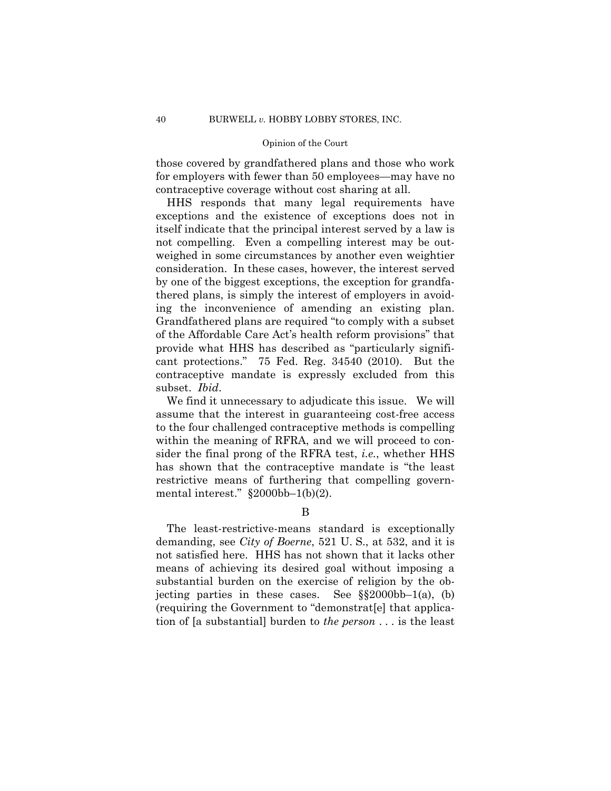those covered by grandfathered plans and those who work for employers with fewer than 50 employees—may have no contraceptive coverage without cost sharing at all.

HHS responds that many legal requirements have exceptions and the existence of exceptions does not in itself indicate that the principal interest served by a law is not compelling. Even a compelling interest may be outweighed in some circumstances by another even weightier consideration. In these cases, however, the interest served by one of the biggest exceptions, the exception for grandfathered plans, is simply the interest of employers in avoiding the inconvenience of amending an existing plan. Grandfathered plans are required "to comply with a subset of the Affordable Care Act's health reform provisions" that provide what HHS has described as "particularly significant protections." 75 Fed. Reg. 34540 (2010). But the contraceptive mandate is expressly excluded from this subset. *Ibid*.

We find it unnecessary to adjudicate this issue. We will assume that the interest in guaranteeing cost-free access to the four challenged contraceptive methods is compelling within the meaning of RFRA, and we will proceed to consider the final prong of the RFRA test, *i.e.*, whether HHS has shown that the contraceptive mandate is "the least restrictive means of furthering that compelling governmental interest." §2000bb–1(b)(2).

B

 jecting parties in these cases. See §§2000bb–1(a), (b) The least-restrictive-means standard is exceptionally demanding, see *City of Boerne*, 521 U. S., at 532, and it is not satisfied here. HHS has not shown that it lacks other means of achieving its desired goal without imposing a substantial burden on the exercise of religion by the ob-(requiring the Government to "demonstrat[e] that application of [a substantial] burden to *the person* . . . is the least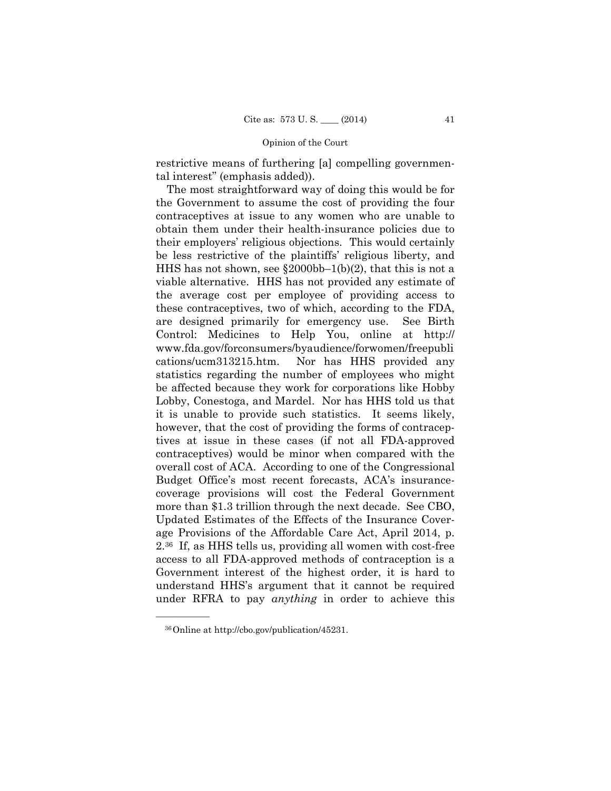restrictive means of furthering [a] compelling governmental interest" (emphasis added)).

 overall cost of ACA. According to one of the Congressional The most straightforward way of doing this would be for the Government to assume the cost of providing the four contraceptives at issue to any women who are unable to obtain them under their health-insurance policies due to their employers' religious objections. This would certainly be less restrictive of the plaintiffs' religious liberty, and HHS has not shown, see  $\S 2000bb-1(b)(2)$ , that this is not a viable alternative. HHS has not provided any estimate of the average cost per employee of providing access to these contraceptives, two of which, according to the FDA, are designed primarily for emergency use. See Birth Control: Medicines to Help You, online at http:// www.fda.gov/forconsumers/byaudience/forwomen/freepubli cations/ucm313215.htm. Nor has HHS provided any statistics regarding the number of employees who might be affected because they work for corporations like Hobby Lobby, Conestoga, and Mardel. Nor has HHS told us that it is unable to provide such statistics. It seems likely, however, that the cost of providing the forms of contraceptives at issue in these cases (if not all FDA-approved contraceptives) would be minor when compared with the Budget Office's most recent forecasts, ACA's insurancecoverage provisions will cost the Federal Government more than \$1.3 trillion through the next decade. See CBO, Updated Estimates of the Effects of the Insurance Coverage Provisions of the Affordable Care Act, April 2014, p. 2.36 If, as HHS tells us, providing all women with cost-free access to all FDA-approved methods of contraception is a Government interest of the highest order, it is hard to understand HHS's argument that it cannot be required under RFRA to pay *anything* in order to achieve this

<sup>36</sup>Online at http://cbo.gov/publication/45231.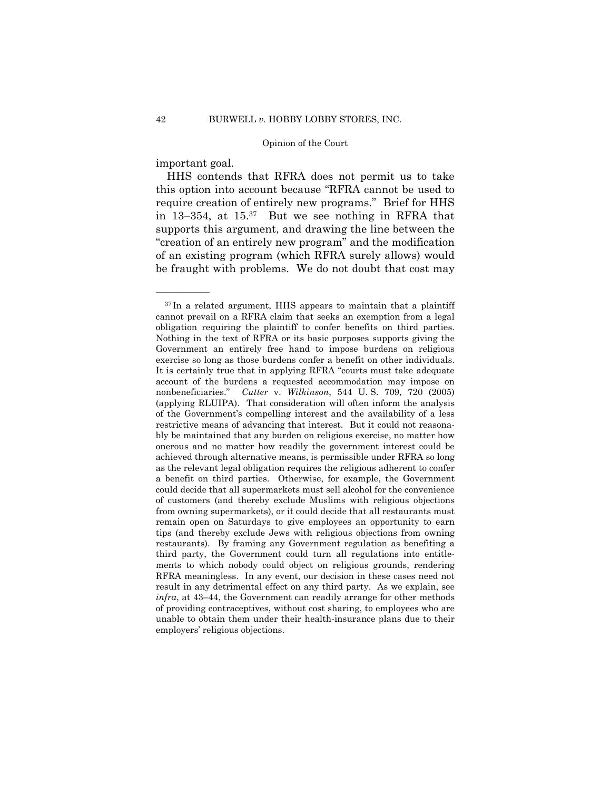important goal.

——————

HHS contends that RFRA does not permit us to take this option into account because "RFRA cannot be used to require creation of entirely new programs." Brief for HHS in 13–354, at 15.37 But we see nothing in RFRA that supports this argument, and drawing the line between the "creation of an entirely new program" and the modification of an existing program (which RFRA surely allows) would be fraught with problems. We do not doubt that cost may

<sup>37</sup> In a related argument, HHS appears to maintain that a plaintiff cannot prevail on a RFRA claim that seeks an exemption from a legal obligation requiring the plaintiff to confer benefits on third parties. Nothing in the text of RFRA or its basic purposes supports giving the Government an entirely free hand to impose burdens on religious exercise so long as those burdens confer a benefit on other individuals. It is certainly true that in applying RFRA "courts must take adequate account of the burdens a requested accommodation may impose on nonbeneficiaries." *Cutter* v. *Wilkinson*, 544 U. S. 709, 720 (2005) (applying RLUIPA). That consideration will often inform the analysis of the Government's compelling interest and the availability of a less restrictive means of advancing that interest. But it could not reasonably be maintained that any burden on religious exercise, no matter how onerous and no matter how readily the government interest could be achieved through alternative means, is permissible under RFRA so long as the relevant legal obligation requires the religious adherent to confer a benefit on third parties. Otherwise, for example, the Government could decide that all supermarkets must sell alcohol for the convenience of customers (and thereby exclude Muslims with religious objections from owning supermarkets), or it could decide that all restaurants must remain open on Saturdays to give employees an opportunity to earn tips (and thereby exclude Jews with religious objections from owning restaurants). By framing any Government regulation as benefiting a third party, the Government could turn all regulations into entitlements to which nobody could object on religious grounds, rendering RFRA meaningless. In any event, our decision in these cases need not result in any detrimental effect on any third party. As we explain, see *infra*, at 43–44, the Government can readily arrange for other methods of providing contraceptives, without cost sharing, to employees who are unable to obtain them under their health-insurance plans due to their employers' religious objections.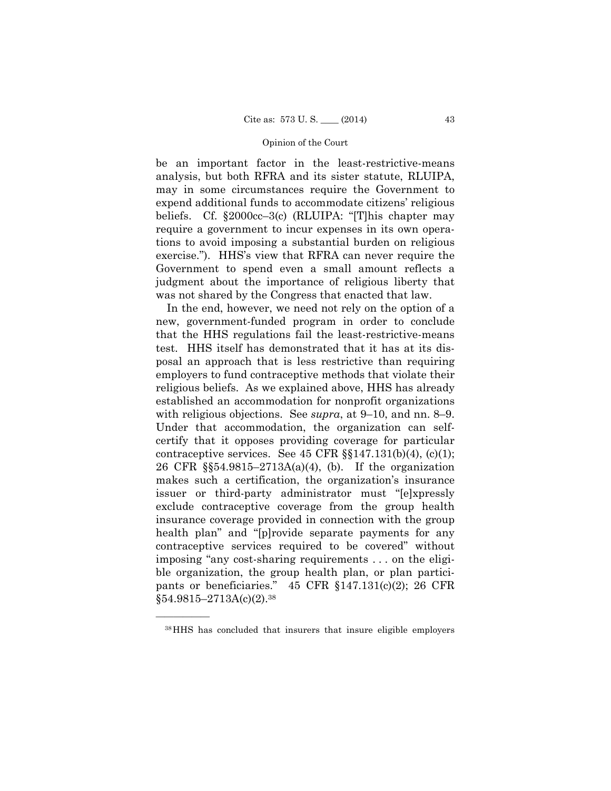be an important factor in the least-restrictive-means analysis, but both RFRA and its sister statute, RLUIPA, may in some circumstances require the Government to expend additional funds to accommodate citizens' religious beliefs. Cf. §2000cc–3(c) (RLUIPA: "[T]his chapter may require a government to incur expenses in its own operations to avoid imposing a substantial burden on religious exercise."). HHS's view that RFRA can never require the Government to spend even a small amount reflects a judgment about the importance of religious liberty that was not shared by the Congress that enacted that law.

In the end, however, we need not rely on the option of a new, government-funded program in order to conclude that the HHS regulations fail the least-restrictive-means test. HHS itself has demonstrated that it has at its disposal an approach that is less restrictive than requiring employers to fund contraceptive methods that violate their religious beliefs. As we explained above, HHS has already established an accommodation for nonprofit organizations with religious objections. See *supra*, at 9–10, and nn. 8–9. Under that accommodation, the organization can selfcertify that it opposes providing coverage for particular contraceptive services. See  $45$  CFR  $\S$  $147.131(b)(4)$ , (c)(1); 26 CFR §§54.9815–2713A(a)(4), (b). If the organization makes such a certification, the organization's insurance issuer or third-party administrator must "[e]xpressly exclude contraceptive coverage from the group health insurance coverage provided in connection with the group health plan" and "[p]rovide separate payments for any contraceptive services required to be covered" without imposing "any cost-sharing requirements . . . on the eligible organization, the group health plan, or plan participants or beneficiaries." 45 CFR §147.131(c)(2); 26 CFR  $§54.9815 - 2713A(c)(2).38$ 

<sup>38</sup>HHS has concluded that insurers that insure eligible employers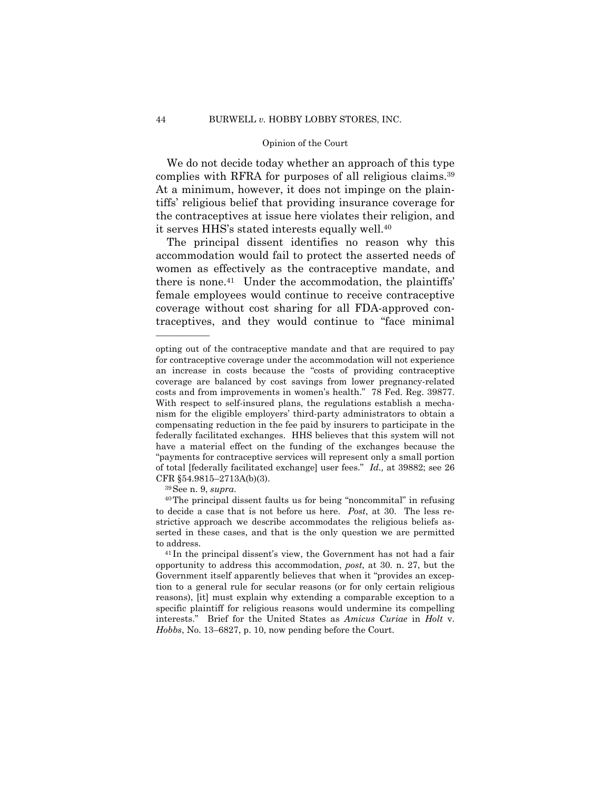We do not decide today whether an approach of this type complies with RFRA for purposes of all religious claims.39 At a minimum, however, it does not impinge on the plaintiffs' religious belief that providing insurance coverage for the contraceptives at issue here violates their religion, and it serves HHS's stated interests equally well.40

The principal dissent identifies no reason why this accommodation would fail to protect the asserted needs of women as effectively as the contraceptive mandate, and there is none.<sup>41</sup> Under the accommodation, the plaintiffs' female employees would continue to receive contraceptive coverage without cost sharing for all FDA-approved contraceptives, and they would continue to "face minimal

 of total [federally facilitated exchange] user fees." *Id.,* at 39882; see 26 opting out of the contraceptive mandate and that are required to pay for contraceptive coverage under the accommodation will not experience an increase in costs because the "costs of providing contraceptive coverage are balanced by cost savings from lower pregnancy-related costs and from improvements in women's health." 78 Fed. Reg. 39877. With respect to self-insured plans, the regulations establish a mechanism for the eligible employers' third-party administrators to obtain a compensating reduction in the fee paid by insurers to participate in the federally facilitated exchanges. HHS believes that this system will not have a material effect on the funding of the exchanges because the "payments for contraceptive services will represent only a small portion CFR §54.9815–2713A(b)(3).

 to decide a case that is not before us here. *Post*, at 30. The less re- $39$ See n. 9, *supra*.<br> $40$ The principal dissent faults us for being "noncommital" in refusing strictive approach we describe accommodates the religious beliefs asserted in these cases, and that is the only question we are permitted to address. 41 In the principal dissent's view, the Government has not had a fair

opportunity to address this accommodation, *post*, at 30. n. 27, but the Government itself apparently believes that when it "provides an exception to a general rule for secular reasons (or for only certain religious reasons), [it] must explain why extending a comparable exception to a specific plaintiff for religious reasons would undermine its compelling interests." Brief for the United States as *Amicus Curiae* in *Holt* v. *Hobbs*, No. 13–6827, p. 10, now pending before the Court.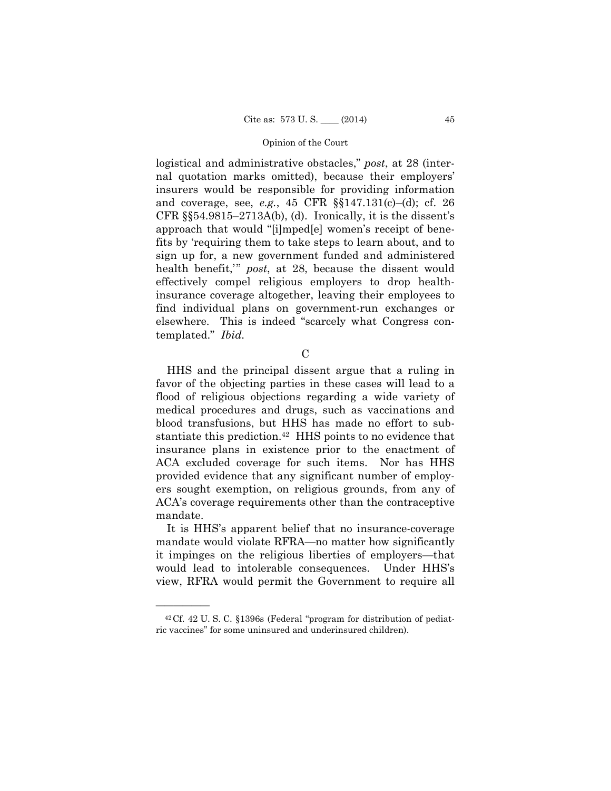templated." *Ibid.*  logistical and administrative obstacles," *post*, at 28 (internal quotation marks omitted), because their employers' insurers would be responsible for providing information and coverage, see, *e.g.*, 45 CFR §§147.131(c)–(d); cf. 26 CFR  $\S$ §54.9815–2713A(b), (d). Ironically, it is the dissent's approach that would "[i]mped[e] women's receipt of benefits by 'requiring them to take steps to learn about, and to sign up for, a new government funded and administered health benefit,'" *post*, at 28, because the dissent would effectively compel religious employers to drop healthinsurance coverage altogether, leaving their employees to find individual plans on government-run exchanges or elsewhere. This is indeed "scarcely what Congress con-

 $\mathcal{C}$ 

HHS and the principal dissent argue that a ruling in favor of the objecting parties in these cases will lead to a flood of religious objections regarding a wide variety of medical procedures and drugs, such as vaccinations and blood transfusions, but HHS has made no effort to substantiate this prediction.<sup>42</sup> HHS points to no evidence that insurance plans in existence prior to the enactment of ACA excluded coverage for such items. Nor has HHS provided evidence that any significant number of employers sought exemption, on religious grounds, from any of ACA's coverage requirements other than the contraceptive mandate.

It is HHS's apparent belief that no insurance-coverage mandate would violate RFRA—no matter how significantly it impinges on the religious liberties of employers—that would lead to intolerable consequences. Under HHS's view, RFRA would permit the Government to require all

<sup>42</sup>Cf. 42 U. S. C. §1396s (Federal "program for distribution of pediatric vaccines" for some uninsured and underinsured children).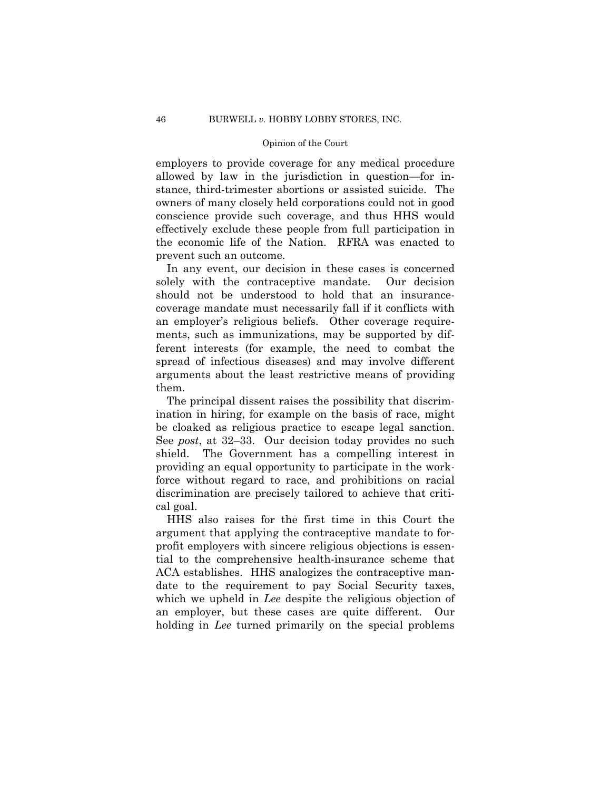employers to provide coverage for any medical procedure allowed by law in the jurisdiction in question—for instance, third-trimester abortions or assisted suicide. The owners of many closely held corporations could not in good conscience provide such coverage, and thus HHS would effectively exclude these people from full participation in the economic life of the Nation. RFRA was enacted to prevent such an outcome.

In any event, our decision in these cases is concerned solely with the contraceptive mandate. Our decision should not be understood to hold that an insurancecoverage mandate must necessarily fall if it conflicts with an employer's religious beliefs. Other coverage requirements, such as immunizations, may be supported by different interests (for example, the need to combat the spread of infectious diseases) and may involve different arguments about the least restrictive means of providing them.

The principal dissent raises the possibility that discrimination in hiring, for example on the basis of race, might be cloaked as religious practice to escape legal sanction. See *post*, at 32–33. Our decision today provides no such shield. The Government has a compelling interest in providing an equal opportunity to participate in the workforce without regard to race, and prohibitions on racial discrimination are precisely tailored to achieve that critical goal.

HHS also raises for the first time in this Court the argument that applying the contraceptive mandate to forprofit employers with sincere religious objections is essential to the comprehensive health-insurance scheme that ACA establishes. HHS analogizes the contraceptive mandate to the requirement to pay Social Security taxes, which we upheld in *Lee* despite the religious objection of an employer, but these cases are quite different. Our holding in *Lee* turned primarily on the special problems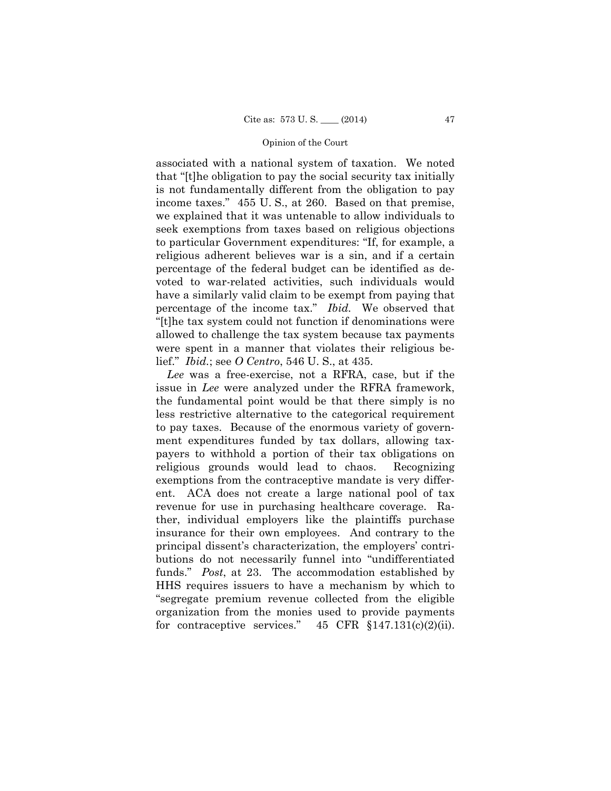associated with a national system of taxation. We noted that "[t]he obligation to pay the social security tax initially is not fundamentally different from the obligation to pay income taxes." 455 U. S., at 260. Based on that premise, we explained that it was untenable to allow individuals to seek exemptions from taxes based on religious objections to particular Government expenditures: "If, for example, a religious adherent believes war is a sin, and if a certain percentage of the federal budget can be identified as devoted to war-related activities, such individuals would have a similarly valid claim to be exempt from paying that percentage of the income tax." *Ibid.* We observed that "[t]he tax system could not function if denominations were allowed to challenge the tax system because tax payments were spent in a manner that violates their religious belief." *Ibid.*; see *O Centro*, 546 U. S., at 435.

*Lee* was a free-exercise, not a RFRA, case, but if the issue in *Lee* were analyzed under the RFRA framework, the fundamental point would be that there simply is no less restrictive alternative to the categorical requirement to pay taxes. Because of the enormous variety of government expenditures funded by tax dollars, allowing taxpayers to withhold a portion of their tax obligations on religious grounds would lead to chaos. Recognizing exemptions from the contraceptive mandate is very different. ACA does not create a large national pool of tax revenue for use in purchasing healthcare coverage. Rather, individual employers like the plaintiffs purchase insurance for their own employees. And contrary to the principal dissent's characterization, the employers' contributions do not necessarily funnel into "undifferentiated funds." *Post*, at 23. The accommodation established by HHS requires issuers to have a mechanism by which to "segregate premium revenue collected from the eligible organization from the monies used to provide payments for contraceptive services."  $45 \text{ CFR } \S 147.131(c)(2)(ii)$ .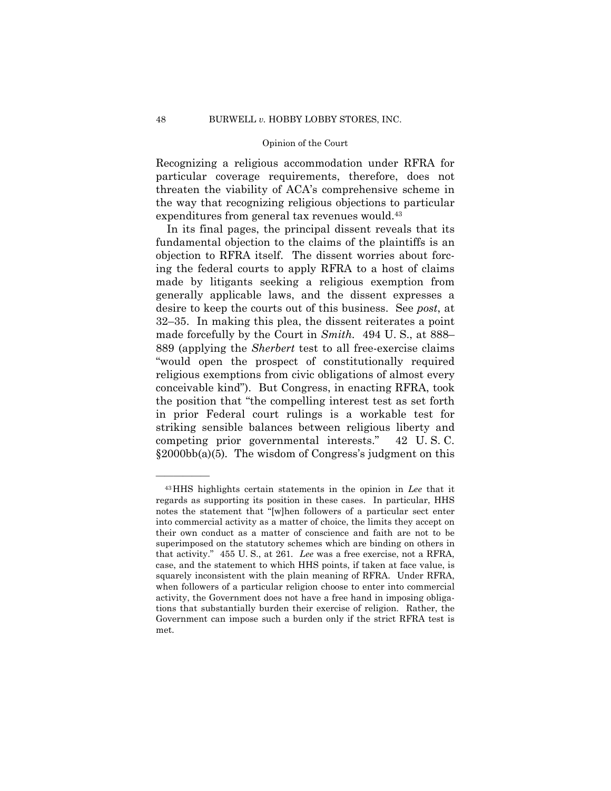Recognizing a religious accommodation under RFRA for particular coverage requirements, therefore, does not threaten the viability of ACA's comprehensive scheme in the way that recognizing religious objections to particular expenditures from general tax revenues would.43

 conceivable kind"). But Congress, in enacting RFRA, took In its final pages, the principal dissent reveals that its fundamental objection to the claims of the plaintiffs is an objection to RFRA itself. The dissent worries about forcing the federal courts to apply RFRA to a host of claims made by litigants seeking a religious exemption from generally applicable laws, and the dissent expresses a desire to keep the courts out of this business. See *post*, at 32–35. In making this plea, the dissent reiterates a point made forcefully by the Court in *Smith.* 494 U. S., at 888– 889 (applying the *Sherbert* test to all free-exercise claims "would open the prospect of constitutionally required religious exemptions from civic obligations of almost every the position that "the compelling interest test as set forth in prior Federal court rulings is a workable test for striking sensible balances between religious liberty and competing prior governmental interests." 42 U. S. C. §2000bb(a)(5)*.* The wisdom of Congress's judgment on this

<sup>43</sup>HHS highlights certain statements in the opinion in *Lee* that it regards as supporting its position in these cases. In particular, HHS notes the statement that "[w]hen followers of a particular sect enter into commercial activity as a matter of choice, the limits they accept on their own conduct as a matter of conscience and faith are not to be superimposed on the statutory schemes which are binding on others in that activity." 455 U. S., at 261. *Lee* was a free exercise, not a RFRA, case, and the statement to which HHS points, if taken at face value, is squarely inconsistent with the plain meaning of RFRA. Under RFRA, when followers of a particular religion choose to enter into commercial activity, the Government does not have a free hand in imposing obligations that substantially burden their exercise of religion. Rather, the Government can impose such a burden only if the strict RFRA test is met.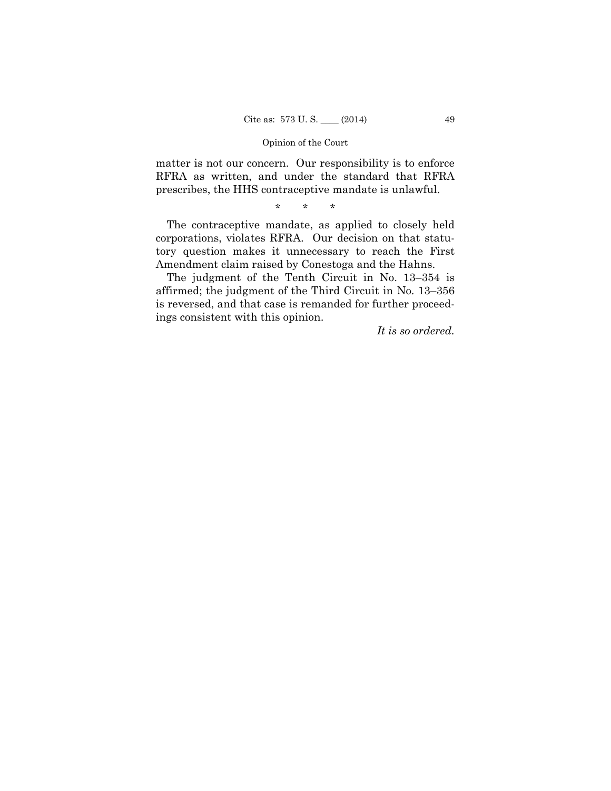matter is not our concern. Our responsibility is to enforce RFRA as written, and under the standard that RFRA prescribes, the HHS contraceptive mandate is unlawful.

\* \* \*

The contraceptive mandate, as applied to closely held corporations, violates RFRA. Our decision on that statutory question makes it unnecessary to reach the First Amendment claim raised by Conestoga and the Hahns.

The judgment of the Tenth Circuit in No. 13–354 is affirmed; the judgment of the Third Circuit in No. 13–356 is reversed, and that case is remanded for further proceedings consistent with this opinion.

*It is so ordered.*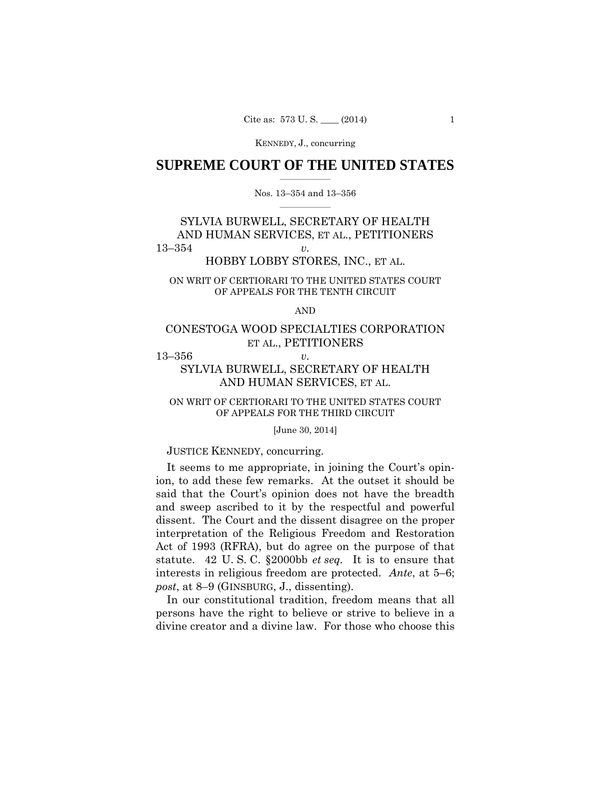# $\frac{1}{2}$  ,  $\frac{1}{2}$  ,  $\frac{1}{2}$  ,  $\frac{1}{2}$  ,  $\frac{1}{2}$  ,  $\frac{1}{2}$  ,  $\frac{1}{2}$ **SUPREME COURT OF THE UNITED STATES**

### $\frac{1}{2}$  ,  $\frac{1}{2}$  ,  $\frac{1}{2}$  ,  $\frac{1}{2}$  ,  $\frac{1}{2}$  ,  $\frac{1}{2}$ Nos. 13–354 and 13–356

# SYLVIA BURWELL, SECRETARY OF HEALTH AND HUMAN SERVICES, ET AL., PETITIONERS 13–354 *v.*

# HOBBY LOBBY STORES, INC., ET AL.

# ON WRIT OF CERTIORARI TO THE UNITED STATES COURT OF APPEALS FOR THE TENTH CIRCUIT

AND

# CONESTOGA WOOD SPECIALTIES CORPORATION ET AL., PETITIONERS

13–356 *v.* 

# SYLVIA BURWELL, SECRETARY OF HEALTH AND HUMAN SERVICES, ET AL.

# ON WRIT OF CERTIORARI TO THE UNITED STATES COURT OF APPEALS FOR THE THIRD CIRCUIT

[June 30, 2014]

### JUSTICE KENNEDY, concurring.

It seems to me appropriate, in joining the Court's opinion, to add these few remarks. At the outset it should be said that the Court's opinion does not have the breadth and sweep ascribed to it by the respectful and powerful dissent. The Court and the dissent disagree on the proper interpretation of the Religious Freedom and Restoration Act of 1993 (RFRA), but do agree on the purpose of that statute. 42 U. S. C. §2000bb *et seq.* It is to ensure that interests in religious freedom are protected. *Ante*, at 5–6; *post*, at 8–9 (GINSBURG, J., dissenting).

In our constitutional tradition, freedom means that all persons have the right to believe or strive to believe in a divine creator and a divine law. For those who choose this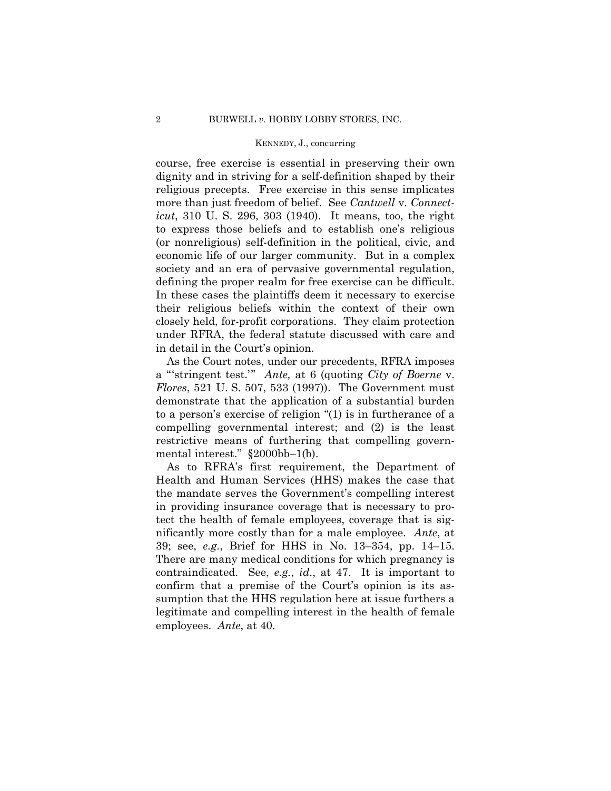course, free exercise is essential in preserving their own dignity and in striving for a self-definition shaped by their religious precepts. Free exercise in this sense implicates more than just freedom of belief. See *Cantwell* v. *Connecticut*, 310 U. S. 296, 303 (1940). It means, too, the right to express those beliefs and to establish one's religious (or nonreligious) self-definition in the political, civic, and economic life of our larger community. But in a complex society and an era of pervasive governmental regulation, defining the proper realm for free exercise can be difficult. In these cases the plaintiffs deem it necessary to exercise their religious beliefs within the context of their own closely held, for-profit corporations. They claim protection under RFRA, the federal statute discussed with care and in detail in the Court's opinion.

As the Court notes, under our precedents, RFRA imposes a "'stringent test.'" *Ante,* at 6 (quoting *City of Boerne* v. *Flores*, 521 U. S. 507, 533 (1997)). The Government must demonstrate that the application of a substantial burden to a person's exercise of religion "(1) is in furtherance of a compelling governmental interest; and (2) is the least restrictive means of furthering that compelling governmental interest." §2000bb–1(b).

As to RFRA's first requirement, the Department of Health and Human Services (HHS) makes the case that the mandate serves the Government's compelling interest in providing insurance coverage that is necessary to protect the health of female employees, coverage that is significantly more costly than for a male employee. *Ante*, at 39; see, *e.g*., Brief for HHS in No. 13–354, pp. 14–15. There are many medical conditions for which pregnancy is contraindicated. See, *e.g.*, *id*., at 47. It is important to confirm that a premise of the Court's opinion is its assumption that the HHS regulation here at issue furthers a legitimate and compelling interest in the health of female employees. *Ante*, at 40.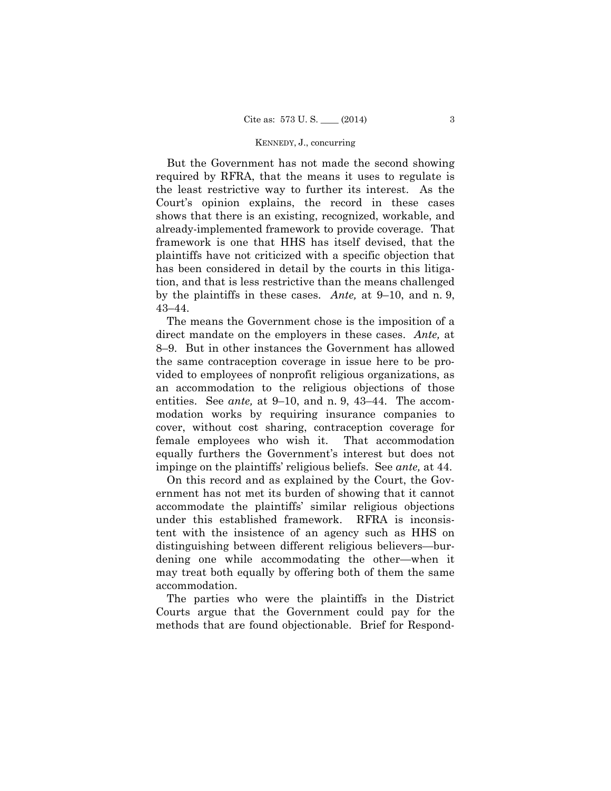But the Government has not made the second showing required by RFRA, that the means it uses to regulate is the least restrictive way to further its interest. As the Court's opinion explains, the record in these cases shows that there is an existing, recognized, workable, and already-implemented framework to provide coverage. That framework is one that HHS has itself devised, that the plaintiffs have not criticized with a specific objection that has been considered in detail by the courts in this litigation, and that is less restrictive than the means challenged by the plaintiffs in these cases. *Ante,* at 9–10, and n. 9, 43–44.

The means the Government chose is the imposition of a direct mandate on the employers in these cases. *Ante,* at 8–9. But in other instances the Government has allowed the same contraception coverage in issue here to be provided to employees of nonprofit religious organizations, as an accommodation to the religious objections of those entities. See *ante,* at 9–10, and n. 9, 43–44. The accommodation works by requiring insurance companies to cover, without cost sharing, contraception coverage for female employees who wish it. That accommodation equally furthers the Government's interest but does not impinge on the plaintiffs' religious beliefs. See *ante,* at 44.

On this record and as explained by the Court, the Government has not met its burden of showing that it cannot accommodate the plaintiffs' similar religious objections under this established framework. RFRA is inconsistent with the insistence of an agency such as HHS on distinguishing between different religious believers—burdening one while accommodating the other—when it may treat both equally by offering both of them the same accommodation.

The parties who were the plaintiffs in the District Courts argue that the Government could pay for the methods that are found objectionable. Brief for Respond-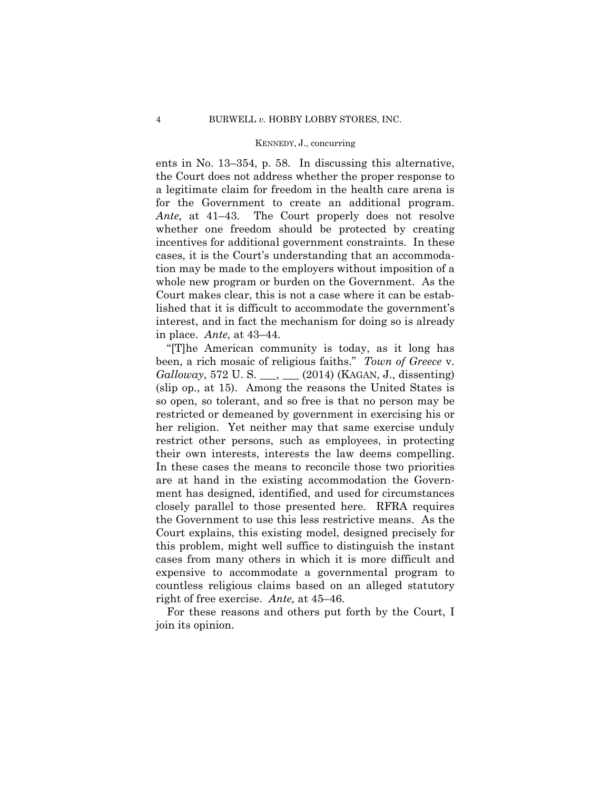ents in No. 13–354, p. 58. In discussing this alternative, the Court does not address whether the proper response to a legitimate claim for freedom in the health care arena is for the Government to create an additional program. *Ante,* at 41–43. The Court properly does not resolve whether one freedom should be protected by creating incentives for additional government constraints. In these cases, it is the Court's understanding that an accommodation may be made to the employers without imposition of a whole new program or burden on the Government. As the Court makes clear, this is not a case where it can be established that it is difficult to accommodate the government's interest, and in fact the mechanism for doing so is already in place. *Ante,* at 43–44.

"[T]he American community is today, as it long has been, a rich mosaic of religious faiths." *Town of Greece* v. *Galloway*, 572 U. S. \_\_\_, \_\_\_ (2014) (KAGAN, J., dissenting) (slip op., at 15). Among the reasons the United States is so open, so tolerant, and so free is that no person may be restricted or demeaned by government in exercising his or her religion. Yet neither may that same exercise unduly restrict other persons, such as employees, in protecting their own interests, interests the law deems compelling. In these cases the means to reconcile those two priorities are at hand in the existing accommodation the Government has designed, identified, and used for circumstances closely parallel to those presented here. RFRA requires the Government to use this less restrictive means. As the Court explains, this existing model, designed precisely for this problem, might well suffice to distinguish the instant cases from many others in which it is more difficult and expensive to accommodate a governmental program to countless religious claims based on an alleged statutory right of free exercise. *Ante,* at 45–46.

For these reasons and others put forth by the Court, I join its opinion.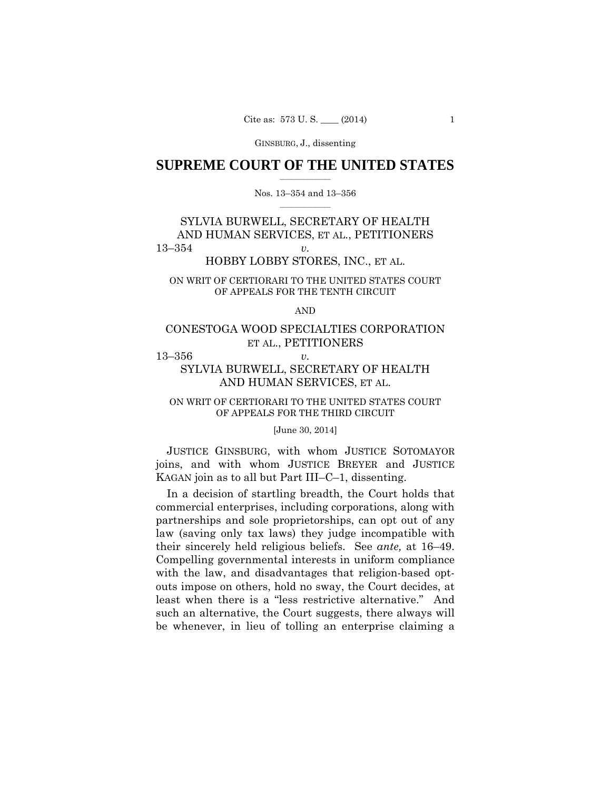# $\frac{1}{2}$  ,  $\frac{1}{2}$  ,  $\frac{1}{2}$  ,  $\frac{1}{2}$  ,  $\frac{1}{2}$  ,  $\frac{1}{2}$  ,  $\frac{1}{2}$ **SUPREME COURT OF THE UNITED STATES**

### $\frac{1}{2}$  ,  $\frac{1}{2}$  ,  $\frac{1}{2}$  ,  $\frac{1}{2}$  ,  $\frac{1}{2}$  ,  $\frac{1}{2}$ Nos. 13–354 and 13–356

# SYLVIA BURWELL, SECRETARY OF HEALTH AND HUMAN SERVICES, ET AL., PETITIONERS 13–354 *v.*

# HOBBY LOBBY STORES, INC., ET AL.

# ON WRIT OF CERTIORARI TO THE UNITED STATES COURT OF APPEALS FOR THE TENTH CIRCUIT

AND

# CONESTOGA WOOD SPECIALTIES CORPORATION ET AL., PETITIONERS

13–356 *v.* 

# SYLVIA BURWELL, SECRETARY OF HEALTH AND HUMAN SERVICES, ET AL.

# ON WRIT OF CERTIORARI TO THE UNITED STATES COURT OF APPEALS FOR THE THIRD CIRCUIT

#### [June 30, 2014]

JUSTICE GINSBURG, with whom JUSTICE SOTOMAYOR joins, and with whom JUSTICE BREYER and JUSTICE KAGAN join as to all but Part III–C–1, dissenting.

their sincerely held religious beliefs. See *ante*, at 16–49. In a decision of startling breadth, the Court holds that commercial enterprises, including corporations, along with partnerships and sole proprietorships, can opt out of any law (saving only tax laws) they judge incompatible with Compelling governmental interests in uniform compliance with the law, and disadvantages that religion-based optouts impose on others, hold no sway, the Court decides, at least when there is a "less restrictive alternative." And such an alternative, the Court suggests, there always will be whenever, in lieu of tolling an enterprise claiming a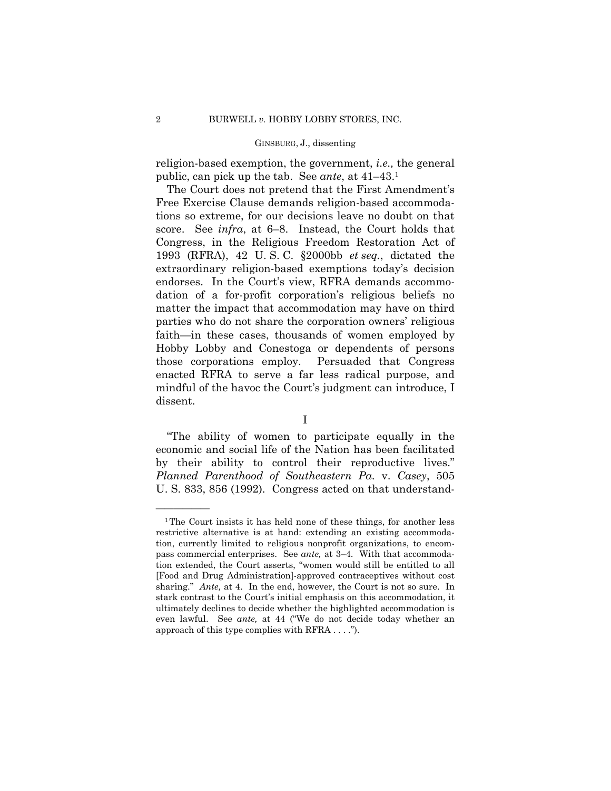religion-based exemption, the government, *i.e.,* the general public, can pick up the tab. See *ante*, at 41–43.1

The Court does not pretend that the First Amendment's Free Exercise Clause demands religion-based accommodations so extreme, for our decisions leave no doubt on that score. See *infra*, at 6–8. Instead, the Court holds that Congress, in the Religious Freedom Restoration Act of 1993 (RFRA), 42 U. S. C. §2000bb *et seq.*, dictated the extraordinary religion-based exemptions today's decision endorses. In the Court's view, RFRA demands accommodation of a for-profit corporation's religious beliefs no matter the impact that accommodation may have on third parties who do not share the corporation owners' religious faith—in these cases, thousands of women employed by Hobby Lobby and Conestoga or dependents of persons those corporations employ. Persuaded that Congress enacted RFRA to serve a far less radical purpose, and mindful of the havoc the Court's judgment can introduce, I dissent.

I

"The ability of women to participate equally in the economic and social life of the Nation has been facilitated by their ability to control their reproductive lives." *Planned Parenthood of Southeastern Pa.* v. *Casey*, 505 U. S. 833, 856 (1992). Congress acted on that understand-

<sup>&</sup>lt;sup>1</sup>The Court insists it has held none of these things, for another less restrictive alternative is at hand: extending an existing accommodation, currently limited to religious nonprofit organizations, to encompass commercial enterprises. See *ante,* at 3–4. With that accommodation extended, the Court asserts, "women would still be entitled to all [Food and Drug Administration]-approved contraceptives without cost sharing." *Ante,* at 4. In the end, however, the Court is not so sure. In stark contrast to the Court's initial emphasis on this accommodation, it ultimately declines to decide whether the highlighted accommodation is even lawful. See *ante,* at 44 ("We do not decide today whether an approach of this type complies with RFRA . . . .").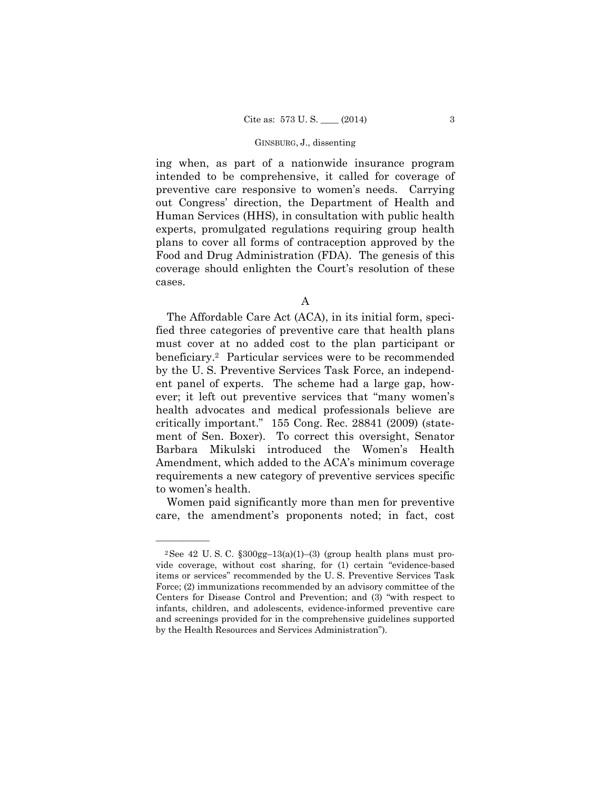ing when, as part of a nationwide insurance program intended to be comprehensive, it called for coverage of preventive care responsive to women's needs. Carrying out Congress' direction, the Department of Health and Human Services (HHS), in consultation with public health experts, promulgated regulations requiring group health plans to cover all forms of contraception approved by the Food and Drug Administration (FDA). The genesis of this coverage should enlighten the Court's resolution of these cases.

A

The Affordable Care Act (ACA), in its initial form, specified three categories of preventive care that health plans must cover at no added cost to the plan participant or beneficiary.2 Particular services were to be recommended by the U. S. Preventive Services Task Force, an independent panel of experts. The scheme had a large gap, however; it left out preventive services that "many women's health advocates and medical professionals believe are critically important." 155 Cong. Rec. 28841 (2009) (statement of Sen. Boxer). To correct this oversight, Senator Barbara Mikulski introduced the Women's Health Amendment, which added to the ACA's minimum coverage requirements a new category of preventive services specific to women's health.

Women paid significantly more than men for preventive care, the amendment's proponents noted; in fact, cost

<sup>&</sup>lt;sup>2</sup>See 42 U.S.C.  $\frac{$300gg-13(a)(1)-(3)}{2}$  (group health plans must provide coverage, without cost sharing, for (1) certain "evidence-based items or services" recommended by the U. S. Preventive Services Task Force; (2) immunizations recommended by an advisory committee of the Centers for Disease Control and Prevention; and (3) "with respect to infants, children, and adolescents, evidence-informed preventive care and screenings provided for in the comprehensive guidelines supported by the Health Resources and Services Administration").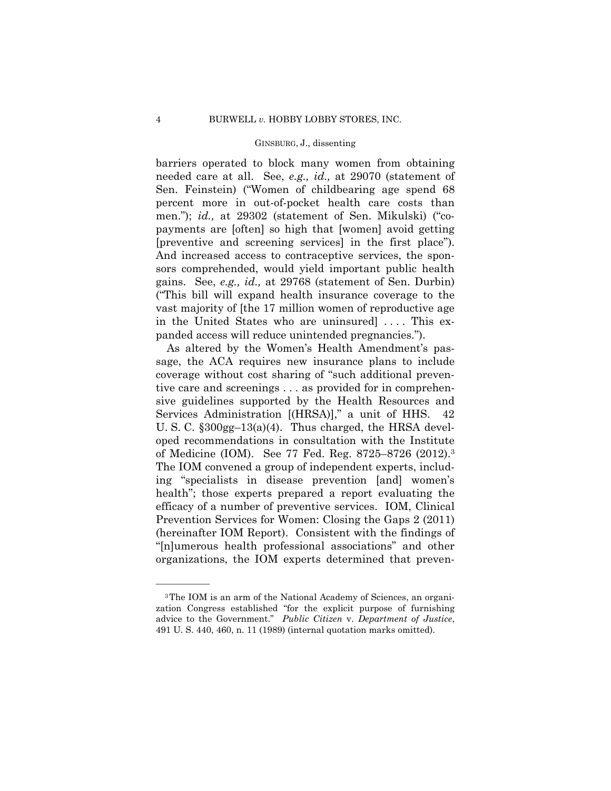barriers operated to block many women from obtaining needed care at all. See, *e.g., id.,* at 29070 (statement of Sen. Feinstein) ("Women of childbearing age spend 68 percent more in out-of-pocket health care costs than men."); *id.*, at 29302 (statement of Sen. Mikulski) ("copayments are [often] so high that [women] avoid getting [preventive and screening services] in the first place"). And increased access to contraceptive services, the sponsors comprehended, would yield important public health gains. See, *e.g., id.,* at 29768 (statement of Sen. Durbin) ("This bill will expand health insurance coverage to the vast majority of [the 17 million women of reproductive age in the United States who are uninsured .... This expanded access will reduce unintended pregnancies.").

 of Medicine (IOM). See 77 Fed. Reg. 8725–8726 (2012).3 As altered by the Women's Health Amendment's passage, the ACA requires new insurance plans to include coverage without cost sharing of "such additional preventive care and screenings . . . as provided for in comprehensive guidelines supported by the Health Resources and Services Administration [(HRSA)]," a unit of HHS. 42 U. S. C. §300gg–13(a)(4). Thus charged, the HRSA developed recommendations in consultation with the Institute The IOM convened a group of independent experts, including "specialists in disease prevention [and] women's health"; those experts prepared a report evaluating the efficacy of a number of preventive services. IOM, Clinical Prevention Services for Women: Closing the Gaps 2 (2011) (hereinafter IOM Report). Consistent with the findings of "[n]umerous health professional associations" and other organizations, the IOM experts determined that preven-

<sup>3</sup>The IOM is an arm of the National Academy of Sciences, an organization Congress established "for the explicit purpose of furnishing advice to the Government." *Public Citizen* v. *Department of Justice*, 491 U. S. 440, 460, n. 11 (1989) (internal quotation marks omitted).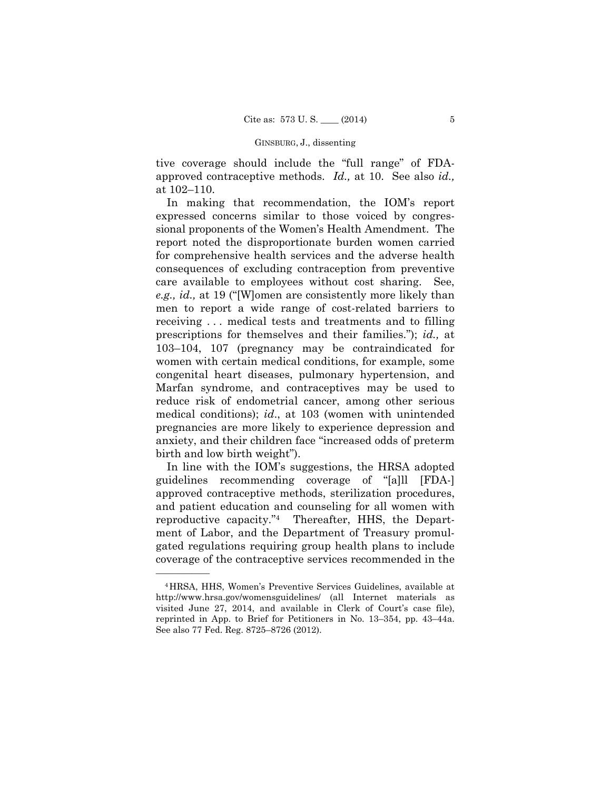approved contraceptive methods. *Id.,* at 10. See also *id.,*  tive coverage should include the "full range" of FDAat 102–110.

In making that recommendation, the IOM's report expressed concerns similar to those voiced by congressional proponents of the Women's Health Amendment. The report noted the disproportionate burden women carried for comprehensive health services and the adverse health consequences of excluding contraception from preventive care available to employees without cost sharing. See, *e.g., id.,* at 19 ("[W]omen are consistently more likely than men to report a wide range of cost-related barriers to receiving . . . medical tests and treatments and to filling prescriptions for themselves and their families."); *id.,* at 103–104, 107 (pregnancy may be contraindicated for women with certain medical conditions, for example, some congenital heart diseases, pulmonary hypertension, and Marfan syndrome, and contraceptives may be used to reduce risk of endometrial cancer, among other serious medical conditions); *id*., at 103 (women with unintended pregnancies are more likely to experience depression and anxiety, and their children face "increased odds of preterm birth and low birth weight").

In line with the IOM's suggestions, the HRSA adopted guidelines recommending coverage of "[a]ll [FDA-] approved contraceptive methods, sterilization procedures, and patient education and counseling for all women with reproductive capacity."4 Thereafter, HHS, the Department of Labor, and the Department of Treasury promulgated regulations requiring group health plans to include coverage of the contraceptive services recommended in the

<sup>4</sup>HRSA, HHS, Women's Preventive Services Guidelines, available at http://www.hrsa.gov/womensguidelines/ (all Internet materials as visited June 27, 2014, and available in Clerk of Court's case file), reprinted in App. to Brief for Petitioners in No. 13–354, pp. 43–44a. See also 77 Fed. Reg. 8725–8726 (2012).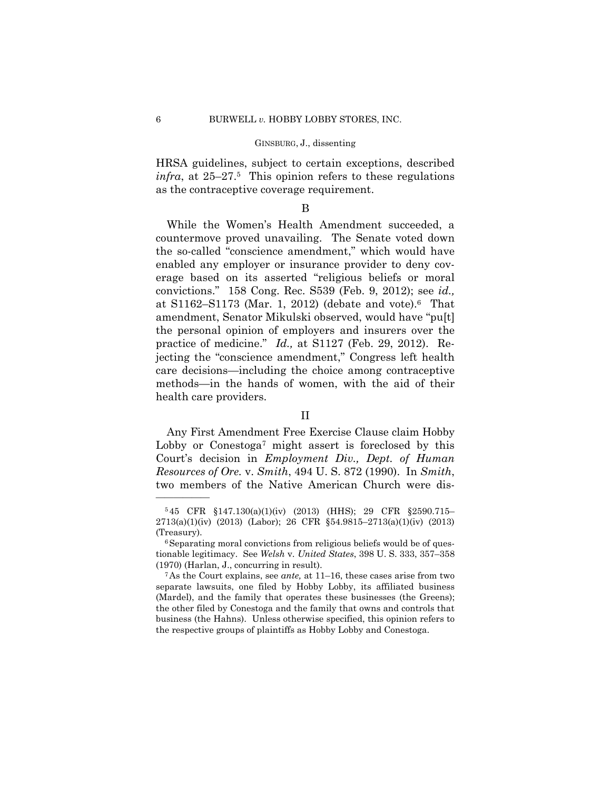HRSA guidelines, subject to certain exceptions, described *infra*, at 25–27.5 This opinion refers to these regulations as the contraceptive coverage requirement.

# B

While the Women's Health Amendment succeeded, a countermove proved unavailing. The Senate voted down the so-called "conscience amendment," which would have enabled any employer or insurance provider to deny coverage based on its asserted "religious beliefs or moral convictions." 158 Cong. Rec. S539 (Feb. 9, 2012); see *id.,*  at S1162–S1173 (Mar. 1, 2012) (debate and vote).6 That amendment, Senator Mikulski observed, would have "pu[t] the personal opinion of employers and insurers over the practice of medicine." *Id.,* at S1127 (Feb. 29, 2012). Rejecting the "conscience amendment," Congress left health care decisions—including the choice among contraceptive methods—in the hands of women, with the aid of their health care providers.

### II

Any First Amendment Free Exercise Clause claim Hobby Lobby or Conestoga<sup>7</sup> might assert is foreclosed by this Court's decision in *Employment Div., Dept. of Human Resources of Ore.* v. *Smith*, 494 U. S. 872 (1990). In *Smith*, two members of the Native American Church were dis-

<sup>5</sup> 45 CFR §147.130(a)(1)(iv) (2013) (HHS); 29 CFR §2590.715– 2713(a)(1)(iv) (2013) (Labor); 26 CFR §54.9815–2713(a)(1)(iv) (2013) (Treasury).  $6$  Separating moral convictions from religious beliefs would be of ques-

tionable legitimacy. See *Welsh* v. *United States*, 398 U. S. 333, 357–358 (1970) (Harlan, J., concurring in result). 7As the Court explains, see *ante,* at 11–16, these cases arise from two

separate lawsuits, one filed by Hobby Lobby, its affiliated business (Mardel), and the family that operates these businesses (the Greens); the other filed by Conestoga and the family that owns and controls that business (the Hahns). Unless otherwise specified, this opinion refers to the respective groups of plaintiffs as Hobby Lobby and Conestoga.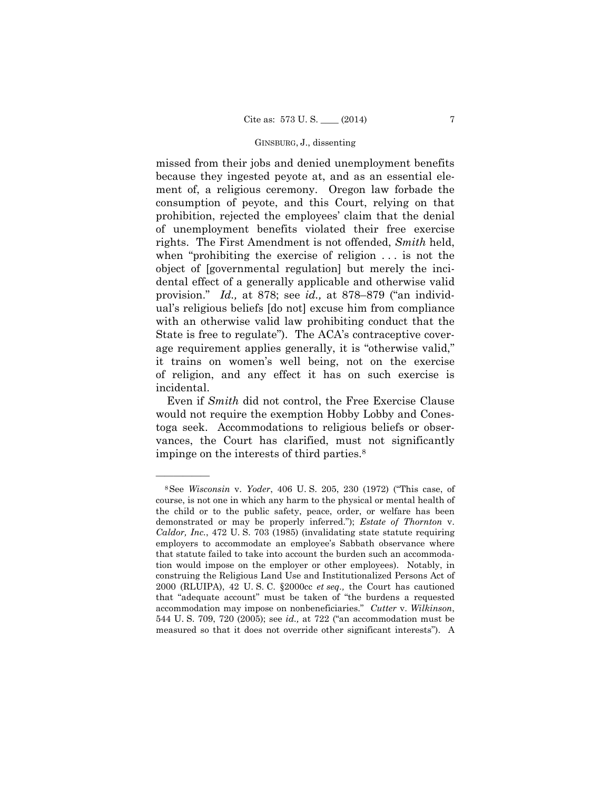missed from their jobs and denied unemployment benefits because they ingested peyote at, and as an essential element of, a religious ceremony. Oregon law forbade the consumption of peyote, and this Court, relying on that prohibition, rejected the employees' claim that the denial of unemployment benefits violated their free exercise rights. The First Amendment is not offended, *Smith* held, when "prohibiting the exercise of religion . . . is not the object of [governmental regulation] but merely the incidental effect of a generally applicable and otherwise valid provision." *Id.,* at 878; see *id.,* at 878–879 ("an individual's religious beliefs [do not] excuse him from compliance with an otherwise valid law prohibiting conduct that the State is free to regulate"). The ACA's contraceptive coverage requirement applies generally, it is "otherwise valid," it trains on women's well being, not on the exercise of religion, and any effect it has on such exercise is incidental.

 Even if *Smith* did not control, the Free Exercise Clause would not require the exemption Hobby Lobby and Conestoga seek. Accommodations to religious beliefs or observances, the Court has clarified, must not significantly impinge on the interests of third parties.8

<sup>8</sup>See *Wisconsin* v. *Yoder*, 406 U. S. 205, 230 (1972) ("This case, of course, is not one in which any harm to the physical or mental health of the child or to the public safety, peace, order, or welfare has been demonstrated or may be properly inferred."); *Estate of Thornton* v. *Caldor, Inc.*, 472 U. S. 703 (1985) (invalidating state statute requiring employers to accommodate an employee's Sabbath observance where that statute failed to take into account the burden such an accommodation would impose on the employer or other employees). Notably, in construing the Religious Land Use and Institutionalized Persons Act of 2000 (RLUIPA), 42 U. S. C. §2000cc *et seq.,* the Court has cautioned that "adequate account" must be taken of "the burdens a requested accommodation may impose on nonbeneficiaries." *Cutter* v. *Wilkinson*, 544 U. S. 709, 720 (2005); see *id.,* at 722 ("an accommodation must be measured so that it does not override other significant interests"). A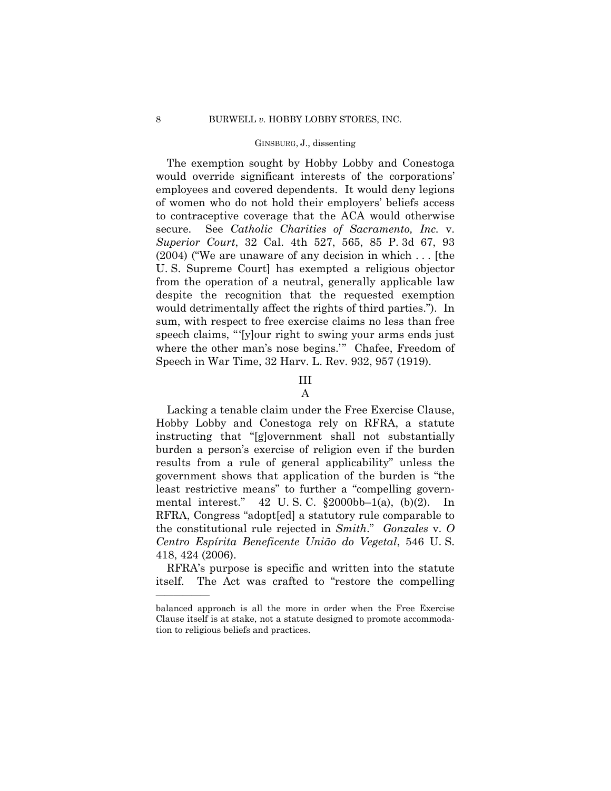The exemption sought by Hobby Lobby and Conestoga would override significant interests of the corporations' employees and covered dependents. It would deny legions of women who do not hold their employers' beliefs access to contraceptive coverage that the ACA would otherwise secure. See *Catholic Charities of Sacramento, Inc.* v. *Superior Court*, 32 Cal. 4th 527, 565, 85 P. 3d 67, 93 (2004) ("We are unaware of any decision in which . . . [the U. S. Supreme Court] has exempted a religious objector from the operation of a neutral, generally applicable law despite the recognition that the requested exemption would detrimentally affect the rights of third parties."). In sum, with respect to free exercise claims no less than free speech claims, "'[y]our right to swing your arms ends just where the other man's nose begins.'" Chafee, Freedom of Speech in War Time, 32 Harv. L. Rev. 932, 957 (1919).

# III

# A

Lacking a tenable claim under the Free Exercise Clause, Hobby Lobby and Conestoga rely on RFRA, a statute instructing that "[g]overnment shall not substantially burden a person's exercise of religion even if the burden results from a rule of general applicability" unless the government shows that application of the burden is "the least restrictive means" to further a "compelling governmental interest." 42 U. S. C. §2000bb–1(a), (b)(2). In RFRA, Congress "adopt[ed] a statutory rule comparable to the constitutional rule rejected in *Smith*." *Gonzales* v. *O Centro Espírita Beneficente União do Vegetal*, 546 U. S. 418, 424 (2006).

RFRA's purpose is specific and written into the statute itself. The Act was crafted to "restore the compelling

balanced approach is all the more in order when the Free Exercise Clause itself is at stake, not a statute designed to promote accommodation to religious beliefs and practices.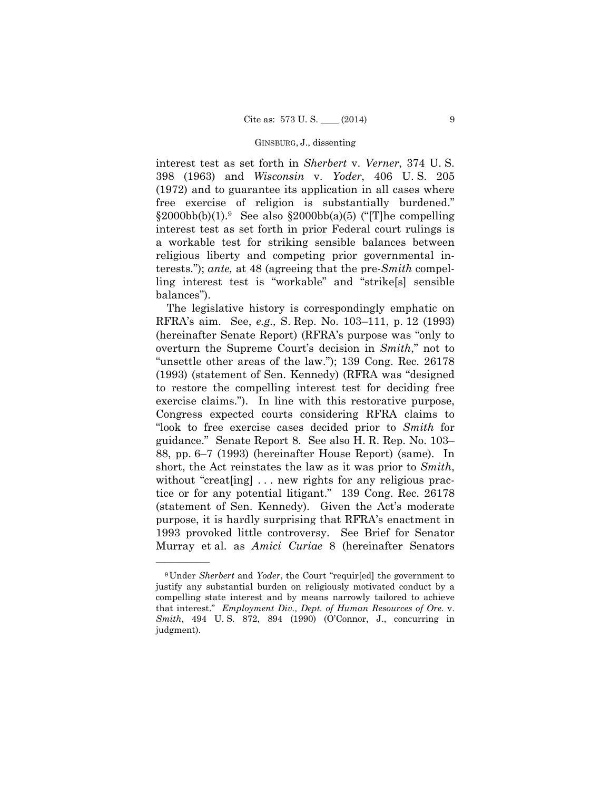interest test as set forth in *Sherbert* v. *Verner*, 374 U. S. 398 (1963) and *Wisconsin* v. *Yoder*, 406 U. S. 205 (1972) and to guarantee its application in all cases where free exercise of religion is substantially burdened."  $\S 2000bb(b)(1).$ <sup>9</sup> See also  $\S 2000bb(a)(5)$  ("The compelling" interest test as set forth in prior Federal court rulings is a workable test for striking sensible balances between religious liberty and competing prior governmental interests."); *ante,* at 48 (agreeing that the pre-*Smith* compelling interest test is "workable" and "strike[s] sensible balances").

The legislative history is correspondingly emphatic on RFRA's aim. See, *e.g.,* S. Rep. No. 103–111, p. 12 (1993) (hereinafter Senate Report) (RFRA's purpose was "only to overturn the Supreme Court's decision in *Smith*," not to "unsettle other areas of the law."); 139 Cong. Rec. 26178 (1993) (statement of Sen. Kennedy) (RFRA was "designed to restore the compelling interest test for deciding free exercise claims."). In line with this restorative purpose, Congress expected courts considering RFRA claims to "look to free exercise cases decided prior to *Smith* for guidance." Senate Report 8. See also H. R. Rep. No. 103– 88, pp. 6–7 (1993) (hereinafter House Report) (same). In short, the Act reinstates the law as it was prior to *Smith*, without "creat [ing] ... new rights for any religious practice or for any potential litigant." 139 Cong. Rec. 26178 (statement of Sen. Kennedy). Given the Act's moderate purpose, it is hardly surprising that RFRA's enactment in 1993 provoked little controversy. See Brief for Senator Murray et al. as *Amici Curiae* 8 (hereinafter Senators

 that interest." *Employment Div., Dept. of Human Resources of Ore.* v. *Smith*, 494 U. S. 872, 894 (1990) (O'Connor, J., concurring in 9Under *Sherbert* and *Yoder*, the Court "requir[ed] the government to justify any substantial burden on religiously motivated conduct by a compelling state interest and by means narrowly tailored to achieve judgment).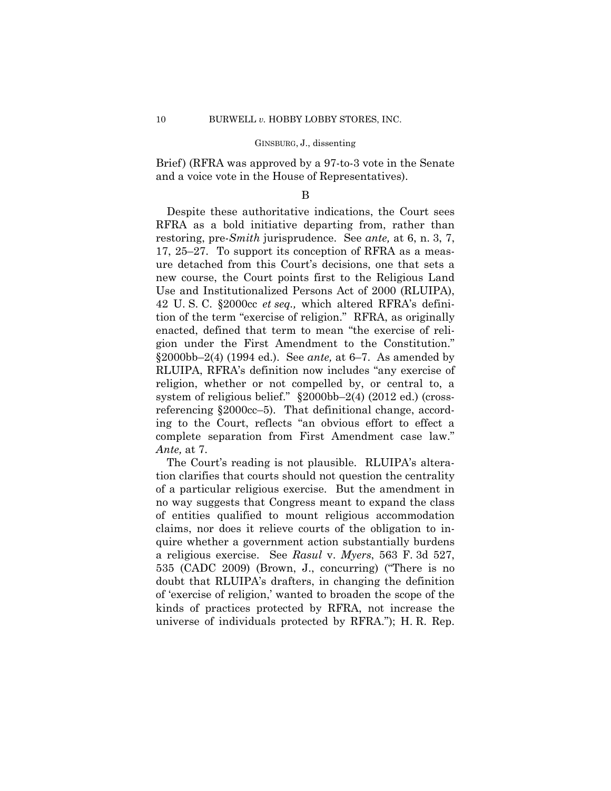Brief) (RFRA was approved by a 97-to-3 vote in the Senate and a voice vote in the House of Representatives).

## B

Despite these authoritative indications, the Court sees RFRA as a bold initiative departing from, rather than restoring, pre-*Smith* jurisprudence. See *ante,* at 6, n. 3, 7, 17, 25–27. To support its conception of RFRA as a measure detached from this Court's decisions, one that sets a new course, the Court points first to the Religious Land Use and Institutionalized Persons Act of 2000 (RLUIPA), 42 U. S. C. §2000cc *et seq.,* which altered RFRA's definition of the term "exercise of religion." RFRA, as originally enacted, defined that term to mean "the exercise of religion under the First Amendment to the Constitution." §2000bb–2(4) (1994 ed.). See *ante,* at 6–7. As amended by RLUIPA, RFRA's definition now includes "any exercise of religion, whether or not compelled by, or central to, a system of religious belief." §2000bb–2(4) (2012 ed.) (crossreferencing §2000cc–5). That definitional change, according to the Court, reflects "an obvious effort to effect a complete separation from First Amendment case law." *Ante,* at 7.

The Court's reading is not plausible. RLUIPA's alteration clarifies that courts should not question the centrality of a particular religious exercise. But the amendment in no way suggests that Congress meant to expand the class of entities qualified to mount religious accommodation claims, nor does it relieve courts of the obligation to inquire whether a government action substantially burdens a religious exercise. See *Rasul* v. *Myers*, 563 F. 3d 527, 535 (CADC 2009) (Brown, J., concurring) ("There is no doubt that RLUIPA's drafters, in changing the definition of 'exercise of religion,' wanted to broaden the scope of the kinds of practices protected by RFRA, not increase the universe of individuals protected by RFRA."); H. R. Rep.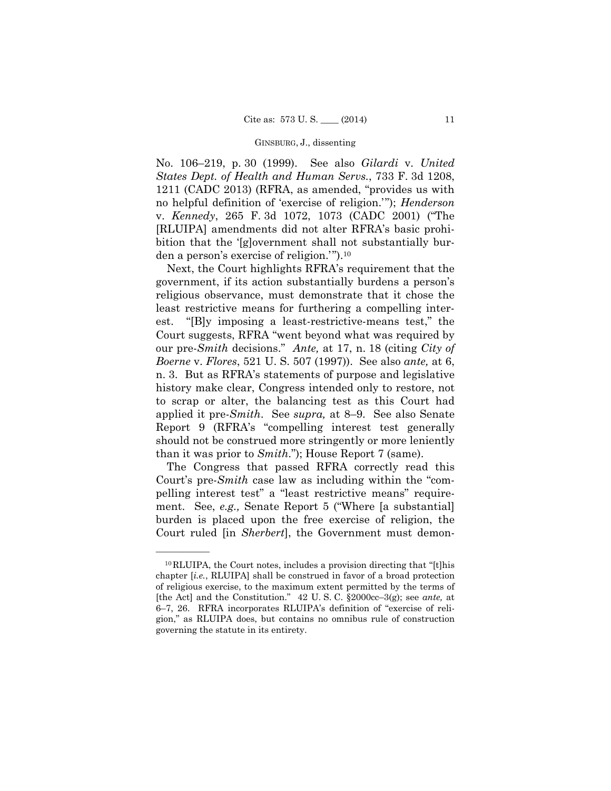No. 106–219, p. 30 (1999). See also *Gilardi* v. *United States Dept. of Health and Human Servs.*, 733 F. 3d 1208, 1211 (CADC 2013) (RFRA, as amended, "provides us with no helpful definition of 'exercise of religion.'"); *Henderson*  v. *Kennedy*, 265 F. 3d 1072, 1073 (CADC 2001) ("The [RLUIPA] amendments did not alter RFRA's basic prohibition that the '[g]overnment shall not substantially burden a person's exercise of religion.'").10

Next, the Court highlights RFRA's requirement that the government, if its action substantially burdens a person's religious observance, must demonstrate that it chose the least restrictive means for furthering a compelling interest. "[B]y imposing a least-restrictive-means test," the Court suggests, RFRA "went beyond what was required by our pre-*Smith* decisions." *Ante,* at 17, n. 18 (citing *City of Boerne* v. *Flores*, 521 U. S. 507 (1997)). See also *ante,* at 6, n. 3. But as RFRA's statements of purpose and legislative history make clear, Congress intended only to restore, not to scrap or alter, the balancing test as this Court had applied it pre-*Smith*. See *supra,* at 8–9. See also Senate Report 9 (RFRA's "compelling interest test generally should not be construed more stringently or more leniently than it was prior to *Smith*."); House Report 7 (same).

The Congress that passed RFRA correctly read this Court's pre-*Smith* case law as including within the "compelling interest test" a "least restrictive means" requirement. See, *e.g.,* Senate Report 5 ("Where [a substantial] burden is placed upon the free exercise of religion, the Court ruled [in *Sherbert*], the Government must demon-

<sup>10</sup>RLUIPA, the Court notes, includes a provision directing that "[t]his chapter [*i.e.*, RLUIPA] shall be construed in favor of a broad protection of religious exercise, to the maximum extent permitted by the terms of [the Act] and the Constitution." 42 U. S. C. §2000cc–3(g); see *ante,* at 6–7, 26. RFRA incorporates RLUIPA's definition of "exercise of religion," as RLUIPA does, but contains no omnibus rule of construction governing the statute in its entirety.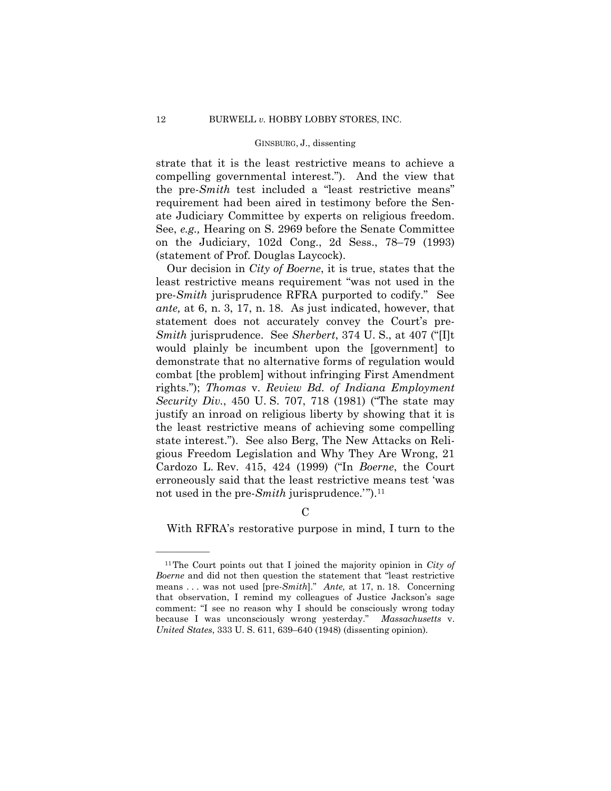strate that it is the least restrictive means to achieve a compelling governmental interest."). And the view that the pre-*Smith* test included a "least restrictive means" requirement had been aired in testimony before the Senate Judiciary Committee by experts on religious freedom. See, *e.g.,* Hearing on S. 2969 before the Senate Committee on the Judiciary, 102d Cong., 2d Sess., 78–79 (1993) (statement of Prof. Douglas Laycock).

 pre-*Smith* jurisprudence RFRA purported to codify." See Our decision in *City of Boerne*, it is true, states that the least restrictive means requirement "was not used in the *ante,* at 6, n. 3, 17, n. 18. As just indicated, however, that statement does not accurately convey the Court's pre-*Smith* jurisprudence. See *Sherbert*, 374 U. S., at 407 ("[I]t would plainly be incumbent upon the [government] to demonstrate that no alternative forms of regulation would combat [the problem] without infringing First Amendment rights."); *Thomas* v. *Review Bd. of Indiana Employment Security Div.*, 450 U. S. 707, 718 (1981) ("The state may justify an inroad on religious liberty by showing that it is the least restrictive means of achieving some compelling state interest."). See also Berg, The New Attacks on Religious Freedom Legislation and Why They Are Wrong, 21 Cardozo L. Rev. 415, 424 (1999) ("In *Boerne*, the Court erroneously said that the least restrictive means test 'was not used in the pre-*Smith* jurisprudence.'").11

With RFRA's restorative purpose in mind, I turn to the

 $\mathcal{C}$ 

<sup>11</sup>The Court points out that I joined the majority opinion in *City of Boerne* and did not then question the statement that "least restrictive means . . . was not used [pre-*Smith*]." *Ante,* at 17, n. 18. Concerning that observation, I remind my colleagues of Justice Jackson's sage comment: "I see no reason why I should be consciously wrong today because I was unconsciously wrong yesterday." *Massachusetts* v. *United States*, 333 U. S. 611, 639–640 (1948) (dissenting opinion).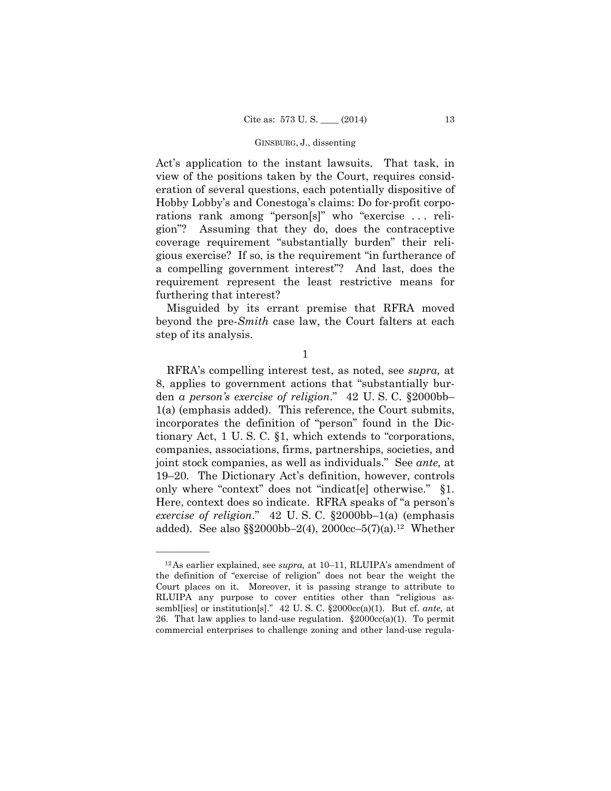Act's application to the instant lawsuits. That task, in view of the positions taken by the Court, requires consideration of several questions, each potentially dispositive of Hobby Lobby's and Conestoga's claims: Do for-profit corporations rank among "person[s]" who "exercise . . . religion"? Assuming that they do, does the contraceptive coverage requirement "substantially burden" their religious exercise? If so, is the requirement "in furtherance of a compelling government interest"? And last, does the requirement represent the least restrictive means for furthering that interest?

Misguided by its errant premise that RFRA moved beyond the pre-*Smith* case law, the Court falters at each step of its analysis.

1

 only where "context" does not "indicat[e] otherwise." §1. RFRA's compelling interest test, as noted, see *supra,* at 8, applies to government actions that "substantially burden *a person's exercise of religion*." 42 U. S. C. §2000bb– 1(a) (emphasis added). This reference, the Court submits, incorporates the definition of "person" found in the Dictionary Act, 1 U. S. C. §1, which extends to "corporations, companies, associations, firms, partnerships, societies, and joint stock companies, as well as individuals." See *ante,* at 19–20*.* The Dictionary Act's definition, however, controls Here, context does so indicate. RFRA speaks of "a person's *exercise of religion*." 42 U. S. C. §2000bb–1(a) (emphasis added). See also  $\S$ 2000bb–2(4), 2000cc–5(7)(a).<sup>12</sup> Whether

<sup>12</sup>As earlier explained, see *supra,* at 10–11, RLUIPA's amendment of the definition of "exercise of religion" does not bear the weight the Court places on it. Moreover, it is passing strange to attribute to RLUIPA any purpose to cover entities other than "religious assembl[ies] or institution[s]." 42 U. S. C. §2000cc(a)(1). But cf. *ante,* at 26. That law applies to land-use regulation.  $\S 2000cc(a)(1)$ . To permit commercial enterprises to challenge zoning and other land-use regula-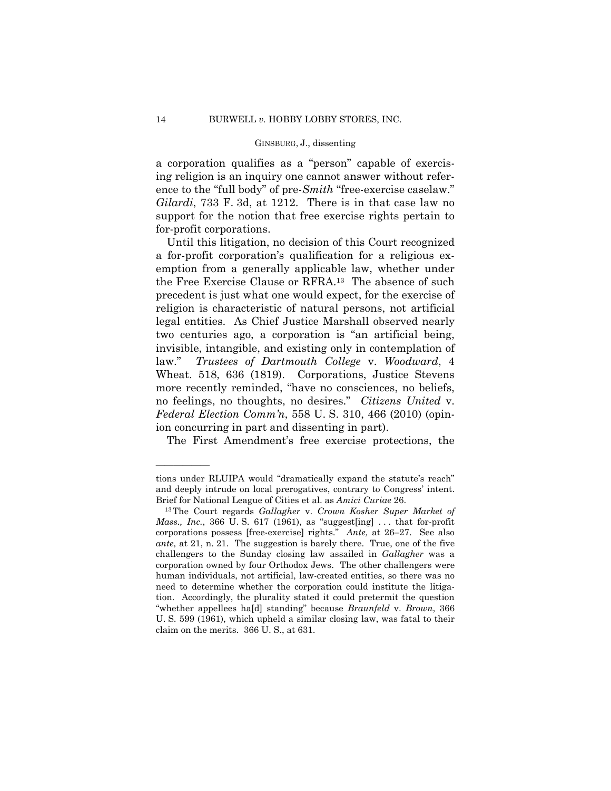a corporation qualifies as a "person" capable of exercising religion is an inquiry one cannot answer without reference to the "full body" of pre-*Smith* "free-exercise caselaw." *Gilardi*, 733 F. 3d, at 1212. There is in that case law no support for the notion that free exercise rights pertain to for-profit corporations.

Until this litigation, no decision of this Court recognized a for-profit corporation's qualification for a religious exemption from a generally applicable law, whether under the Free Exercise Clause or RFRA.13 The absence of such precedent is just what one would expect, for the exercise of religion is characteristic of natural persons, not artificial legal entities. As Chief Justice Marshall observed nearly two centuries ago, a corporation is "an artificial being, invisible, intangible, and existing only in contemplation of law." *Trustees of Dartmouth College* v. *Woodward*, 4 Wheat. 518, 636 (1819). Corporations, Justice Stevens more recently reminded, "have no consciences, no beliefs, no feelings, no thoughts, no desires." *Citizens United* v. *Federal Election Comm'n*, 558 U. S. 310, 466 (2010) (opinion concurring in part and dissenting in part).

The First Amendment's free exercise protections, the

tions under RLUIPA would "dramatically expand the statute's reach" and deeply intrude on local prerogatives, contrary to Congress' intent.<br>Brief for National League of Cities et al. as *Amici Curiae* 26.<br><sup>13</sup>The Court regards *Gallagher* v. *Crown Kosher Super Market of* 

 corporations possess [free-exercise] rights." *Ante,* at 26–27. See also *Mass., Inc.*, 366 U.S. 617 (1961), as "suggest[ing] ... that for-profit *ante,* at 21, n. 21. The suggestion is barely there. True, one of the five challengers to the Sunday closing law assailed in *Gallagher* was a corporation owned by four Orthodox Jews. The other challengers were human individuals, not artificial, law-created entities, so there was no need to determine whether the corporation could institute the litigation. Accordingly, the plurality stated it could pretermit the question "whether appellees ha[d] standing" because *Braunfeld* v. *Brown*, 366 U. S. 599 (1961), which upheld a similar closing law, was fatal to their claim on the merits. 366 U. S., at 631.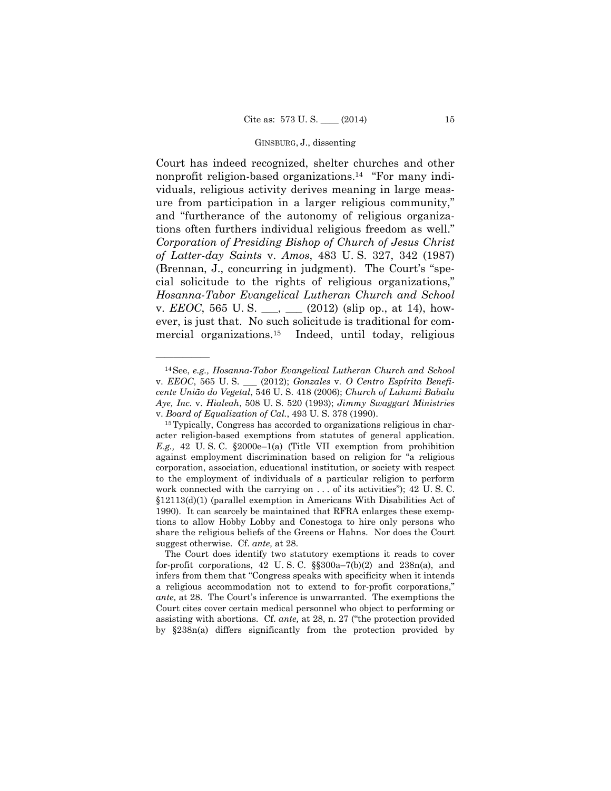Court has indeed recognized, shelter churches and other nonprofit religion-based organizations.14 "For many individuals, religious activity derives meaning in large measure from participation in a larger religious community," and "furtherance of the autonomy of religious organizations often furthers individual religious freedom as well." *Corporation of Presiding Bishop of Church of Jesus Christ of Latter-day Saints* v. *Amos*, 483 U. S. 327, 342 (1987) (Brennan, J., concurring in judgment). The Court's "special solicitude to the rights of religious organizations," *Hosanna-Tabor Evangelical Lutheran Church and School*  v. *EEOC*, 565 U.S. <sub>\_\_\_</sub>, \_\_\_ (2012) (slip op., at 14), however, is just that. No such solicitude is traditional for commercial organizations.15 Indeed, until today, religious

<sup>14</sup>See, *e.g., Hosanna-Tabor Evangelical Lutheran Church and School*  v. *EEOC*, 565 U. S. \_\_\_ (2012); *Gonzales* v. *O Centro Espírita Beneficente União do Vegetal*, 546 U. S. 418 (2006); *Church of Lukumi Babalu Aye, Inc.* v. *Hialeah*, 508 U. S. 520 (1993); *Jimmy Swaggart Ministries*  v. *Board of Equalization of Cal.*, 493 U. S. 378 (1990).<br><sup>15</sup>Typically, Congress has accorded to organizations religious in char-

acter religion-based exemptions from statutes of general application. *E.g.,* 42 U. S. C. §2000e–1(a) (Title VII exemption from prohibition against employment discrimination based on religion for "a religious corporation, association, educational institution, or society with respect to the employment of individuals of a particular religion to perform work connected with the carrying on . . . of its activities"); 42 U. S. C. §12113(d)(1) (parallel exemption in Americans With Disabilities Act of 1990). It can scarcely be maintained that RFRA enlarges these exemptions to allow Hobby Lobby and Conestoga to hire only persons who share the religious beliefs of the Greens or Hahns. Nor does the Court suggest otherwise. Cf. *ante,* at 28.

The Court does identify two statutory exemptions it reads to cover for-profit corporations, 42 U. S. C. §§300a–7(b)(2) and 238n(a), and infers from them that "Congress speaks with specificity when it intends a religious accommodation not to extend to for-profit corporations," *ante,* at 28. The Court's inference is unwarranted. The exemptions the Court cites cover certain medical personnel who object to performing or assisting with abortions. Cf. *ante,* at 28, n. 27 ("the protection provided by §238n(a) differs significantly from the protection provided by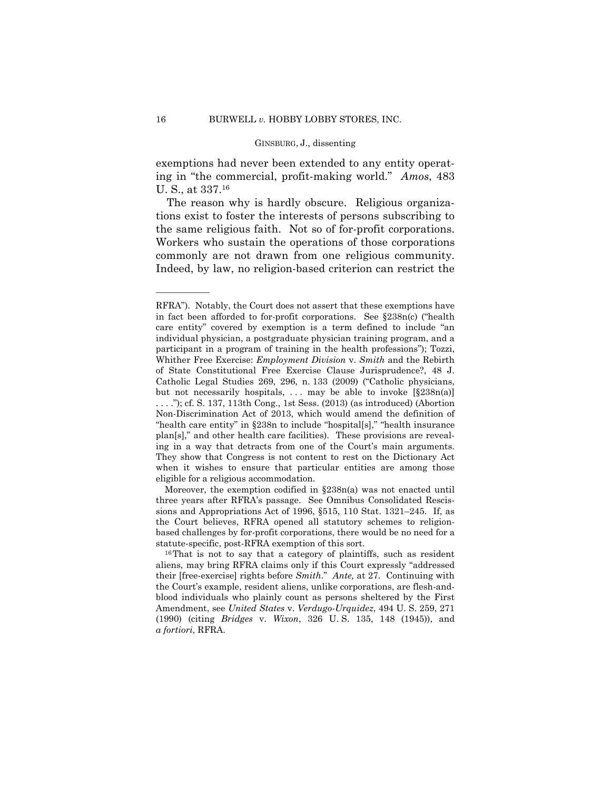exemptions had never been extended to any entity operating in "the commercial, profit-making world." *Amos*, 483 U. S., at 337.16

The reason why is hardly obscure. Religious organizations exist to foster the interests of persons subscribing to the same religious faith. Not so of for-profit corporations. Workers who sustain the operations of those corporations commonly are not drawn from one religious community. Indeed, by law, no religion-based criterion can restrict the

statute-specific, post-RFRA exemption of this sort.<br><sup>16</sup>That is not to say that a category of plaintiffs, such as resident Moreover, the exemption codified in §238n(a) was not enacted until three years after RFRA's passage. See Omnibus Consolidated Rescissions and Appropriations Act of 1996, §515, 110 Stat. 1321–245. If, as the Court believes, RFRA opened all statutory schemes to religionbased challenges by for-profit corporations, there would be no need for a

RFRA"). Notably, the Court does not assert that these exemptions have in fact been afforded to for-profit corporations. See §238n(c) ("health care entity" covered by exemption is a term defined to include "an individual physician, a postgraduate physician training program, and a participant in a program of training in the health professions"); Tozzi, Whither Free Exercise: *Employment Division* v. *Smith* and the Rebirth of State Constitutional Free Exercise Clause Jurisprudence?, 48 J. Catholic Legal Studies 269, 296, n. 133 (2009) ("Catholic physicians, but not necessarily hospitals, ... may be able to invoke  $[\S 238n(a)]$  $\ldots$ ."); cf. S. 137, 113th Cong., 1st Sess. (2013) (as introduced) (Abortion Non-Discrimination Act of 2013, which would amend the definition of "health care entity" in §238n to include "hospital[s]," "health insurance plan[s]," and other health care facilities). These provisions are revealing in a way that detracts from one of the Court's main arguments. They show that Congress is not content to rest on the Dictionary Act when it wishes to ensure that particular entities are among those eligible for a religious accommodation.

aliens, may bring RFRA claims only if this Court expressly "addressed their [free-exercise] rights before *Smith*." *Ante,* at 27. Continuing with the Court's example, resident aliens, unlike corporations, are flesh-andblood individuals who plainly count as persons sheltered by the First Amendment, see *United States* v. *Verdugo-Urquidez*, 494 U. S. 259, 271 (1990) (citing *Bridges* v. *Wixon*, 326 U. S. 135, 148 (1945)), and *a fortiori*, RFRA.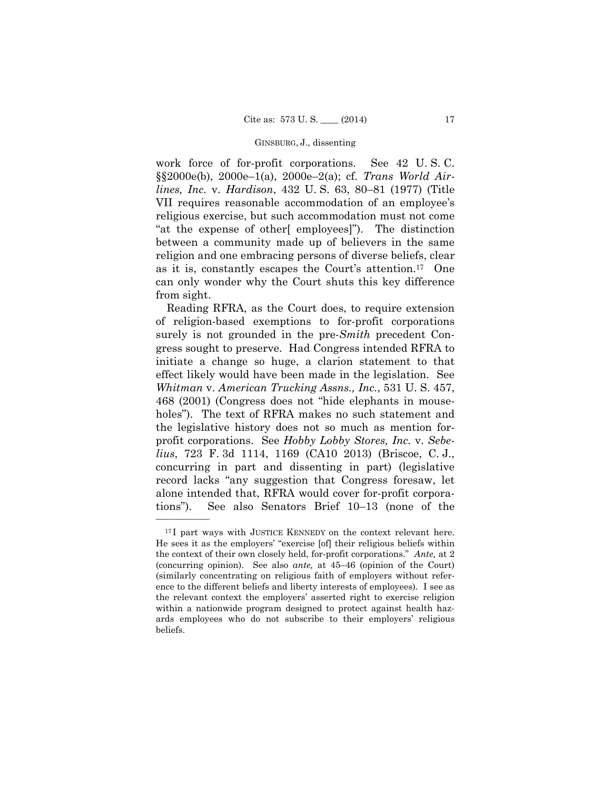work force of for-profit corporations. See 42 U. S. C. §§2000e(b), 2000e–1(a), 2000e–2(a); cf. *Trans World Airlines, Inc.* v. *Hardison*, 432 U. S. 63, 80–81 (1977) (Title VII requires reasonable accommodation of an employee's religious exercise, but such accommodation must not come "at the expense of other[ employees]"). The distinction between a community made up of believers in the same religion and one embracing persons of diverse beliefs, clear as it is, constantly escapes the Court's attention.17 One can only wonder why the Court shuts this key difference from sight.

Reading RFRA, as the Court does, to require extension of religion-based exemptions to for-profit corporations surely is not grounded in the pre-*Smith* precedent Congress sought to preserve. Had Congress intended RFRA to initiate a change so huge, a clarion statement to that effect likely would have been made in the legislation. See *Whitman* v. *American Trucking Assns., Inc.*, 531 U. S. 457, 468 (2001) (Congress does not "hide elephants in mouseholes"). The text of RFRA makes no such statement and the legislative history does not so much as mention forprofit corporations. See *Hobby Lobby Stores, Inc.* v. *Sebelius*, 723 F. 3d 1114, 1169 (CA10 2013) (Briscoe, C. J., concurring in part and dissenting in part) (legislative record lacks "any suggestion that Congress foresaw, let alone intended that, RFRA would cover for-profit corporations"). See also Senators Brief 10–13 (none of the

 the context of their own closely held, for-profit corporations." *Ante,* at 2 <sup>17</sup>I part ways with JUSTICE KENNEDY on the context relevant here. He sees it as the employers' "exercise [of] their religious beliefs within (concurring opinion). See also *ante,* at 45–46 (opinion of the Court) (similarly concentrating on religious faith of employers without reference to the different beliefs and liberty interests of employees). I see as the relevant context the employers' asserted right to exercise religion within a nationwide program designed to protect against health hazards employees who do not subscribe to their employers' religious beliefs.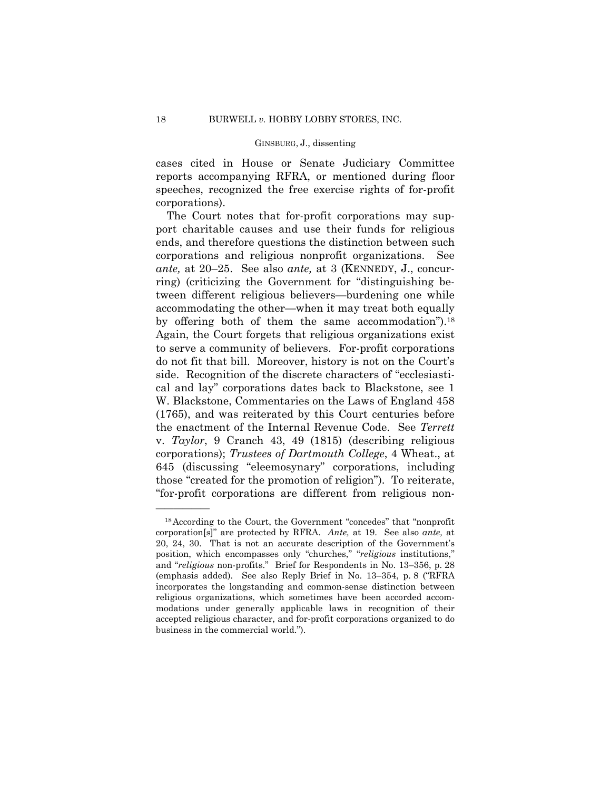cases cited in House or Senate Judiciary Committee reports accompanying RFRA, or mentioned during floor speeches, recognized the free exercise rights of for-profit corporations).

by offering both of them the same accommodation").<sup>18</sup> The Court notes that for-profit corporations may support charitable causes and use their funds for religious ends, and therefore questions the distinction between such corporations and religious nonprofit organizations. See *ante,* at 20–25. See also *ante,* at 3 (KENNEDY, J., concurring) (criticizing the Government for "distinguishing between different religious believers—burdening one while accommodating the other—when it may treat both equally Again, the Court forgets that religious organizations exist to serve a community of believers. For-profit corporations do not fit that bill. Moreover, history is not on the Court's side. Recognition of the discrete characters of "ecclesiastical and lay" corporations dates back to Blackstone, see 1 W. Blackstone, Commentaries on the Laws of England 458 (1765), and was reiterated by this Court centuries before the enactment of the Internal Revenue Code. See *Terrett*  v. *Taylor*, 9 Cranch 43, 49 (1815) (describing religious corporations); *Trustees of Dartmouth College*, 4 Wheat., at 645 (discussing "eleemosynary" corporations, including those "created for the promotion of religion"). To reiterate, "for-profit corporations are different from religious non-

<sup>18</sup>According to the Court, the Government "concedes" that "nonprofit corporation[s]" are protected by RFRA. *Ante,* at 19. See also *ante,* at 20, 24, 30. That is not an accurate description of the Government's position, which encompasses only "churches," "*religious* institutions," and "*religious* non-profits." Brief for Respondents in No. 13–356, p. 28 (emphasis added). See also Reply Brief in No. 13–354, p. 8 ("RFRA incorporates the longstanding and common-sense distinction between religious organizations, which sometimes have been accorded accommodations under generally applicable laws in recognition of their accepted religious character, and for-profit corporations organized to do business in the commercial world.").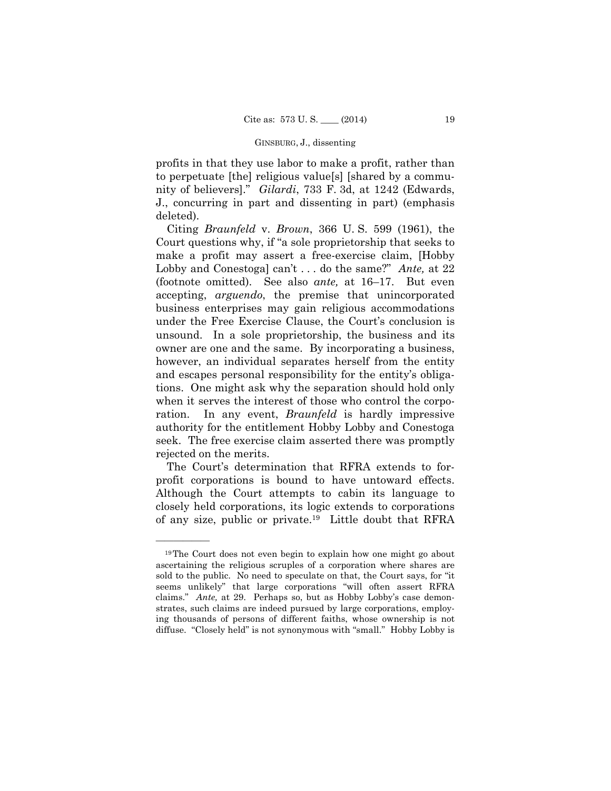profits in that they use labor to make a profit, rather than to perpetuate [the] religious value[s] [shared by a community of believers]." *Gilardi*, 733 F. 3d, at 1242 (Edwards, J., concurring in part and dissenting in part) (emphasis deleted).

Citing *Braunfeld* v. *Brown*, 366 U. S. 599 (1961), the Court questions why, if "a sole proprietorship that seeks to make a profit may assert a free-exercise claim, [Hobby Lobby and Conestoga] can't . . . do the same?" *Ante,* at 22 (footnote omitted). See also *ante,* at 16–17. But even accepting, *arguendo*, the premise that unincorporated business enterprises may gain religious accommodations under the Free Exercise Clause, the Court's conclusion is unsound. In a sole proprietorship, the business and its owner are one and the same. By incorporating a business, however, an individual separates herself from the entity and escapes personal responsibility for the entity's obligations. One might ask why the separation should hold only when it serves the interest of those who control the corporation. In any event, *Braunfeld* is hardly impressive authority for the entitlement Hobby Lobby and Conestoga seek. The free exercise claim asserted there was promptly rejected on the merits.

The Court's determination that RFRA extends to forprofit corporations is bound to have untoward effects. Although the Court attempts to cabin its language to closely held corporations, its logic extends to corporations of any size, public or private.19 Little doubt that RFRA

 claims." *Ante,* at 29. Perhaps so, but as Hobby Lobby's case demon- diffuse. "Closely held" is not synonymous with "small." Hobby Lobby is 19The Court does not even begin to explain how one might go about ascertaining the religious scruples of a corporation where shares are sold to the public. No need to speculate on that, the Court says, for "it seems unlikely" that large corporations "will often assert RFRA strates, such claims are indeed pursued by large corporations, employing thousands of persons of different faiths, whose ownership is not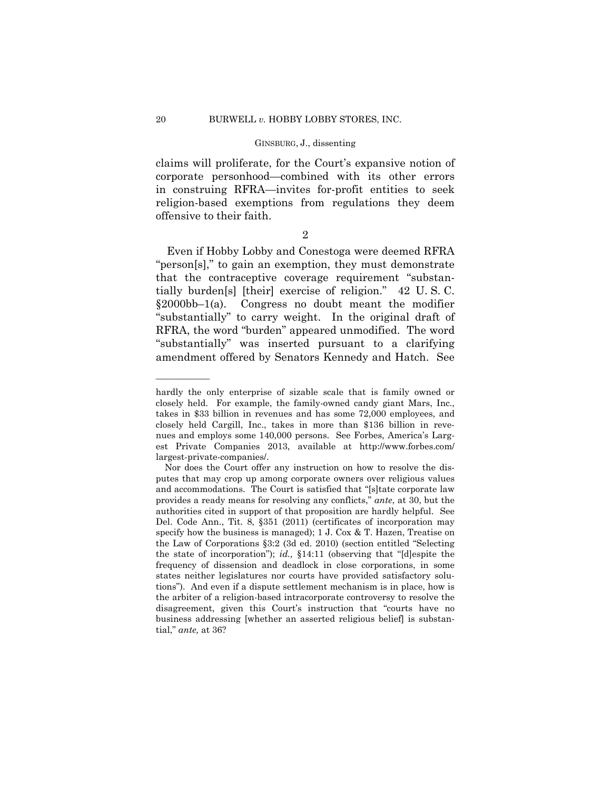claims will proliferate, for the Court's expansive notion of corporate personhood—combined with its other errors in construing RFRA—invites for-profit entities to seek religion-based exemptions from regulations they deem offensive to their faith.

2

Even if Hobby Lobby and Conestoga were deemed RFRA "person[s]," to gain an exemption, they must demonstrate that the contraceptive coverage requirement "substantially burden[s] [their] exercise of religion." 42 U. S. C. §2000bb–1(a). Congress no doubt meant the modifier "substantially" to carry weight. In the original draft of RFRA, the word "burden" appeared unmodified. The word "substantially" was inserted pursuant to a clarifying amendment offered by Senators Kennedy and Hatch. See

hardly the only enterprise of sizable scale that is family owned or closely held. For example, the family-owned candy giant Mars, Inc., takes in \$33 billion in revenues and has some 72,000 employees, and closely held Cargill, Inc., takes in more than \$136 billion in revenues and employs some 140,000 persons. See Forbes, America's Largest Private Companies 2013, available at http://www.forbes.com/ largest-private-companies/.

Nor does the Court offer any instruction on how to resolve the disputes that may crop up among corporate owners over religious values and accommodations. The Court is satisfied that "[s]tate corporate law provides a ready means for resolving any conflicts," *ante*, at 30, but the authorities cited in support of that proposition are hardly helpful. See Del. Code Ann., Tit. 8, §351 (2011) (certificates of incorporation may specify how the business is managed); 1 J. Cox & T. Hazen, Treatise on the Law of Corporations §3:2 (3d ed. 2010) (section entitled "Selecting the state of incorporation"); *id.,* §14:11 (observing that "[d]espite the frequency of dissension and deadlock in close corporations, in some states neither legislatures nor courts have provided satisfactory solutions"). And even if a dispute settlement mechanism is in place, how is the arbiter of a religion-based intracorporate controversy to resolve the disagreement, given this Court's instruction that "courts have no business addressing [whether an asserted religious belief] is substantial," *ante,* at 36?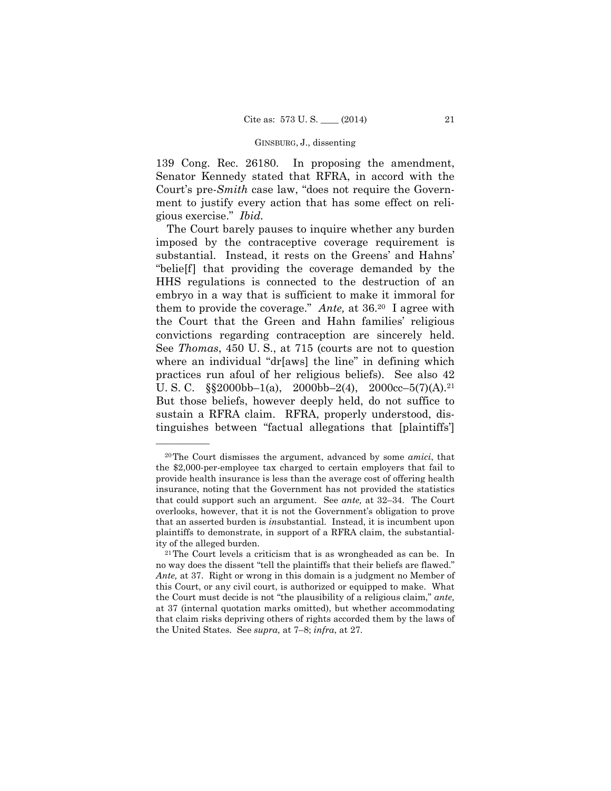139 Cong. Rec. 26180. In proposing the amendment, Senator Kennedy stated that RFRA, in accord with the Court's pre-*Smith* case law, "does not require the Government to justify every action that has some effect on religious exercise." *Ibid.* 

 convictions regarding contraception are sincerely held. See *Thomas*, 450 U. S., at 715 (courts are not to question The Court barely pauses to inquire whether any burden imposed by the contraceptive coverage requirement is substantial. Instead, it rests on the Greens' and Hahns' "belie[f] that providing the coverage demanded by the HHS regulations is connected to the destruction of an embryo in a way that is sufficient to make it immoral for them to provide the coverage." *Ante,* at 36.20 I agree with the Court that the Green and Hahn families' religious where an individual "dr[aws] the line" in defining which practices run afoul of her religious beliefs). See also 42 U. S. C.  $\S$  $\S$ 2000bb–1(a), 2000bb–2(4), 2000cc–5(7)(A).<sup>21</sup> But those beliefs, however deeply held, do not suffice to sustain a RFRA claim. RFRA, properly understood, distinguishes between "factual allegations that [plaintiffs']

<sup>20</sup>The Court dismisses the argument, advanced by some *amici*, that the \$2,000-per-employee tax charged to certain employers that fail to provide health insurance is less than the average cost of offering health insurance, noting that the Government has not provided the statistics that could support such an argument. See *ante,* at 32–34. The Court overlooks, however, that it is not the Government's obligation to prove that an asserted burden is *in*substantial. Instead, it is incumbent upon plaintiffs to demonstrate, in support of a RFRA claim, the substantiality of the alleged burden.

 $21$ The Court levels a criticism that is as wrongheaded as can be. In no way does the dissent "tell the plaintiffs that their beliefs are flawed." *Ante,* at 37. Right or wrong in this domain is a judgment no Member of this Court, or any civil court, is authorized or equipped to make. What the Court must decide is not "the plausibility of a religious claim," *ante,*  at 37 (internal quotation marks omitted), but whether accommodating that claim risks depriving others of rights accorded them by the laws of the United States. See *supra,* at 7–8; *infra*, at 27.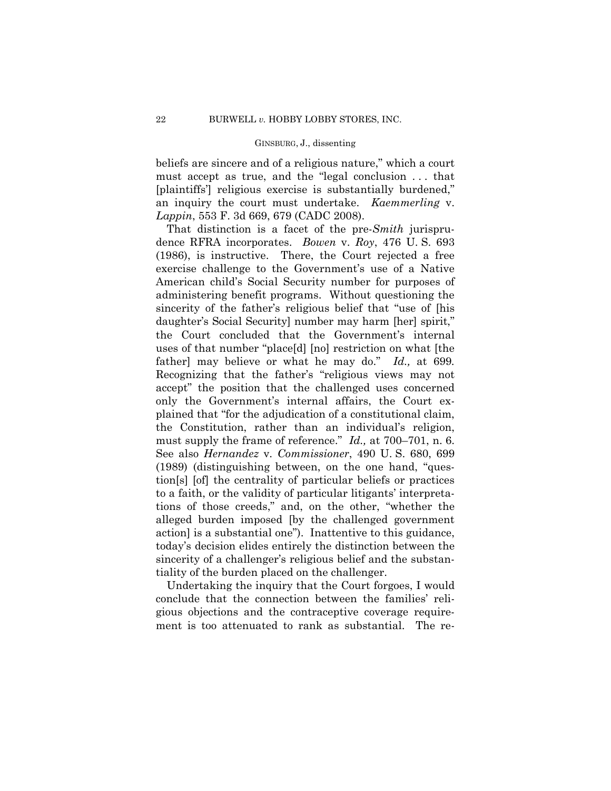beliefs are sincere and of a religious nature," which a court must accept as true, and the "legal conclusion . . . that [plaintiffs'] religious exercise is substantially burdened," an inquiry the court must undertake. *Kaemmerling* v. *Lappin*, 553 F. 3d 669, 679 (CADC 2008).

That distinction is a facet of the pre-*Smith* jurisprudence RFRA incorporates. *Bowen* v. *Roy*, 476 U. S. 693 (1986), is instructive. There, the Court rejected a free exercise challenge to the Government's use of a Native American child's Social Security number for purposes of administering benefit programs. Without questioning the sincerity of the father's religious belief that "use of [his daughter's Social Security] number may harm [her] spirit," the Court concluded that the Government's internal uses of that number "place[d] [no] restriction on what [the father] may believe or what he may do." *Id.,* at 699*.* Recognizing that the father's "religious views may not accept" the position that the challenged uses concerned only the Government's internal affairs, the Court explained that "for the adjudication of a constitutional claim, the Constitution, rather than an individual's religion, must supply the frame of reference." *Id.,* at 700–701, n. 6. See also *Hernandez* v. *Commissioner*, 490 U. S. 680, 699 (1989) (distinguishing between, on the one hand, "question[s] [of] the centrality of particular beliefs or practices to a faith, or the validity of particular litigants' interpretations of those creeds," and, on the other, "whether the alleged burden imposed [by the challenged government action] is a substantial one"). Inattentive to this guidance, today's decision elides entirely the distinction between the sincerity of a challenger's religious belief and the substantiality of the burden placed on the challenger.

Undertaking the inquiry that the Court forgoes, I would conclude that the connection between the families' religious objections and the contraceptive coverage requirement is too attenuated to rank as substantial. The re-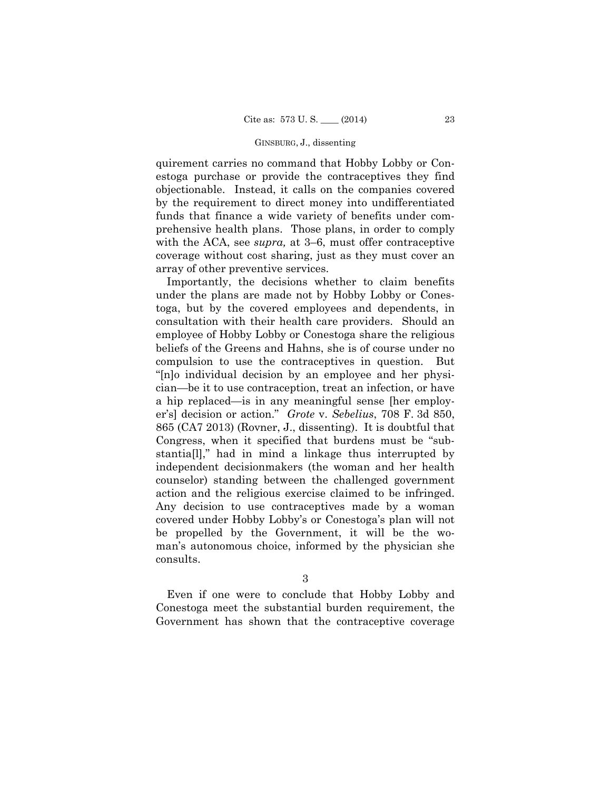quirement carries no command that Hobby Lobby or Conestoga purchase or provide the contraceptives they find objectionable. Instead, it calls on the companies covered by the requirement to direct money into undifferentiated funds that finance a wide variety of benefits under comprehensive health plans. Those plans, in order to comply with the ACA, see *supra,* at 3–6, must offer contraceptive coverage without cost sharing, just as they must cover an array of other preventive services.

Importantly, the decisions whether to claim benefits under the plans are made not by Hobby Lobby or Conestoga, but by the covered employees and dependents, in consultation with their health care providers. Should an employee of Hobby Lobby or Conestoga share the religious beliefs of the Greens and Hahns, she is of course under no compulsion to use the contraceptives in question. But "[n]o individual decision by an employee and her physician—be it to use contraception, treat an infection, or have a hip replaced—is in any meaningful sense [her employer's] decision or action." *Grote* v. *Sebelius*, 708 F. 3d 850, 865 (CA7 2013) (Rovner, J., dissenting). It is doubtful that Congress, when it specified that burdens must be "substantia[l]," had in mind a linkage thus interrupted by independent decisionmakers (the woman and her health counselor) standing between the challenged government action and the religious exercise claimed to be infringed. Any decision to use contraceptives made by a woman covered under Hobby Lobby's or Conestoga's plan will not be propelled by the Government, it will be the woman's autonomous choice, informed by the physician she consults.

3

Even if one were to conclude that Hobby Lobby and Conestoga meet the substantial burden requirement, the Government has shown that the contraceptive coverage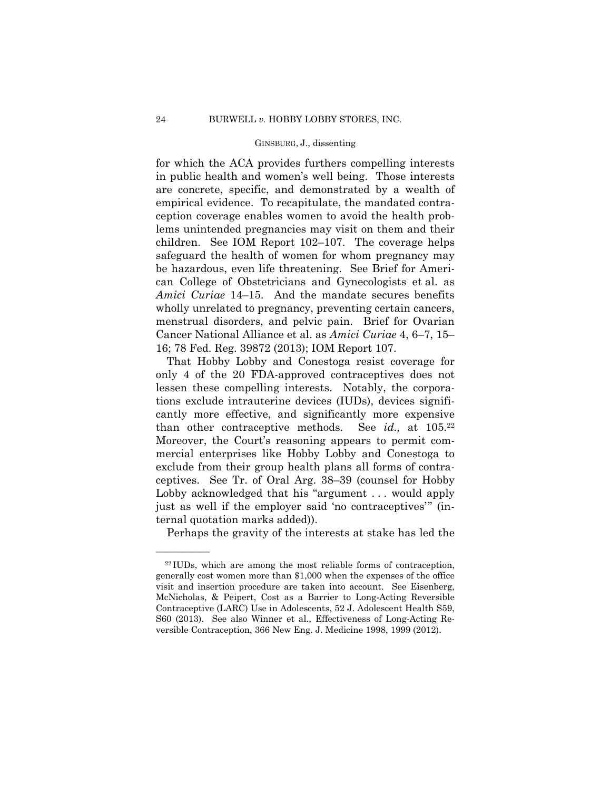for which the ACA provides furthers compelling interests in public health and women's well being. Those interests are concrete, specific, and demonstrated by a wealth of empirical evidence. To recapitulate, the mandated contraception coverage enables women to avoid the health problems unintended pregnancies may visit on them and their children. See IOM Report 102–107. The coverage helps safeguard the health of women for whom pregnancy may be hazardous, even life threatening. See Brief for American College of Obstetricians and Gynecologists et al. as *Amici Curiae* 14–15. And the mandate secures benefits wholly unrelated to pregnancy, preventing certain cancers, menstrual disorders, and pelvic pain. Brief for Ovarian Cancer National Alliance et al. as *Amici Curiae* 4, 6–7, 15– 16; 78 Fed. Reg. 39872 (2013); IOM Report 107.

See *id.*, at  $105.^{22}$ That Hobby Lobby and Conestoga resist coverage for only 4 of the 20 FDA-approved contraceptives does not lessen these compelling interests. Notably, the corporations exclude intrauterine devices (IUDs), devices significantly more effective, and significantly more expensive than other contraceptive methods. Moreover, the Court's reasoning appears to permit commercial enterprises like Hobby Lobby and Conestoga to exclude from their group health plans all forms of contraceptives. See Tr. of Oral Arg. 38–39 (counsel for Hobby Lobby acknowledged that his "argument . . . would apply just as well if the employer said 'no contraceptives'" (internal quotation marks added)).

Perhaps the gravity of the interests at stake has led the

<sup>22</sup> IUDs, which are among the most reliable forms of contraception, generally cost women more than \$1,000 when the expenses of the office visit and insertion procedure are taken into account. See Eisenberg, McNicholas, & Peipert, Cost as a Barrier to Long-Acting Reversible Contraceptive (LARC) Use in Adolescents, 52 J. Adolescent Health S59, S60 (2013). See also Winner et al., Effectiveness of Long-Acting Reversible Contraception, 366 New Eng. J. Medicine 1998, 1999 (2012).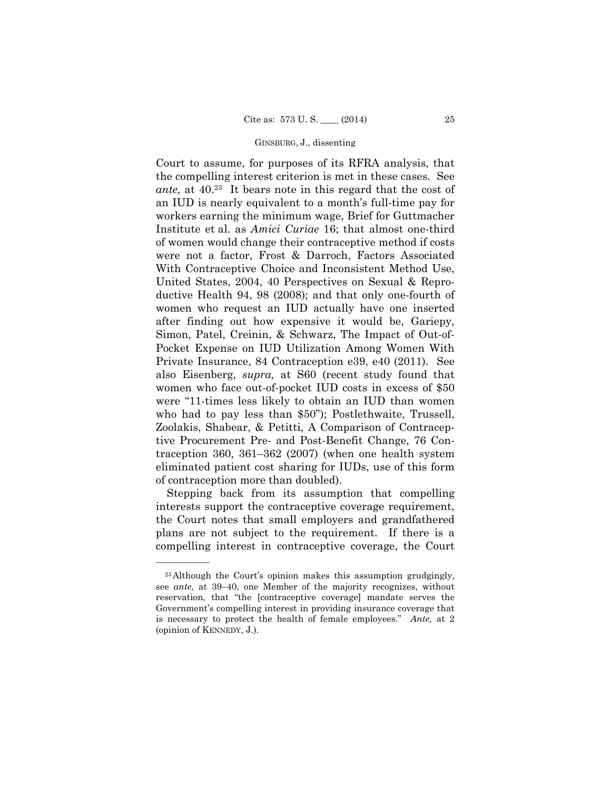Court to assume, for purposes of its RFRA analysis, that the compelling interest criterion is met in these cases. See *ante,* at 40.23 It bears note in this regard that the cost of an IUD is nearly equivalent to a month's full-time pay for workers earning the minimum wage, Brief for Guttmacher Institute et al. as *Amici Curiae* 16; that almost one-third of women would change their contraceptive method if costs were not a factor, Frost & Darroch, Factors Associated With Contraceptive Choice and Inconsistent Method Use, United States, 2004, 40 Perspectives on Sexual & Reproductive Health 94, 98 (2008); and that only one-fourth of women who request an IUD actually have one inserted after finding out how expensive it would be, Gariepy, Simon, Patel, Creinin, & Schwarz, The Impact of Out-of-Pocket Expense on IUD Utilization Among Women With Private Insurance, 84 Contraception e39, e40 (2011). See also Eisenberg, *supra,* at S60 (recent study found that women who face out-of-pocket IUD costs in excess of \$50 were "11-times less likely to obtain an IUD than women who had to pay less than \$50"); Postlethwaite, Trussell, Zoolakis, Shabear, & Petitti, A Comparison of Contraceptive Procurement Pre- and Post-Benefit Change, 76 Contraception 360, 361–362 (2007) (when one health system eliminated patient cost sharing for IUDs, use of this form of contraception more than doubled).

Stepping back from its assumption that compelling interests support the contraceptive coverage requirement, the Court notes that small employers and grandfathered plans are not subject to the requirement. If there is a compelling interest in contraceptive coverage, the Court

<sup>23</sup>Although the Court's opinion makes this assumption grudgingly, see *ante,* at 39–40, one Member of the majority recognizes, without reservation, that "the [contraceptive coverage] mandate serves the Government's compelling interest in providing insurance coverage that is necessary to protect the health of female employees." *Ante,* at 2 (opinion of KENNEDY, J.).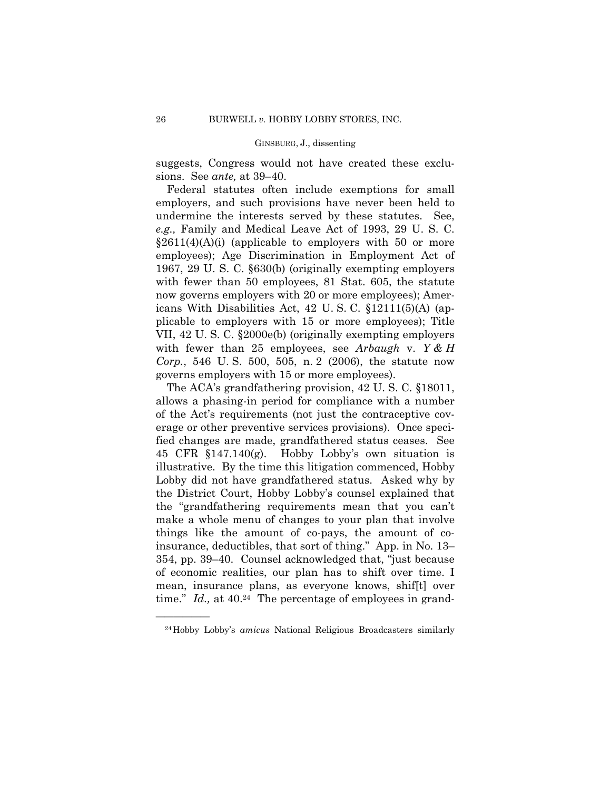suggests, Congress would not have created these exclusions. See *ante,* at 39–40.

Federal statutes often include exemptions for small employers, and such provisions have never been held to undermine the interests served by these statutes. See, *e.g.,* Family and Medical Leave Act of 1993, 29 U. S. C.  $\S2611(4)(A)(i)$  (applicable to employers with 50 or more employees); Age Discrimination in Employment Act of 1967, 29 U. S. C. §630(b) (originally exempting employers with fewer than 50 employees, 81 Stat. 605, the statute now governs employers with 20 or more employees); Americans With Disabilities Act, 42 U. S. C. §12111(5)(A) (applicable to employers with 15 or more employees); Title VII, 42 U. S. C. §2000e(b) (originally exempting employers with fewer than 25 employees, see *Arbaugh* v. *Y & H Corp.*, 546 U. S. 500, 505, n. 2 (2006), the statute now governs employers with 15 or more employees).

The ACA's grandfathering provision, 42 U. S. C. §18011, allows a phasing-in period for compliance with a number of the Act's requirements (not just the contraceptive coverage or other preventive services provisions). Once specified changes are made, grandfathered status ceases. See 45 CFR §147.140(g). Hobby Lobby's own situation is illustrative. By the time this litigation commenced, Hobby Lobby did not have grandfathered status. Asked why by the District Court, Hobby Lobby's counsel explained that the "grandfathering requirements mean that you can't make a whole menu of changes to your plan that involve things like the amount of co-pays, the amount of coinsurance, deductibles, that sort of thing." App. in No. 13– 354, pp. 39–40. Counsel acknowledged that, "just because of economic realities, our plan has to shift over time. I mean, insurance plans, as everyone knows, shif[t] over time." *Id.*, at 40.<sup>24</sup> The percentage of employees in grand-

<sup>24</sup>Hobby Lobby's *amicus* National Religious Broadcasters similarly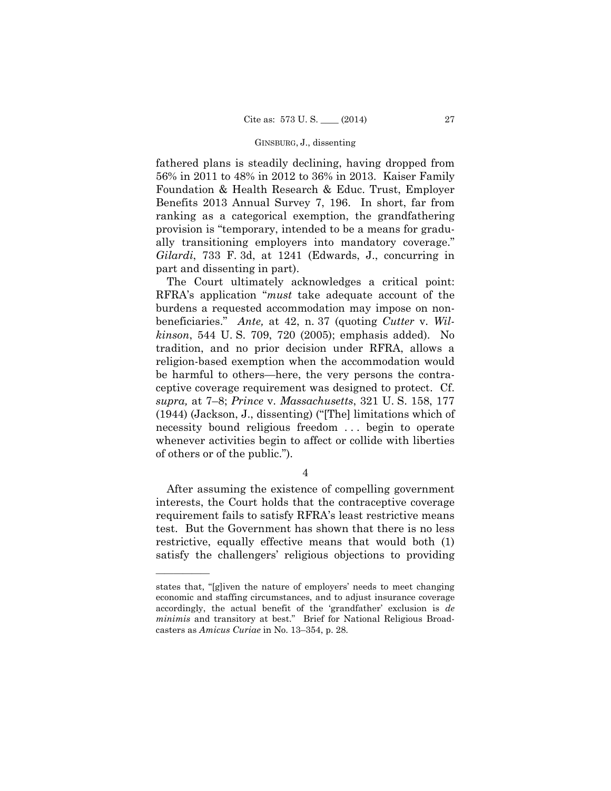fathered plans is steadily declining, having dropped from 56% in 2011 to 48% in 2012 to 36% in 2013. Kaiser Family Foundation & Health Research & Educ. Trust, Employer Benefits 2013 Annual Survey 7, 196. In short, far from ranking as a categorical exemption, the grandfathering provision is "temporary, intended to be a means for gradually transitioning employers into mandatory coverage." *Gilardi*, 733 F. 3d, at 1241 (Edwards, J., concurring in part and dissenting in part).

The Court ultimately acknowledges a critical point: RFRA's application "*must* take adequate account of the burdens a requested accommodation may impose on nonbeneficiaries." *Ante,* at 42, n. 37 (quoting *Cutter* v. *Wilkinson*, 544 U. S. 709, 720 (2005); emphasis added). No tradition, and no prior decision under RFRA, allows a religion-based exemption when the accommodation would be harmful to others—here, the very persons the contraceptive coverage requirement was designed to protect. Cf. *supra,* at 7–8; *Prince* v. *Massachusetts*, 321 U. S. 158, 177 (1944) (Jackson, J., dissenting) ("[The] limitations which of necessity bound religious freedom . . . begin to operate whenever activities begin to affect or collide with liberties of others or of the public.").

4

After assuming the existence of compelling government interests, the Court holds that the contraceptive coverage requirement fails to satisfy RFRA's least restrictive means test. But the Government has shown that there is no less restrictive, equally effective means that would both (1) satisfy the challengers' religious objections to providing

states that, "[g]iven the nature of employers' needs to meet changing economic and staffing circumstances, and to adjust insurance coverage accordingly, the actual benefit of the 'grandfather' exclusion is *de minimis* and transitory at best." Brief for National Religious Broadcasters as *Amicus Curiae* in No. 13–354, p. 28.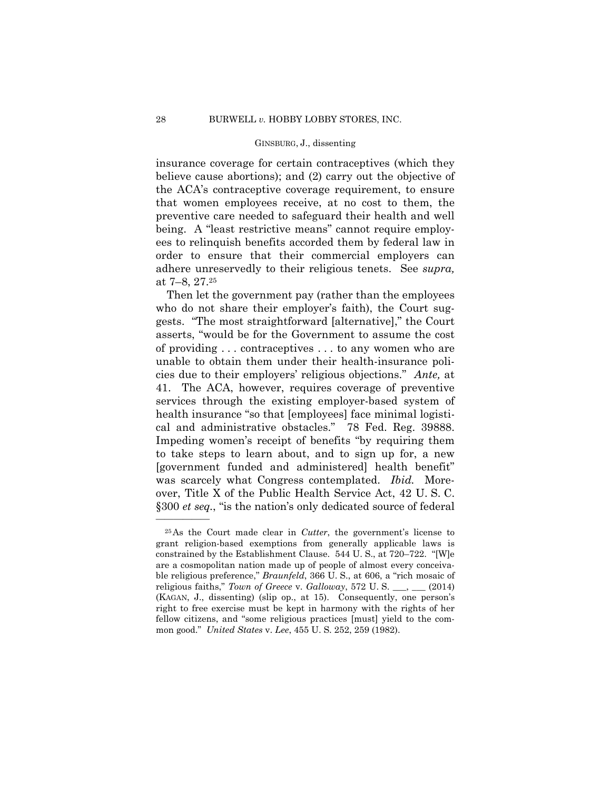insurance coverage for certain contraceptives (which they believe cause abortions); and (2) carry out the objective of the ACA's contraceptive coverage requirement, to ensure that women employees receive, at no cost to them, the preventive care needed to safeguard their health and well being. A "least restrictive means" cannot require employees to relinquish benefits accorded them by federal law in order to ensure that their commercial employers can adhere unreservedly to their religious tenets. See *supra,*  at 7–8, 27.25

Then let the government pay (rather than the employees who do not share their employer's faith), the Court suggests. "The most straightforward [alternative]," the Court asserts, "would be for the Government to assume the cost of providing . . . contraceptives . . . to any women who are unable to obtain them under their health-insurance policies due to their employers' religious objections." *Ante,* at 41. The ACA, however, requires coverage of preventive services through the existing employer-based system of health insurance "so that [employees] face minimal logistical and administrative obstacles." 78 Fed. Reg. 39888. Impeding women's receipt of benefits "by requiring them to take steps to learn about, and to sign up for, a new [government funded and administered] health benefit" was scarcely what Congress contemplated. *Ibid.* Moreover, Title X of the Public Health Service Act, 42 U. S. C. §300 *et seq.*, "is the nation's only dedicated source of federal

<sup>25</sup>As the Court made clear in *Cutter*, the government's license to grant religion-based exemptions from generally applicable laws is constrained by the Establishment Clause. 544 U. S., at 720–722. "[W]e are a cosmopolitan nation made up of people of almost every conceivable religious preference," *Braunfeld*, 366 U. S., at 606, a "rich mosaic of religious faiths," *Town of Greece* v. *Galloway*, 572 U. S. \_\_\_, \_\_\_ (2014) (KAGAN, J., dissenting) (slip op., at 15). Consequently, one person's right to free exercise must be kept in harmony with the rights of her fellow citizens, and "some religious practices [must] yield to the common good." *United States* v. *Lee*, 455 U. S. 252, 259 (1982).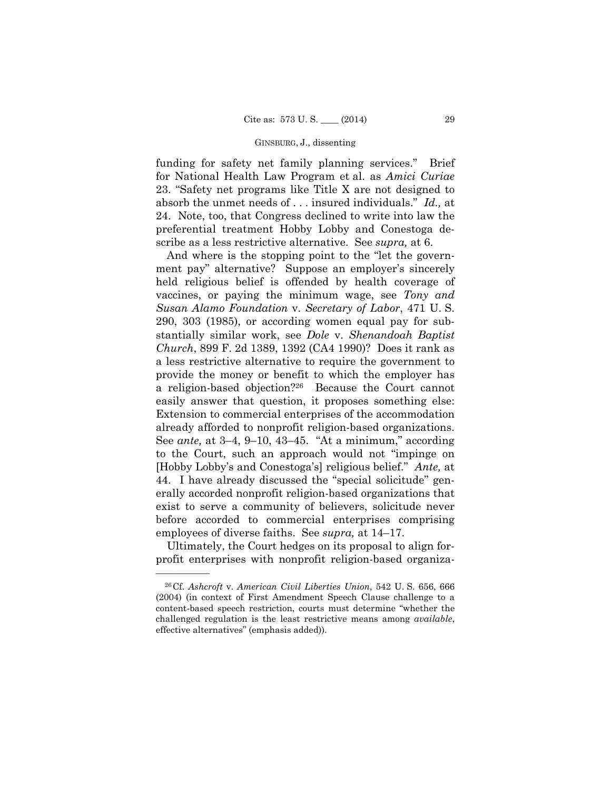funding for safety net family planning services." Brief for National Health Law Program et al. as *Amici Curiae*  23. "Safety net programs like Title X are not designed to absorb the unmet needs of . . . insured individuals." *Id.,* at 24. Note, too, that Congress declined to write into law the preferential treatment Hobby Lobby and Conestoga describe as a less restrictive alternative. See *supra,* at 6.

And where is the stopping point to the "let the government pay" alternative? Suppose an employer's sincerely held religious belief is offended by health coverage of vaccines, or paying the minimum wage, see *Tony and Susan Alamo Foundation* v. *Secretary of Labor*, 471 U. S. 290, 303 (1985), or according women equal pay for substantially similar work, see *Dole* v. *Shenandoah Baptist Church*, 899 F. 2d 1389, 1392 (CA4 1990)? Does it rank as a less restrictive alternative to require the government to provide the money or benefit to which the employer has a religion-based objection?26 Because the Court cannot easily answer that question, it proposes something else: Extension to commercial enterprises of the accommodation already afforded to nonprofit religion-based organizations. See *ante,* at 3–4, 9–10, 43–45. "At a minimum," according to the Court, such an approach would not "impinge on [Hobby Lobby's and Conestoga's] religious belief." *Ante,* at 44. I have already discussed the "special solicitude" generally accorded nonprofit religion-based organizations that exist to serve a community of believers, solicitude never before accorded to commercial enterprises comprising employees of diverse faiths. See *supra,* at 14–17.

Ultimately, the Court hedges on its proposal to align forprofit enterprises with nonprofit religion-based organiza-

<sup>26</sup>Cf. *Ashcroft* v. *American Civil Liberties Union*, 542 U. S. 656, 666 (2004) (in context of First Amendment Speech Clause challenge to a content-based speech restriction, courts must determine "whether the challenged regulation is the least restrictive means among *available*, effective alternatives" (emphasis added)).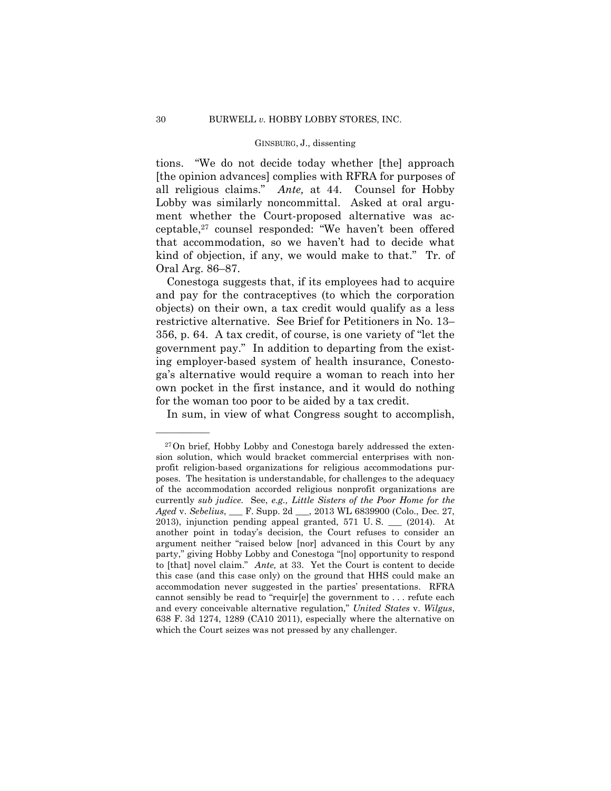kind of objection, if any, we would make to that." Tr. of tions. "We do not decide today whether [the] approach [the opinion advances] complies with RFRA for purposes of all religious claims." *Ante,* at 44. Counsel for Hobby Lobby was similarly noncommittal. Asked at oral argument whether the Court-proposed alternative was acceptable,27 counsel responded: "We haven't been offered that accommodation, so we haven't had to decide what Oral Arg. 86–87.

Conestoga suggests that, if its employees had to acquire and pay for the contraceptives (to which the corporation objects) on their own, a tax credit would qualify as a less restrictive alternative. See Brief for Petitioners in No. 13– 356, p. 64. A tax credit, of course, is one variety of "let the government pay." In addition to departing from the existing employer-based system of health insurance, Conestoga's alternative would require a woman to reach into her own pocket in the first instance, and it would do nothing for the woman too poor to be aided by a tax credit.

In sum, in view of what Congress sought to accomplish,

<sup>27</sup>On brief, Hobby Lobby and Conestoga barely addressed the extension solution, which would bracket commercial enterprises with nonprofit religion-based organizations for religious accommodations purposes. The hesitation is understandable, for challenges to the adequacy of the accommodation accorded religious nonprofit organizations are currently *sub judice*. See, *e.g., Little Sisters of the Poor Home for the Aged* v. *Sebelius*, \_\_\_ F. Supp. 2d \_\_\_, 2013 WL 6839900 (Colo., Dec. 27, 2013), injunction pending appeal granted, 571 U. S. \_\_\_ (2014). At another point in today's decision, the Court refuses to consider an argument neither "raised below [nor] advanced in this Court by any party," giving Hobby Lobby and Conestoga "[no] opportunity to respond to [that] novel claim." *Ante,* at 33. Yet the Court is content to decide this case (and this case only) on the ground that HHS could make an accommodation never suggested in the parties' presentations. RFRA cannot sensibly be read to "requir[e] the government to . . . refute each and every conceivable alternative regulation," *United States* v. *Wilgus*, 638 F. 3d 1274, 1289 (CA10 2011), especially where the alternative on which the Court seizes was not pressed by any challenger.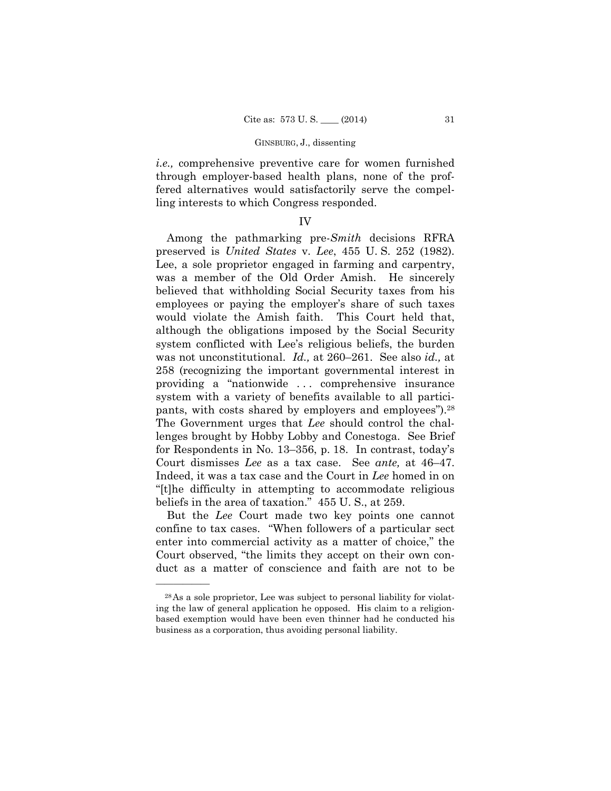*i.e.,* comprehensive preventive care for women furnished through employer-based health plans, none of the proffered alternatives would satisfactorily serve the compelling interests to which Congress responded.

### IV

pants, with costs shared by employers and employees").<sup>28</sup> Among the pathmarking pre-*Smith* decisions RFRA preserved is *United States* v. *Lee*, 455 U. S. 252 (1982). Lee, a sole proprietor engaged in farming and carpentry, was a member of the Old Order Amish. He sincerely believed that withholding Social Security taxes from his employees or paying the employer's share of such taxes would violate the Amish faith. This Court held that, although the obligations imposed by the Social Security system conflicted with Lee's religious beliefs, the burden was not unconstitutional. *Id.,* at 260–261. See also *id.,* at 258 (recognizing the important governmental interest in providing a "nationwide . . . comprehensive insurance system with a variety of benefits available to all partici-The Government urges that *Lee* should control the challenges brought by Hobby Lobby and Conestoga. See Brief for Respondents in No. 13–356, p. 18. In contrast, today's Court dismisses *Lee* as a tax case. See *ante,* at 46–47. Indeed, it was a tax case and the Court in *Lee* homed in on "[t]he difficulty in attempting to accommodate religious beliefs in the area of taxation." 455 U. S., at 259.

 But the *Lee* Court made two key points one cannot confine to tax cases. "When followers of a particular sect enter into commercial activity as a matter of choice," the Court observed, "the limits they accept on their own conduct as a matter of conscience and faith are not to be

<sup>28</sup>As a sole proprietor, Lee was subject to personal liability for violating the law of general application he opposed. His claim to a religionbased exemption would have been even thinner had he conducted his business as a corporation, thus avoiding personal liability.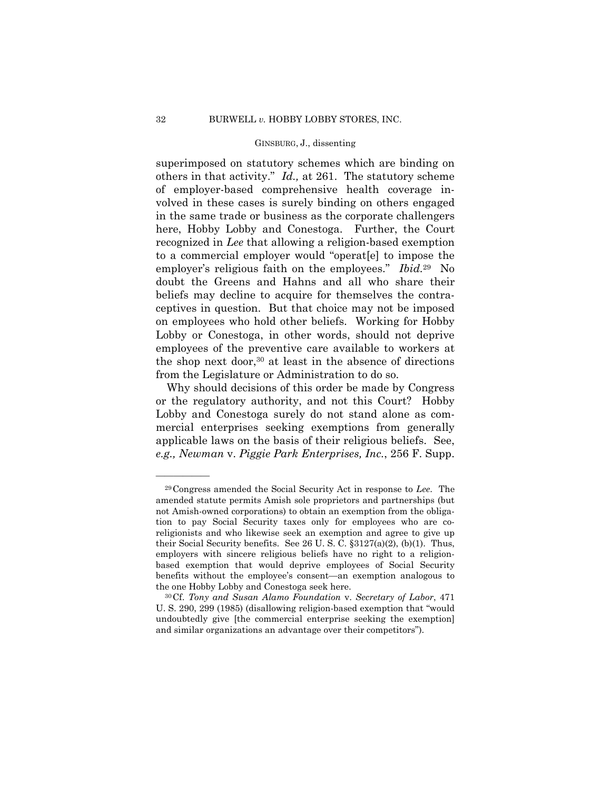employer's religious faith on the employees." *Ibid.*29 No superimposed on statutory schemes which are binding on others in that activity." *Id.,* at 261. The statutory scheme of employer-based comprehensive health coverage involved in these cases is surely binding on others engaged in the same trade or business as the corporate challengers here, Hobby Lobby and Conestoga. Further, the Court recognized in *Lee* that allowing a religion-based exemption to a commercial employer would "operat[e] to impose the doubt the Greens and Hahns and all who share their beliefs may decline to acquire for themselves the contraceptives in question. But that choice may not be imposed on employees who hold other beliefs. Working for Hobby Lobby or Conestoga, in other words, should not deprive employees of the preventive care available to workers at the shop next door,  $30$  at least in the absence of directions from the Legislature or Administration to do so.

Why should decisions of this order be made by Congress or the regulatory authority, and not this Court? Hobby Lobby and Conestoga surely do not stand alone as commercial enterprises seeking exemptions from generally applicable laws on the basis of their religious beliefs. See, *e.g., Newman* v. *Piggie Park Enterprises, Inc.*, 256 F. Supp.

<sup>29</sup>Congress amended the Social Security Act in response to *Lee*. The amended statute permits Amish sole proprietors and partnerships (but not Amish-owned corporations) to obtain an exemption from the obligation to pay Social Security taxes only for employees who are coreligionists and who likewise seek an exemption and agree to give up their Social Security benefits. See 26 U. S. C. §3127(a)(2), (b)(1). Thus, employers with sincere religious beliefs have no right to a religionbased exemption that would deprive employees of Social Security benefits without the employee's consent—an exemption analogous to the one Hobby Lobby and Conestoga seek here. 30Cf. *Tony and Susan Alamo Foundation* v. *Secretary of Labor*, 471

U. S. 290, 299 (1985) (disallowing religion-based exemption that "would undoubtedly give [the commercial enterprise seeking the exemption] and similar organizations an advantage over their competitors").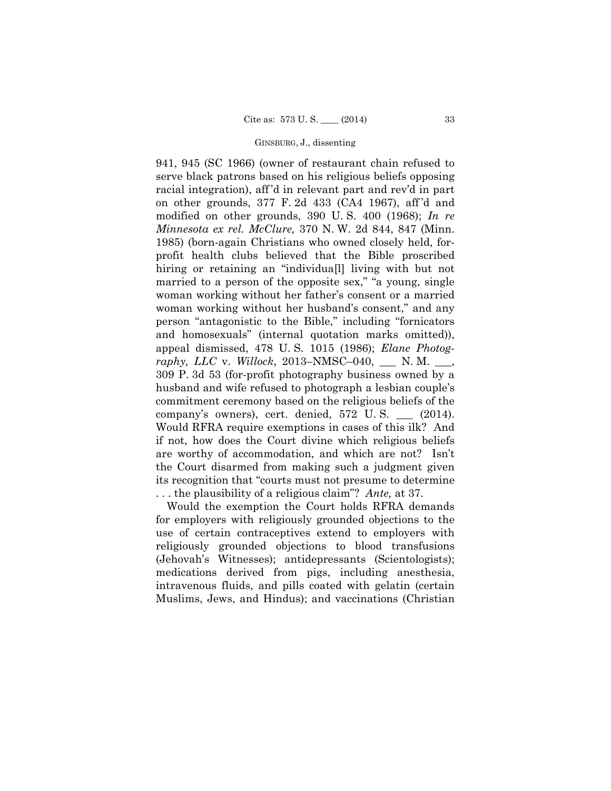941, 945 (SC 1966) (owner of restaurant chain refused to serve black patrons based on his religious beliefs opposing racial integration), aff 'd in relevant part and rev'd in part on other grounds, 377 F. 2d 433 (CA4 1967), aff 'd and modified on other grounds, 390 U. S. 400 (1968); *In re Minnesota ex rel. McClure,* 370 N. W. 2d 844, 847 (Minn. 1985) (born-again Christians who owned closely held, forprofit health clubs believed that the Bible proscribed hiring or retaining an "individua<sup>[]</sup> living with but not married to a person of the opposite sex," "a young, single woman working without her father's consent or a married woman working without her husband's consent," and any person "antagonistic to the Bible," including "fornicators and homosexuals" (internal quotation marks omitted)), appeal dismissed, 478 U. S. 1015 (1986); *Elane Photography, LLC* v. *Willock*, 2013–NMSC–040, \_\_\_ N. M. \_\_\_, 309 P. 3d 53 (for-profit photography business owned by a husband and wife refused to photograph a lesbian couple's commitment ceremony based on the religious beliefs of the company's owners), cert. denied, 572 U. S. \_\_\_ (2014). Would RFRA require exemptions in cases of this ilk? And if not, how does the Court divine which religious beliefs are worthy of accommodation, and which are not? Isn't the Court disarmed from making such a judgment given its recognition that "courts must not presume to determine . . . the plausibility of a religious claim"? *Ante,* at 37.

Would the exemption the Court holds RFRA demands for employers with religiously grounded objections to the use of certain contraceptives extend to employers with religiously grounded objections to blood transfusions (Jehovah's Witnesses); antidepressants (Scientologists); medications derived from pigs, including anesthesia, intravenous fluids, and pills coated with gelatin (certain Muslims, Jews, and Hindus); and vaccinations (Christian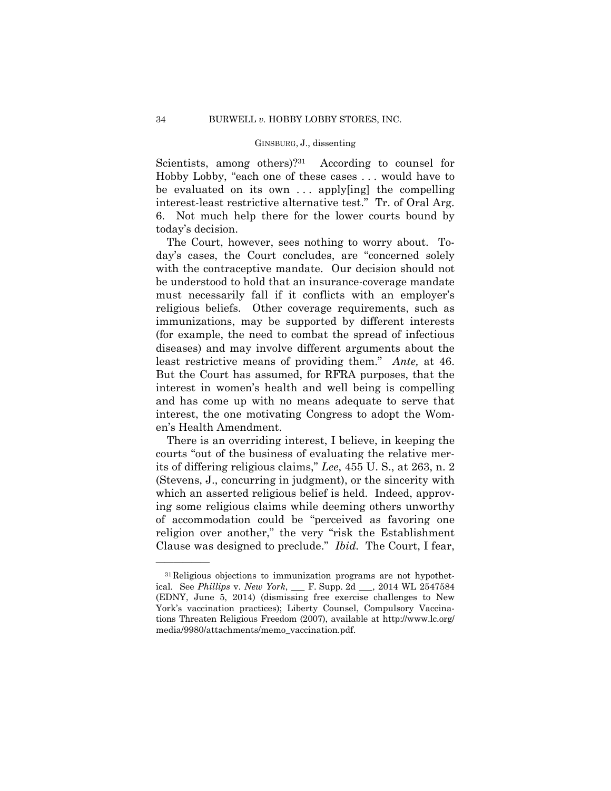Scientists, among others)?<sup>31</sup> According to counsel for Hobby Lobby, "each one of these cases . . . would have to be evaluated on its own . . . apply[ing] the compelling interest-least restrictive alternative test." Tr. of Oral Arg. 6. Not much help there for the lower courts bound by today's decision.

 least restrictive means of providing them." *Ante,* at 46. But the Court has assumed, for RFRA purposes, that the The Court, however, sees nothing to worry about. Today's cases, the Court concludes, are "concerned solely with the contraceptive mandate. Our decision should not be understood to hold that an insurance-coverage mandate must necessarily fall if it conflicts with an employer's religious beliefs. Other coverage requirements, such as immunizations, may be supported by different interests (for example, the need to combat the spread of infectious diseases) and may involve different arguments about the interest in women's health and well being is compelling and has come up with no means adequate to serve that interest, the one motivating Congress to adopt the Women's Health Amendment.

There is an overriding interest, I believe, in keeping the courts "out of the business of evaluating the relative merits of differing religious claims," *Lee*, 455 U. S., at 263, n. 2 (Stevens, J., concurring in judgment), or the sincerity with which an asserted religious belief is held. Indeed, approving some religious claims while deeming others unworthy of accommodation could be "perceived as favoring one religion over another," the very "risk the Establishment Clause was designed to preclude." *Ibid.* The Court, I fear,

<sup>31</sup>Religious objections to immunization programs are not hypothetical. See *Phillips* v. *New York*, \_\_\_ F. Supp. 2d \_\_\_, 2014 WL 2547584 (EDNY, June 5, 2014) (dismissing free exercise challenges to New York's vaccination practices); Liberty Counsel, Compulsory Vaccinations Threaten Religious Freedom (2007), available at http://www.lc.org/ media/9980/attachments/memo\_vaccination.pdf.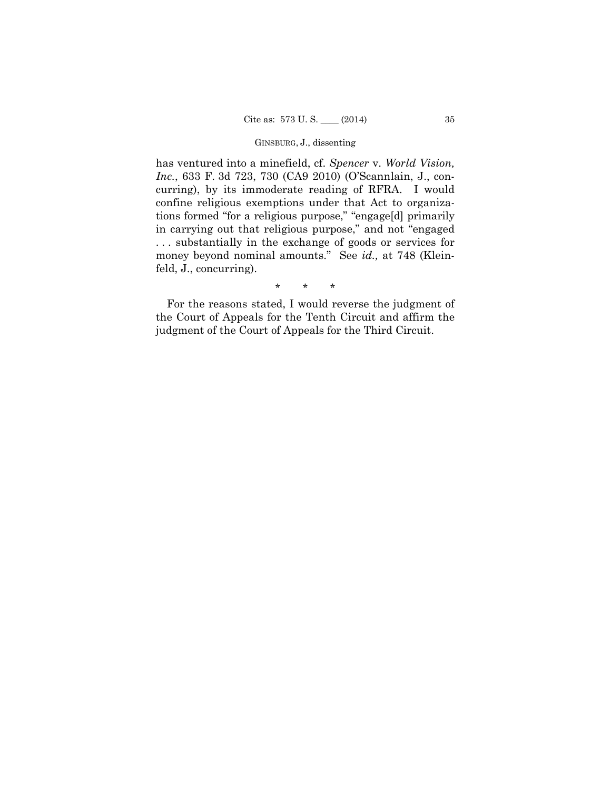tions formed "for a religious purpose," "engage[d] primarily has ventured into a minefield, cf. *Spencer* v. *World Vision, Inc.*, 633 F. 3d 723, 730 (CA9 2010) (O'Scannlain, J., concurring), by its immoderate reading of RFRA. I would confine religious exemptions under that Act to organizain carrying out that religious purpose," and not "engaged . . . substantially in the exchange of goods or services for money beyond nominal amounts." See *id.,* at 748 (Kleinfeld, J., concurring).

\* \* \*

For the reasons stated, I would reverse the judgment of the Court of Appeals for the Tenth Circuit and affirm the judgment of the Court of Appeals for the Third Circuit.